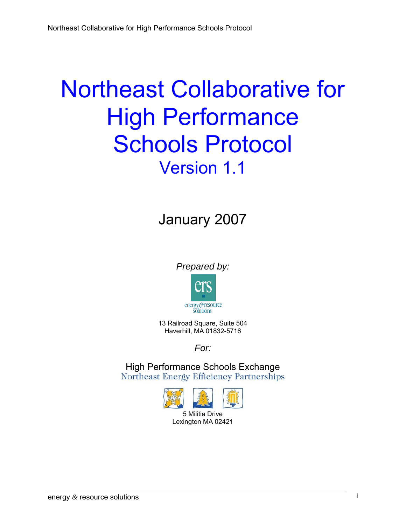# Northeast Collaborative for High Performance Schools Protocol Version 1.1

## January 2007

*Prepared by:* 



13 Railroad Square, Suite 504 Haverhill, MA 01832-5716

*For:* 

High Performance Schools Exchange<br>Northeast Energy Efficiency Partnerships

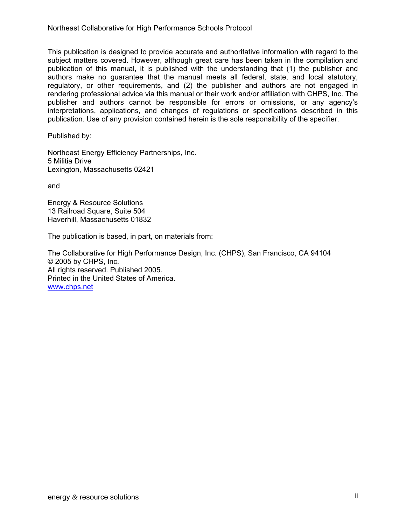This publication is designed to provide accurate and authoritative information with regard to the subject matters covered. However, although great care has been taken in the compilation and publication of this manual, it is published with the understanding that (1) the publisher and authors make no guarantee that the manual meets all federal, state, and local statutory, regulatory, or other requirements, and (2) the publisher and authors are not engaged in rendering professional advice via this manual or their work and/or affiliation with CHPS, Inc. The publisher and authors cannot be responsible for errors or omissions, or any agency's interpretations, applications, and changes of regulations or specifications described in this publication. Use of any provision contained herein is the sole responsibility of the specifier.

Published by:

Northeast Energy Efficiency Partnerships, Inc. 5 Militia Drive Lexington, Massachusetts 02421

and

Energy & Resource Solutions 13 Railroad Square, Suite 504 Haverhill, Massachusetts 01832

The publication is based, in part, on materials from:

The Collaborative for High Performance Design, Inc. (CHPS), San Francisco, CA 94104 © 2005 by CHPS, Inc. All rights reserved. Published 2005. Printed in the United States of America. www.chps.net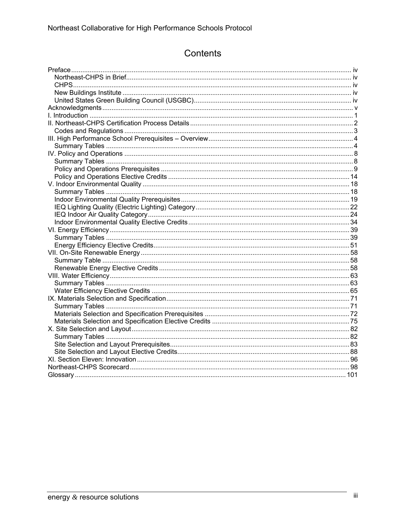### Contents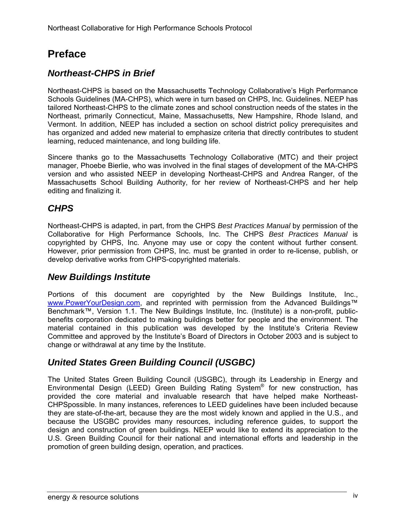### **Preface**

### *Northeast-CHPS in Brief*

Northeast-CHPS is based on the Massachusetts Technology Collaborative's High Performance Schools Guidelines (MA-CHPS), which were in turn based on CHPS, Inc. Guidelines. NEEP has tailored Northeast-CHPS to the climate zones and school construction needs of the states in the Northeast, primarily Connecticut, Maine, Massachusetts, New Hampshire, Rhode Island, and Vermont. In addition, NEEP has included a section on school district policy prerequisites and has organized and added new material to emphasize criteria that directly contributes to student learning, reduced maintenance, and long building life.

Sincere thanks go to the Massachusetts Technology Collaborative (MTC) and their project manager, Phoebe Bierlie, who was involved in the final stages of development of the MA-CHPS version and who assisted NEEP in developing Northeast-CHPS and Andrea Ranger, of the Massachusetts School Building Authority, for her review of Northeast-CHPS and her help editing and finalizing it.

### *CHPS*

Northeast-CHPS is adapted, in part, from the CHPS *Best Practices Manual* by permission of the Collaborative for High Performance Schools, Inc. The CHPS *Best Practices Manual* is copyrighted by CHPS, Inc. Anyone may use or copy the content without further consent. However, prior permission from CHPS, Inc. must be granted in order to re-license, publish, or develop derivative works from CHPS-copyrighted materials.

### *New Buildings Institute*

Portions of this document are copyrighted by the New Buildings Institute, Inc., www.PowerYourDesign.com, and reprinted with permission from the Advanced Buildings™ Benchmark™, Version 1.1. The New Buildings Institute, Inc. (Institute) is a non-profit, publicbenefits corporation dedicated to making buildings better for people and the environment. The material contained in this publication was developed by the Institute's Criteria Review Committee and approved by the Institute's Board of Directors in October 2003 and is subject to change or withdrawal at any time by the Institute.

### *United States Green Building Council (USGBC)*

The United States Green Building Council (USGBC), through its Leadership in Energy and Environmental Design (LEED) Green Building Rating System<sup>®</sup> for new construction, has provided the core material and invaluable research that have helped make Northeast-CHPSpossible. In many instances, references to LEED guidelines have been included because they are state-of-the-art, because they are the most widely known and applied in the U.S., and because the USGBC provides many resources, including reference guides, to support the design and construction of green buildings. NEEP would like to extend its appreciation to the U.S. Green Building Council for their national and international efforts and leadership in the promotion of green building design, operation, and practices.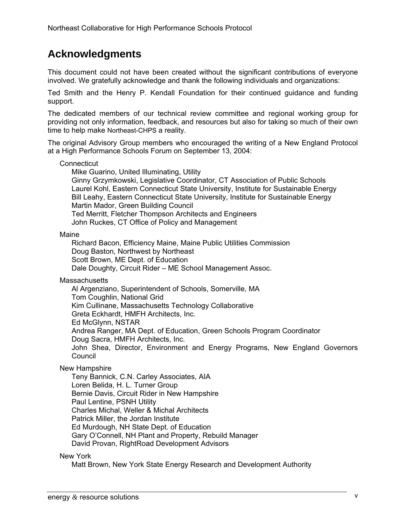### **Acknowledgments**

This document could not have been created without the significant contributions of everyone involved. We gratefully acknowledge and thank the following individuals and organizations:

Ted Smith and the Henry P. Kendall Foundation for their continued guidance and funding support.

The dedicated members of our technical review committee and regional working group for providing not only information, feedback, and resources but also for taking so much of their own time to help make Northeast-CHPS a reality.

The original Advisory Group members who encouraged the writing of a New England Protocol at a High Performance Schools Forum on September 13, 2004:

#### **Connecticut**

Mike Guarino, United Illuminating, Utility

Ginny Grzymkowski, Legislative Coordinator, CT Association of Public Schools Laurel Kohl, Eastern Connecticut State University, Institute for Sustainable Energy Bill Leahy, Eastern Connecticut State University, Institute for Sustainable Energy Martin Mador, Green Building Council Ted Merritt, Fletcher Thompson Architects and Engineers John Ruckes, CT Office of Policy and Management

Maine

Richard Bacon, Efficiency Maine, Maine Public Utilities Commission Doug Baston, Northwest by Northeast Scott Brown, ME Dept. of Education Dale Doughty, Circuit Rider – ME School Management Assoc.

**Massachusetts** 

Al Argenziano, Superintendent of Schools, Somerville, MA Tom Coughlin, National Grid Kim Cullinane, Massachusetts Technology Collaborative Greta Eckhardt, HMFH Architects, Inc. Ed McGlynn, NSTAR Andrea Ranger, MA Dept. of Education, Green Schools Program Coordinator Doug Sacra, HMFH Architects, Inc. John Shea, Director, Environment and Energy Programs, New England Governors Council

New Hampshire

Teny Bannick, C.N. Carley Associates, AIA Loren Belida, H. L. Turner Group Bernie Davis, Circuit Rider in New Hampshire Paul Lentine, PSNH Utility Charles Michal, Weller & Michal Architects Patrick Miller, the Jordan Institute Ed Murdough, NH State Dept. of Education Gary O'Connell, NH Plant and Property, Rebuild Manager David Provan, RightRoad Development Advisors

New York

Matt Brown, New York State Energy Research and Development Authority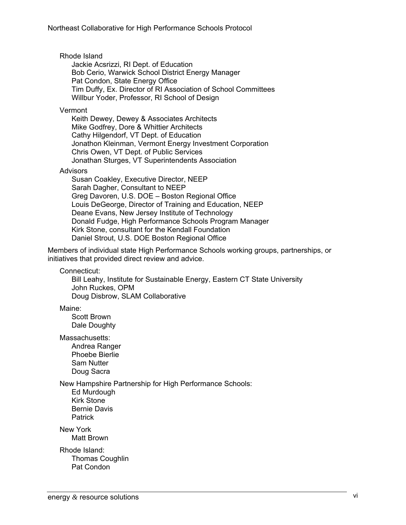Rhode Island

Jackie Acsrizzi, RI Dept. of Education Bob Cerio, Warwick School District Energy Manager Pat Condon, State Energy Office Tim Duffy, Ex. Director of RI Association of School Committees Willbur Yoder, Professor, RI School of Design

Vermont

Keith Dewey, Dewey & Associates Architects Mike Godfrey, Dore & Whittier Architects Cathy Hilgendorf, VT Dept. of Education Jonathon Kleinman, Vermont Energy Investment Corporation Chris Owen, VT Dept. of Public Services Jonathan Sturges, VT Superintendents Association

#### **Advisors**

Susan Coakley, Executive Director, NEEP Sarah Dagher, Consultant to NEEP Greg Davoren, U.S. DOE – Boston Regional Office Louis DeGeorge, Director of Training and Education, NEEP Deane Evans, New Jersey Institute of Technology Donald Fudge, High Performance Schools Program Manager Kirk Stone, consultant for the Kendall Foundation Daniel Strout, U.S. DOE Boston Regional Office

Members of individual state High Performance Schools working groups, partnerships, or initiatives that provided direct review and advice.

Connecticut:

Bill Leahy, Institute for Sustainable Energy, Eastern CT State University John Ruckes, OPM Doug Disbrow, SLAM Collaborative

Maine:

Scott Brown Dale Doughty

Massachusetts: Andrea Ranger Phoebe Bierlie

Sam Nutter Doug Sacra

New Hampshire Partnership for High Performance Schools:

Ed Murdough Kirk Stone Bernie Davis Patrick

New York Matt Brown

Rhode Island: Thomas Coughlin Pat Condon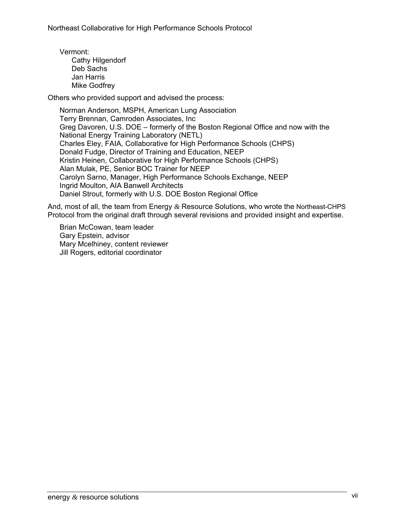Vermont: Cathy Hilgendorf Deb Sachs Jan Harris Mike Godfrey

Others who provided support and advised the process:

Norman Anderson, MSPH, American Lung Association Terry Brennan, Camroden Associates, Inc Greg Davoren, U.S. DOE – formerly of the Boston Regional Office and now with the National Energy Training Laboratory (NETL) Charles Eley, FAIA, Collaborative for High Performance Schools (CHPS) Donald Fudge, Director of Training and Education, NEEP Kristin Heinen, Collaborative for High Performance Schools (CHPS) Alan Mulak, PE, Senior BOC Trainer for NEEP Carolyn Sarno, Manager, High Performance Schools Exchange, NEEP Ingrid Moulton, AIA Banwell Architects Daniel Strout, formerly with U.S. DOE Boston Regional Office

And, most of all, the team from Energy *&* Resource Solutions, who wrote the Northeast-CHPS Protocol from the original draft through several revisions and provided insight and expertise.

Brian McCowan, team leader Gary Epstein, advisor Mary Mcelhiney, content reviewer Jill Rogers, editorial coordinator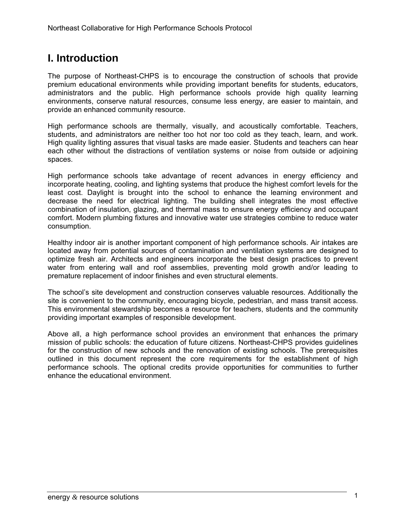### **I. Introduction**

The purpose of Northeast-CHPS is to encourage the construction of schools that provide premium educational environments while providing important benefits for students, educators, administrators and the public. High performance schools provide high quality learning environments, conserve natural resources, consume less energy, are easier to maintain, and provide an enhanced community resource.

High performance schools are thermally, visually, and acoustically comfortable. Teachers, students, and administrators are neither too hot nor too cold as they teach, learn, and work. High quality lighting assures that visual tasks are made easier. Students and teachers can hear each other without the distractions of ventilation systems or noise from outside or adjoining spaces.

High performance schools take advantage of recent advances in energy efficiency and incorporate heating, cooling, and lighting systems that produce the highest comfort levels for the least cost. Daylight is brought into the school to enhance the learning environment and decrease the need for electrical lighting. The building shell integrates the most effective combination of insulation, glazing, and thermal mass to ensure energy efficiency and occupant comfort. Modern plumbing fixtures and innovative water use strategies combine to reduce water consumption.

Healthy indoor air is another important component of high performance schools. Air intakes are located away from potential sources of contamination and ventilation systems are designed to optimize fresh air. Architects and engineers incorporate the best design practices to prevent water from entering wall and roof assemblies, preventing mold growth and/or leading to premature replacement of indoor finishes and even structural elements.

The school's site development and construction conserves valuable resources. Additionally the site is convenient to the community, encouraging bicycle, pedestrian, and mass transit access. This environmental stewardship becomes a resource for teachers, students and the community providing important examples of responsible development.

Above all, a high performance school provides an environment that enhances the primary mission of public schools: the education of future citizens. Northeast-CHPS provides guidelines for the construction of new schools and the renovation of existing schools. The prerequisites outlined in this document represent the core requirements for the establishment of high performance schools. The optional credits provide opportunities for communities to further enhance the educational environment.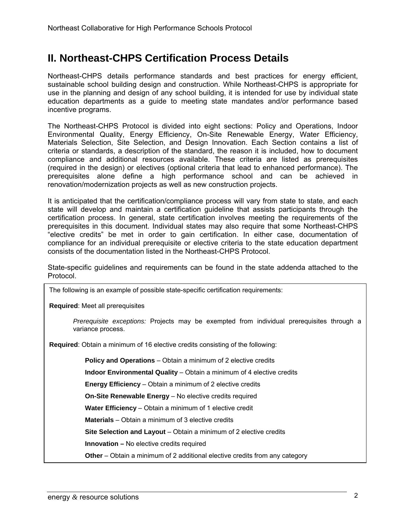### **II. Northeast-CHPS Certification Process Details**

Northeast-CHPS details performance standards and best practices for energy efficient, sustainable school building design and construction. While Northeast-CHPS is appropriate for use in the planning and design of any school building, it is intended for use by individual state education departments as a guide to meeting state mandates and/or performance based incentive programs.

The Northeast-CHPS Protocol is divided into eight sections: Policy and Operations, Indoor Environmental Quality, Energy Efficiency, On-Site Renewable Energy, Water Efficiency, Materials Selection, Site Selection, and Design Innovation. Each Section contains a list of criteria or standards, a description of the standard, the reason it is included, how to document compliance and additional resources available. These criteria are listed as prerequisites (required in the design) or electives (optional criteria that lead to enhanced performance). The prerequisites alone define a high performance school and can be achieved in renovation/modernization projects as well as new construction projects.

It is anticipated that the certification/compliance process will vary from state to state, and each state will develop and maintain a certification guideline that assists participants through the certification process. In general, state certification involves meeting the requirements of the prerequisites in this document. Individual states may also require that some Northeast-CHPS "elective credits" be met in order to gain certification. In either case, documentation of compliance for an individual prerequisite or elective criteria to the state education department consists of the documentation listed in the Northeast-CHPS Protocol.

State-specific guidelines and requirements can be found in the state addenda attached to the Protocol.

The following is an example of possible state-specific certification requirements:

**Required**: Meet all prerequisites

*Prerequisite exceptions:* Projects may be exempted from individual prerequisites through a variance process.

**Required**: Obtain a minimum of 16 elective credits consisting of the following:

**Policy and Operations** – Obtain a minimum of 2 elective credits

**Indoor Environmental Quality** – Obtain a minimum of 4 elective credits

**Energy Efficiency** – Obtain a minimum of 2 elective credits

**On-Site Renewable Energy** – No elective credits required

**Water Efficiency** – Obtain a minimum of 1 elective credit

**Materials** – Obtain a minimum of 3 elective credits

**Site Selection and Layout** – Obtain a minimum of 2 elective credits

**Innovation –** No elective credits required

**Other** – Obtain a minimum of 2 additional elective credits from any category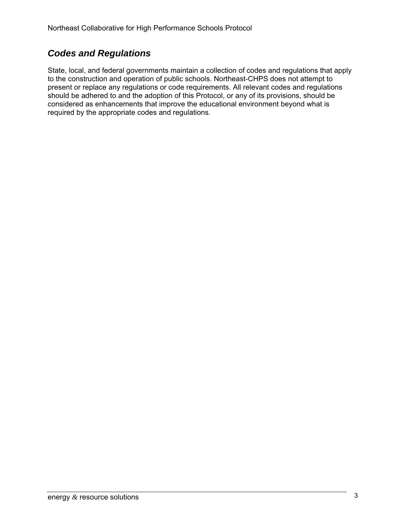### *Codes and Regulations*

State, local, and federal governments maintain a collection of codes and regulations that apply to the construction and operation of public schools. Northeast-CHPS does not attempt to present or replace any regulations or code requirements. All relevant codes and regulations should be adhered to and the adoption of this Protocol, or any of its provisions, should be considered as enhancements that improve the educational environment beyond what is required by the appropriate codes and regulations.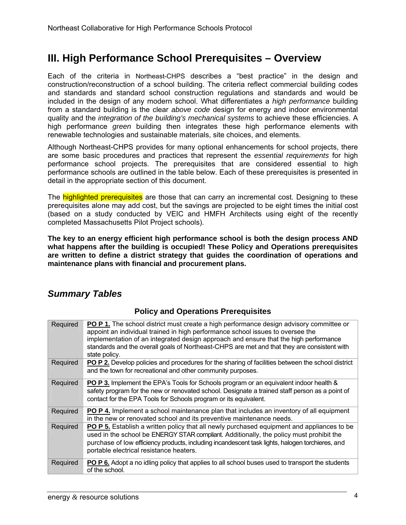### **III. High Performance School Prerequisites – Overview**

Each of the criteria in Northeast-CHPS describes a "best practice" in the design and construction/reconstruction of a school building. The criteria reflect commercial building codes and standards and standard school construction regulations and standards and would be included in the design of any modern school. What differentiates a *high performance* building from a standard building is the clear *above code* design for energy and indoor environmental quality and the *integration of the building's mechanical systems* to achieve these efficiencies. A high performance *green* building then integrates these high performance elements with renewable technologies and sustainable materials, site choices, and elements.

Although Northeast-CHPS provides for many optional enhancements for school projects, there are some basic procedures and practices that represent the *essential requirements* for high performance school projects. The prerequisites that are considered essential to high performance schools are outlined in the table below. Each of these prerequisites is presented in detail in the appropriate section of this document.

The highlighted prerequisites are those that can carry an incremental cost. Designing to these prerequisites alone may add cost, but the savings are projected to be eight times the initial cost (based on a study conducted by VEIC and HMFH Architects using eight of the recently completed Massachusetts Pilot Project schools).

**The key to an energy efficient high performance school is both the design process AND what happens after the building is occupied! These Policy and Operations prerequisites are written to define a district strategy that guides the coordination of operations and maintenance plans with financial and procurement plans.** 

### *Summary Tables*

### **Policy and Operations Prerequisites**

| Required | <b>PO P 1.</b> The school district must create a high performance design advisory committee or<br>appoint an individual trained in high performance school issues to oversee the<br>implementation of an integrated design approach and ensure that the high performance<br>standards and the overall goals of Northeast-CHPS are met and that they are consistent with<br>state policy. |
|----------|------------------------------------------------------------------------------------------------------------------------------------------------------------------------------------------------------------------------------------------------------------------------------------------------------------------------------------------------------------------------------------------|
| Required | <b>PO P 2.</b> Develop policies and procedures for the sharing of facilities between the school district<br>and the town for recreational and other community purposes.                                                                                                                                                                                                                  |
| Required | <b>PO P 3.</b> Implement the EPA's Tools for Schools program or an equivalent indoor health &<br>safety program for the new or renovated school. Designate a trained staff person as a point of<br>contact for the EPA Tools for Schools program or its equivalent.                                                                                                                      |
| Required | <b>PO P 4.</b> Implement a school maintenance plan that includes an inventory of all equipment<br>in the new or renovated school and its preventive maintenance needs.                                                                                                                                                                                                                   |
| Required | PO P 5. Establish a written policy that all newly purchased equipment and appliances to be<br>used in the school be ENERGY STAR compliant. Additionally, the policy must prohibit the<br>purchase of low efficiency products, including incandescent task lights, halogen torchieres, and<br>portable electrical resistance heaters.                                                     |
| Required | PO P 6. Adopt a no idling policy that applies to all school buses used to transport the students<br>of the school.                                                                                                                                                                                                                                                                       |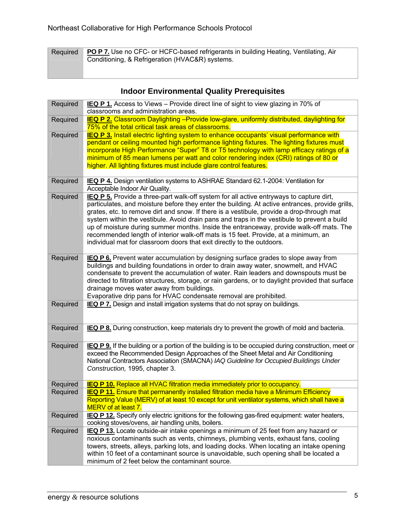| Required PO P 7. Use no CFC- or HCFC-based refrigerants in building Heating, Ventilating, Air |
|-----------------------------------------------------------------------------------------------|
| Conditioning, & Refrigeration (HVAC&R) systems.                                               |

### **Indoor Environmental Quality Prerequisites**

| Required | IEQ P 1. Access to Views - Provide direct line of sight to view glazing in 70% of<br>classrooms and administration areas.                                                                                                                                                                                                                                                                                                                                                                                                                                                                                                                         |
|----------|---------------------------------------------------------------------------------------------------------------------------------------------------------------------------------------------------------------------------------------------------------------------------------------------------------------------------------------------------------------------------------------------------------------------------------------------------------------------------------------------------------------------------------------------------------------------------------------------------------------------------------------------------|
| Required | IEQ P 2. Classroom Daylighting - Provide low-glare, uniformly distributed, daylighting for<br>75% of the total critical task areas of classrooms.                                                                                                                                                                                                                                                                                                                                                                                                                                                                                                 |
| Required | <b>IEQ P 3. Install electric lighting system to enhance occupants' visual performance with</b><br>pendant or ceiling mounted high performance lighting fixtures. The lighting fixtures must<br>incorporate High Performance "Super" T8 or T5 technology with lamp efficacy ratings of a<br>minimum of 85 mean lumens per watt and color rendering index (CRI) ratings of 80 or<br>higher. All lighting fixtures must include glare control features.                                                                                                                                                                                              |
| Required | IEQ P 4. Design ventilation systems to ASHRAE Standard 62.1-2004: Ventilation for<br>Acceptable Indoor Air Quality.                                                                                                                                                                                                                                                                                                                                                                                                                                                                                                                               |
| Required | IEQ P 5. Provide a three-part walk-off system for all active entryways to capture dirt,<br>particulates, and moisture before they enter the building. At active entrances, provide grills,<br>grates, etc. to remove dirt and snow. If there is a vestibule, provide a drop-through mat<br>system within the vestibule. Avoid drain pans and traps in the vestibule to prevent a build<br>up of moisture during summer months. Inside the entranceway, provide walk-off mats. The<br>recommended length of interior walk-off mats is 15 feet. Provide, at a minimum, an<br>individual mat for classroom doors that exit directly to the outdoors. |
| Required | <b>IEQ P 6.</b> Prevent water accumulation by designing surface grades to slope away from<br>buildings and building foundations in order to drain away water, snowmelt, and HVAC<br>condensate to prevent the accumulation of water. Rain leaders and downspouts must be<br>directed to filtration structures, storage, or rain gardens, or to daylight provided that surface<br>drainage moves water away from buildings.<br>Evaporative drip pans for HVAC condensate removal are prohibited.                                                                                                                                                   |
| Required | <b>IEQ P 7.</b> Design and install irrigation systems that do not spray on buildings.                                                                                                                                                                                                                                                                                                                                                                                                                                                                                                                                                             |
| Required | IEQ P 8. During construction, keep materials dry to prevent the growth of mold and bacteria.                                                                                                                                                                                                                                                                                                                                                                                                                                                                                                                                                      |
| Required | IEQ P 9. If the building or a portion of the building is to be occupied during construction, meet or<br>exceed the Recommended Design Approaches of the Sheet Metal and Air Conditioning<br>National Contractors Association (SMACNA) IAQ Guideline for Occupied Buildings Under<br>Construction, 1995, chapter 3.                                                                                                                                                                                                                                                                                                                                |
| Required | <b>IEQ P 10.</b> Replace all HVAC filtration media immediately prior to occupancy.                                                                                                                                                                                                                                                                                                                                                                                                                                                                                                                                                                |
| Required | <b>IEQ P 11.</b> Ensure that permanently installed filtration media have a Minimum Efficiency<br>Reporting Value (MERV) of at least 10 except for unit ventilator systems, which shall have a<br>MERV of at least 7.                                                                                                                                                                                                                                                                                                                                                                                                                              |
| Required | <b>IEQ P 12.</b> Specify only electric ignitions for the following gas-fired equipment: water heaters,<br>cooking stoves/ovens, air handling units, boilers.                                                                                                                                                                                                                                                                                                                                                                                                                                                                                      |
| Required | IEQ P 13. Locate outside-air intake openings a minimum of 25 feet from any hazard or<br>noxious contaminants such as vents, chimneys, plumbing vents, exhaust fans, cooling<br>towers, streets, alleys, parking lots, and loading docks. When locating an intake opening<br>within 10 feet of a contaminant source is unavoidable, such opening shall be located a<br>minimum of 2 feet below the contaminant source.                                                                                                                                                                                                                             |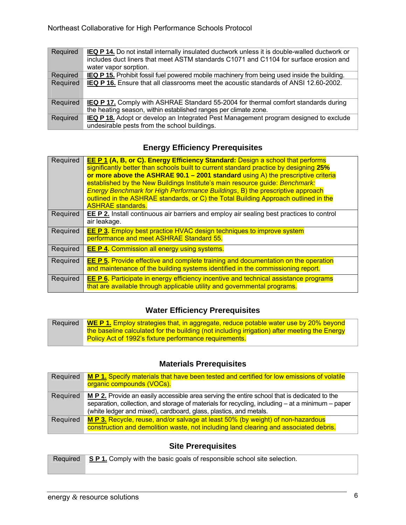| Required | <b>IEQ P 14.</b> Do not install internally insulated ductwork unless it is double-walled ductwork or<br>includes duct liners that meet ASTM standards C1071 and C1104 for surface erosion and<br>water vapor sorption. |
|----------|------------------------------------------------------------------------------------------------------------------------------------------------------------------------------------------------------------------------|
| Required | <b>IEQ P 15.</b> Prohibit fossil fuel powered mobile machinery from being used inside the building.                                                                                                                    |
| Required | IEQ P 16. Ensure that all classrooms meet the acoustic standards of ANSI 12.60-2002.                                                                                                                                   |
| Required | <b>IEQ P 17.</b> Comply with ASHRAE Standard 55-2004 for thermal comfort standards during                                                                                                                              |
|          | the heating season, within established ranges per climate zone.                                                                                                                                                        |
| Required | <b>IEQ P 18.</b> Adopt or develop an Integrated Pest Management program designed to exclude                                                                                                                            |
|          | undesirable pests from the school buildings.                                                                                                                                                                           |

### **Energy Efficiency Prerequisites**

| Required | <b>EE P 1 (A, B, or C). Energy Efficiency Standard:</b> Design a school that performs<br>significantly better than schools built to current standard practice by designing 25%<br>or more above the ASHRAE 90.1 $-$ 2001 standard using A) the prescriptive criteria<br>established by the New Buildings Institute's main resource quide: Benchmark:<br>Energy Benchmark for High Performance Buildings, B) the prescriptive approach<br>outlined in the ASHRAE standards, or C) the Total Building Approach outlined in the<br><b>ASHRAE standards.</b> |
|----------|----------------------------------------------------------------------------------------------------------------------------------------------------------------------------------------------------------------------------------------------------------------------------------------------------------------------------------------------------------------------------------------------------------------------------------------------------------------------------------------------------------------------------------------------------------|
| Required | <b>EE P 2.</b> Install continuous air barriers and employ air sealing best practices to control<br>air leakage.                                                                                                                                                                                                                                                                                                                                                                                                                                          |
| Required | <b>EE P 3.</b> Employ best practice HVAC design techniques to improve system<br>performance and meet ASHRAE Standard 55.                                                                                                                                                                                                                                                                                                                                                                                                                                 |
| Required | <b>EE P 4. Commission all energy using systems.</b>                                                                                                                                                                                                                                                                                                                                                                                                                                                                                                      |
| Required | <b>EE P 5.</b> Provide effective and complete training and documentation on the operation<br>and maintenance of the building systems identified in the commissioning report.                                                                                                                                                                                                                                                                                                                                                                             |
| Required | <b>EE P 6.</b> Participate in energy efficiency incentive and technical assistance programs<br>that are available through applicable utility and governmental programs.                                                                                                                                                                                                                                                                                                                                                                                  |

### **Water Efficiency Prerequisites**

| Required | <b>WE P 1.</b> Employ strategies that, in aggregate, reduce potable water use by 20% beyond  |
|----------|----------------------------------------------------------------------------------------------|
|          | the baseline calculated for the building (not including irrigation) after meeting the Energy |
|          | Policy Act of 1992's fixture performance requirements.                                       |

### **Materials Prerequisites**

| Required | M P 1. Specify materials that have been tested and certified for low emissions of volatile<br>organic compounds (VOCs).                                                                                                                                              |
|----------|----------------------------------------------------------------------------------------------------------------------------------------------------------------------------------------------------------------------------------------------------------------------|
| Required | M P 2. Provide an easily accessible area serving the entire school that is dedicated to the<br>separation, collection, and storage of materials for recycling, including – at a minimum – paper<br>(white ledger and mixed), cardboard, glass, plastics, and metals. |
| Required | M P 3. Recycle, reuse, and/or salvage at least 50% (by weight) of non-hazardous<br>construction and demolition waste, not including land clearing and associated debris.                                                                                             |

### **Site Prerequisites**

| Required SP1. Comply with the basic goals of responsible school site selection. |
|---------------------------------------------------------------------------------|
|                                                                                 |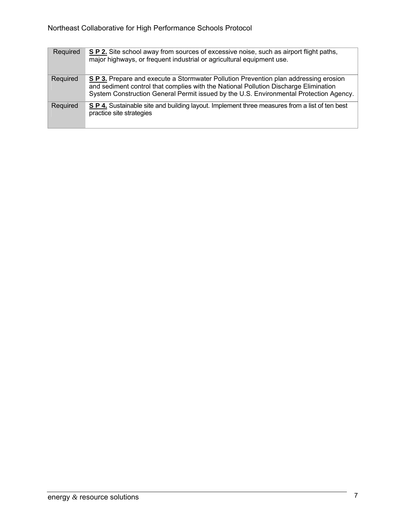| Required | S P 2. Site school away from sources of excessive noise, such as airport flight paths,<br>major highways, or frequent industrial or agricultural equipment use.                                                                                                        |
|----------|------------------------------------------------------------------------------------------------------------------------------------------------------------------------------------------------------------------------------------------------------------------------|
| Required | S P 3. Prepare and execute a Stormwater Pollution Prevention plan addressing erosion<br>and sediment control that complies with the National Pollution Discharge Elimination<br>System Construction General Permit issued by the U.S. Environmental Protection Agency. |
| Required | S P 4. Sustainable site and building layout. Implement three measures from a list of ten best<br>practice site strategies                                                                                                                                              |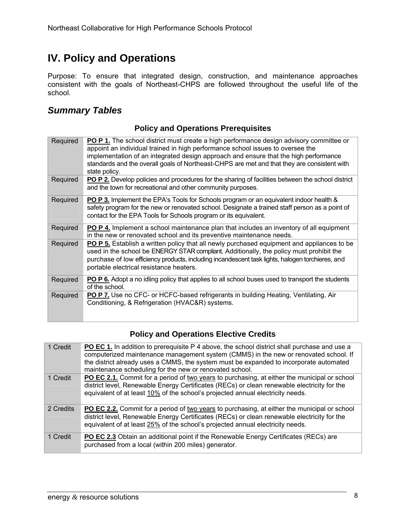### **IV. Policy and Operations**

Purpose: To ensure that integrated design, construction, and maintenance approaches consistent with the goals of Northeast-CHPS are followed throughout the useful life of the school.

### *Summary Tables*

### **Policy and Operations Prerequisites**

| Required | <b>PO P 1.</b> The school district must create a high performance design advisory committee or<br>appoint an individual trained in high performance school issues to oversee the<br>implementation of an integrated design approach and ensure that the high performance<br>standards and the overall goals of Northeast-CHPS are met and that they are consistent with<br>state policy. |
|----------|------------------------------------------------------------------------------------------------------------------------------------------------------------------------------------------------------------------------------------------------------------------------------------------------------------------------------------------------------------------------------------------|
| Required | PO P 2. Develop policies and procedures for the sharing of facilities between the school district<br>and the town for recreational and other community purposes.                                                                                                                                                                                                                         |
| Required | <b>PO P 3.</b> Implement the EPA's Tools for Schools program or an equivalent indoor health &<br>safety program for the new or renovated school. Designate a trained staff person as a point of<br>contact for the EPA Tools for Schools program or its equivalent.                                                                                                                      |
| Required | <b>PO P 4.</b> Implement a school maintenance plan that includes an inventory of all equipment<br>in the new or renovated school and its preventive maintenance needs.                                                                                                                                                                                                                   |
| Required | PO P 5. Establish a written policy that all newly purchased equipment and appliances to be<br>used in the school be ENERGY STAR compliant. Additionally, the policy must prohibit the<br>purchase of low efficiency products, including incandescent task lights, halogen torchieres, and<br>portable electrical resistance heaters.                                                     |
| Required | <b>PO P 6.</b> Adopt a no idling policy that applies to all school buses used to transport the students<br>of the school.                                                                                                                                                                                                                                                                |
| Required | <b>PO P 7.</b> Use no CFC- or HCFC-based refrigerants in building Heating, Ventilating, Air<br>Conditioning, & Refrigeration (HVAC&R) systems.                                                                                                                                                                                                                                           |

### **Policy and Operations Elective Credits**

| 1 Credit  | <b>PO EC 1.</b> In addition to prerequisite $P$ 4 above, the school district shall purchase and use a<br>computerized maintenance management system (CMMS) in the new or renovated school. If<br>the district already uses a CMMS, the system must be expanded to incorporate automated<br>maintenance scheduling for the new or renovated school. |
|-----------|----------------------------------------------------------------------------------------------------------------------------------------------------------------------------------------------------------------------------------------------------------------------------------------------------------------------------------------------------|
| 1 Credit  | PO EC 2.1. Commit for a period of two years to purchasing, at either the municipal or school<br>district level, Renewable Energy Certificates (RECs) or clean renewable electricity for the<br>equivalent of at least 10% of the school's projected annual electricity needs.                                                                      |
| 2 Credits | PO EC 2.2. Commit for a period of two years to purchasing, at either the municipal or school<br>district level, Renewable Energy Certificates (RECs) or clean renewable electricity for the<br>equivalent of at least 25% of the school's projected annual electricity needs.                                                                      |
| 1 Credit  | <b>PO EC 2.3</b> Obtain an additional point if the Renewable Energy Certificates (RECs) are<br>purchased from a local (within 200 miles) generator.                                                                                                                                                                                                |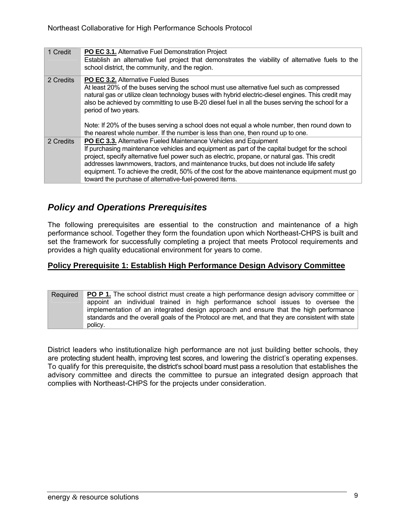| 1 Credit  | <b>PO EC 3.1.</b> Alternative Fuel Demonstration Project<br>Establish an alternative fuel project that demonstrates the viability of alternative fuels to the                                                                                                                                                                                                                                                                                                                                                              |
|-----------|----------------------------------------------------------------------------------------------------------------------------------------------------------------------------------------------------------------------------------------------------------------------------------------------------------------------------------------------------------------------------------------------------------------------------------------------------------------------------------------------------------------------------|
|           | school district, the community, and the region.                                                                                                                                                                                                                                                                                                                                                                                                                                                                            |
| 2 Credits | PO EC 3.2. Alternative Fueled Buses<br>At least 20% of the buses serving the school must use alternative fuel such as compressed<br>natural gas or utilize clean technology buses with hybrid electric-diesel engines. This credit may<br>also be achieved by committing to use B-20 diesel fuel in all the buses serving the school for a<br>period of two years.                                                                                                                                                         |
|           | Note: If 20% of the buses serving a school does not equal a whole number, then round down to<br>the nearest whole number. If the number is less than one, then round up to one.                                                                                                                                                                                                                                                                                                                                            |
| 2 Credits | PO EC 3.3. Alternative Fueled Maintenance Vehicles and Equipment<br>If purchasing maintenance vehicles and equipment as part of the capital budget for the school<br>project, specify alternative fuel power such as electric, propane, or natural gas. This credit<br>addresses lawnmowers, tractors, and maintenance trucks, but does not include life safety<br>equipment. To achieve the credit, 50% of the cost for the above maintenance equipment must go<br>toward the purchase of alternative-fuel-powered items. |

### *Policy and Operations Prerequisites*

The following prerequisites are essential to the construction and maintenance of a high performance school. Together they form the foundation upon which Northeast-CHPS is built and set the framework for successfully completing a project that meets Protocol requirements and provides a high quality educational environment for years to come.

### **Policy Prerequisite 1: Establish High Performance Design Advisory Committee**

Required **PO P 1.** The school district must create a high performance design advisory committee or appoint an individual trained in high performance school issues to oversee the implementation of an integrated design approach and ensure that the high performance standards and the overall goals of the Protocol are met, and that they are consistent with state policy.

District leaders who institutionalize high performance are not just building better schools, they are protecting student health, improving test scores, and lowering the district's operating expenses. To qualify for this prerequisite, the district's school board must pass a resolution that establishes the advisory committee and directs the committee to pursue an integrated design approach that complies with Northeast-CHPS for the projects under consideration.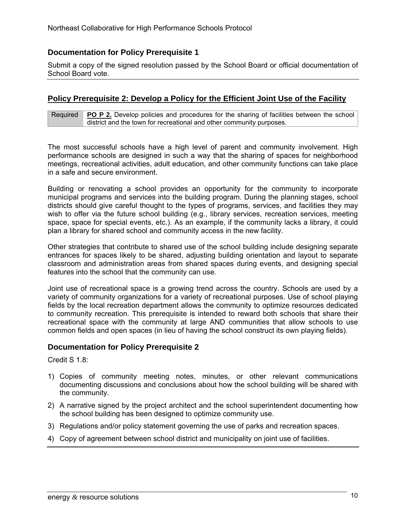### **Documentation for Policy Prerequisite 1**

Submit a copy of the signed resolution passed by the School Board or official documentation of School Board vote.

#### **Policy Prerequisite 2: Develop a Policy for the Efficient Joint Use of the Facility**

Required **PO P 2.** Develop policies and procedures for the sharing of facilities between the school district and the town for recreational and other community purposes.

The most successful schools have a high level of parent and community involvement. High performance schools are designed in such a way that the sharing of spaces for neighborhood meetings, recreational activities, adult education, and other community functions can take place in a safe and secure environment.

Building or renovating a school provides an opportunity for the community to incorporate municipal programs and services into the building program. During the planning stages, school districts should give careful thought to the types of programs, services, and facilities they may wish to offer via the future school building (e.g., library services, recreation services, meeting space, space for special events, etc.). As an example, if the community lacks a library, it could plan a library for shared school and community access in the new facility.

Other strategies that contribute to shared use of the school building include designing separate entrances for spaces likely to be shared, adjusting building orientation and layout to separate classroom and administration areas from shared spaces during events, and designing special features into the school that the community can use.

Joint use of recreational space is a growing trend across the country. Schools are used by a variety of community organizations for a variety of recreational purposes. Use of school playing fields by the local recreation department allows the community to optimize resources dedicated to community recreation. This prerequisite is intended to reward both schools that share their recreational space with the community at large AND communities that allow schools to use common fields and open spaces (in lieu of having the school construct its own playing fields).

#### **Documentation for Policy Prerequisite 2**

Credit S 1.8:

- 1) Copies of community meeting notes, minutes, or other relevant communications documenting discussions and conclusions about how the school building will be shared with the community.
- 2) A narrative signed by the project architect and the school superintendent documenting how the school building has been designed to optimize community use.
- 3) Regulations and/or policy statement governing the use of parks and recreation spaces.
- 4) Copy of agreement between school district and municipality on joint use of facilities.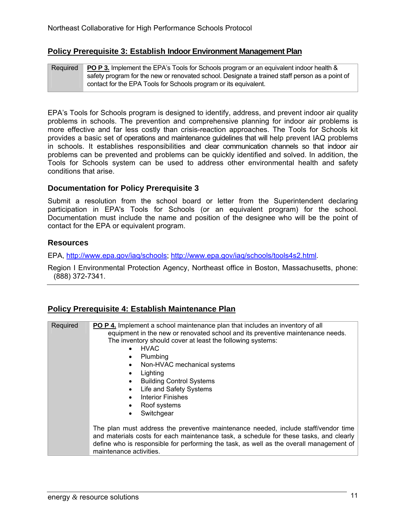### **Policy Prerequisite 3: Establish Indoor Environment Management Plan**

| Required | <b>PO P 3.</b> Implement the EPA's Tools for Schools program or an equivalent indoor health &  |
|----------|------------------------------------------------------------------------------------------------|
|          | safety program for the new or renovated school. Designate a trained staff person as a point of |
|          | contact for the EPA Tools for Schools program or its equivalent.                               |

EPA's Tools for Schools program is designed to identify, address, and prevent indoor air quality problems in schools. The prevention and comprehensive planning for indoor air problems is more effective and far less costly than crisis-reaction approaches. The Tools for Schools kit provides a basic set of operations and maintenance guidelines that will help prevent IAQ problems in schools. It establishes responsibilities and clear communication channels so that indoor air problems can be prevented and problems can be quickly identified and solved. In addition, the Tools for Schools system can be used to address other environmental health and safety conditions that arise.

### **Documentation for Policy Prerequisite 3**

Submit a resolution from the school board or letter from the Superintendent declaring participation in EPA's Tools for Schools (or an equivalent program) for the school. Documentation must include the name and position of the designee who will be the point of contact for the EPA or equivalent program.

#### **Resources**

EPA, http://www.epa.gov/iaq/schools; http://www.epa.gov/iaq/schools/tools4s2.html.

Region I Environmental Protection Agency, Northeast office in Boston, Massachusetts, phone: (888) 372-7341.

### **Policy Prerequisite 4: Establish Maintenance Plan**

| Required | PO P 4. Implement a school maintenance plan that includes an inventory of all<br>equipment in the new or renovated school and its preventive maintenance needs.<br>The inventory should cover at least the following systems:<br>HVAC.<br>$\bullet$<br>Plumbing<br>$\bullet$<br>Non-HVAC mechanical systems<br>$\bullet$<br>Lighting<br><b>Building Control Systems</b><br>Life and Safety Systems<br>$\bullet$<br><b>Interior Finishes</b><br>$\bullet$<br>Roof systems<br>Switchgear |
|----------|----------------------------------------------------------------------------------------------------------------------------------------------------------------------------------------------------------------------------------------------------------------------------------------------------------------------------------------------------------------------------------------------------------------------------------------------------------------------------------------|
|          | The plan must address the preventive maintenance needed, include staff/vendor time<br>and materials costs for each maintenance task, a schedule for these tasks, and clearly<br>define who is responsible for performing the task, as well as the overall management of<br>maintenance activities.                                                                                                                                                                                     |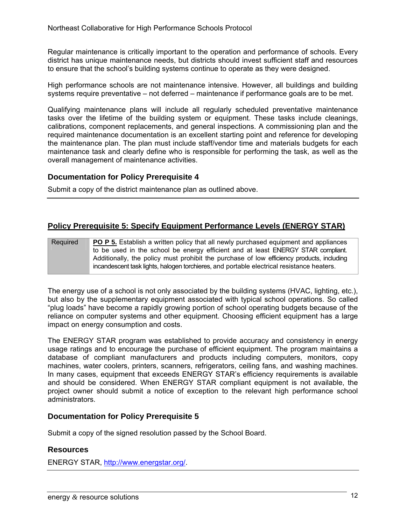Regular maintenance is critically important to the operation and performance of schools. Every district has unique maintenance needs, but districts should invest sufficient staff and resources to ensure that the school's building systems continue to operate as they were designed.

High performance schools are not maintenance intensive. However, all buildings and building systems require preventative – not deferred – maintenance if performance goals are to be met.

Qualifying maintenance plans will include all regularly scheduled preventative maintenance tasks over the lifetime of the building system or equipment. These tasks include cleanings, calibrations, component replacements, and general inspections. A commissioning plan and the required maintenance documentation is an excellent starting point and reference for developing the maintenance plan. The plan must include staff/vendor time and materials budgets for each maintenance task and clearly define who is responsible for performing the task, as well as the overall management of maintenance activities.

### **Documentation for Policy Prerequisite 4**

Submit a copy of the district maintenance plan as outlined above.

### **Policy Prerequisite 5: Specify Equipment Performance Levels (ENERGY STAR)**

#### Required **PO P 5.** Establish a written policy that all newly purchased equipment and appliances to be used in the school be energy efficient and at least ENERGY STAR compliant. Additionally, the policy must prohibit the purchase of low efficiency products, including incandescent task lights, halogen torchieres, and portable electrical resistance heaters.

The energy use of a school is not only associated by the building systems (HVAC, lighting, etc.), but also by the supplementary equipment associated with typical school operations. So called "plug loads" have become a rapidly growing portion of school operating budgets because of the reliance on computer systems and other equipment. Choosing efficient equipment has a large impact on energy consumption and costs.

The ENERGY STAR program was established to provide accuracy and consistency in energy usage ratings and to encourage the purchase of efficient equipment. The program maintains a database of compliant manufacturers and products including computers, monitors, copy machines, water coolers, printers, scanners, refrigerators, ceiling fans, and washing machines. In many cases, equipment that exceeds ENERGY STAR's efficiency requirements is available and should be considered. When ENERGY STAR compliant equipment is not available, the project owner should submit a notice of exception to the relevant high performance school administrators.

### **Documentation for Policy Prerequisite 5**

Submit a copy of the signed resolution passed by the School Board.

#### **Resources**

ENERGY STAR, http://www.energstar.org/.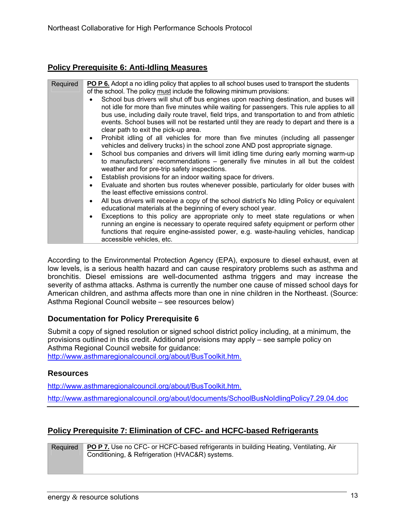### **Policy Prerequisite 6: Anti-Idling Measures**

| Required | <b>PO P 6.</b> Adopt a no idling policy that applies to all school buses used to transport the students<br>of the school. The policy must include the following minimum provisions:                                                                                                                                                                                                                                     |
|----------|-------------------------------------------------------------------------------------------------------------------------------------------------------------------------------------------------------------------------------------------------------------------------------------------------------------------------------------------------------------------------------------------------------------------------|
|          | School bus drivers will shut off bus engines upon reaching destination, and buses will<br>not idle for more than five minutes while waiting for passengers. This rule applies to all<br>bus use, including daily route travel, field trips, and transportation to and from athletic<br>events. School buses will not be restarted until they are ready to depart and there is a<br>clear path to exit the pick-up area. |
|          | Prohibit idling of all vehicles for more than five minutes (including all passenger<br>$\bullet$<br>vehicles and delivery trucks) in the school zone AND post appropriate signage.                                                                                                                                                                                                                                      |
|          | School bus companies and drivers will limit idling time during early morning warm-up<br>$\bullet$<br>to manufacturers' recommendations – generally five minutes in all but the coldest<br>weather and for pre-trip safety inspections.                                                                                                                                                                                  |
|          | Establish provisions for an indoor waiting space for drivers.<br>$\bullet$                                                                                                                                                                                                                                                                                                                                              |
|          | Evaluate and shorten bus routes whenever possible, particularly for older buses with<br>$\bullet$<br>the least effective emissions control.                                                                                                                                                                                                                                                                             |
|          | All bus drivers will receive a copy of the school district's No Idling Policy or equivalent<br>$\bullet$<br>educational materials at the beginning of every school year.                                                                                                                                                                                                                                                |
|          | Exceptions to this policy are appropriate only to meet state regulations or when<br>$\bullet$<br>running an engine is necessary to operate required safety equipment or perform other<br>functions that require engine-assisted power, e.g. waste-hauling vehicles, handicap<br>accessible vehicles, etc.                                                                                                               |

According to the Environmental Protection Agency (EPA), exposure to diesel exhaust, even at low levels, is a serious health hazard and can cause respiratory problems such as asthma and bronchitis. Diesel emissions are well-documented asthma triggers and may increase the severity of asthma attacks. Asthma is currently the number one cause of missed school days for American children, and asthma affects more than one in nine children in the Northeast. (Source: Asthma Regional Council website – see resources below)

### **Documentation for Policy Prerequisite 6**

Submit a copy of signed resolution or signed school district policy including, at a minimum, the provisions outlined in this credit. Additional provisions may apply – see sample policy on Asthma Regional Council website for quidance: http://www.asthmaregionalcouncil.org/about/BusToolkit.htm.

### **Resources**

http://www.asthmaregionalcouncil.org/about/BusToolkit.htm. http://www.asthmaregionalcouncil.org/about/documents/SchoolBusNoIdlingPolicy7.29.04.doc

### **Policy Prerequisite 7: Elimination of CFC- and HCFC-based Refrigerants**

Required **PO P 7.** Use no CFC- or HCFC-based refrigerants in building Heating, Ventilating, Air Conditioning, & Refrigeration (HVAC&R) systems.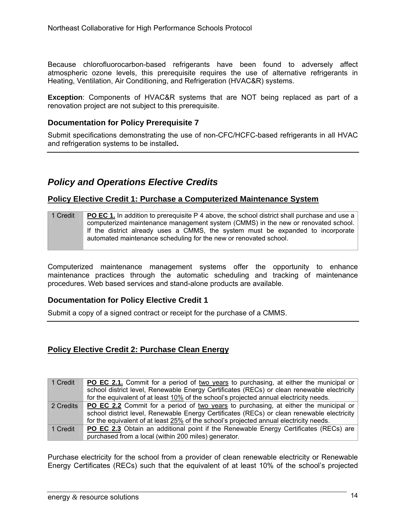Because chlorofluorocarbon-based refrigerants have been found to adversely affect atmospheric ozone levels, this prerequisite requires the use of alternative refrigerants in Heating, Ventilation, Air Conditioning, and Refrigeration (HVAC&R) systems.

**Exception**: Components of HVAC&R systems that are NOT being replaced as part of a renovation project are not subject to this prerequisite.

### **Documentation for Policy Prerequisite 7**

Submit specifications demonstrating the use of non-CFC/HCFC-based refrigerants in all HVAC and refrigeration systems to be installed**.** 

### *Policy and Operations Elective Credits*

### **Policy Elective Credit 1: Purchase a Computerized Maintenance System**

| 1 Credit | <b>PO EC 1.</b> In addition to prerequisite P 4 above, the school district shall purchase and use a |
|----------|-----------------------------------------------------------------------------------------------------|
|          | computerized maintenance management system (CMMS) in the new or renovated school.                   |
|          | If the district already uses a CMMS, the system must be expanded to incorporate                     |
|          | automated maintenance scheduling for the new or renovated school.                                   |

Computerized maintenance management systems offer the opportunity to enhance maintenance practices through the automatic scheduling and tracking of maintenance procedures. Web based services and stand-alone products are available.

### **Documentation for Policy Elective Credit 1**

Submit a copy of a signed contract or receipt for the purchase of a CMMS.

### **Policy Elective Credit 2: Purchase Clean Energy**

| 1 Credit  | <b>PO EC 2.1.</b> Commit for a period of two years to purchasing, at either the municipal or |
|-----------|----------------------------------------------------------------------------------------------|
|           | school district level, Renewable Energy Certificates (RECs) or clean renewable electricity   |
|           | for the equivalent of at least 10% of the school's projected annual electricity needs.       |
| 2 Credits | <b>PO EC 2.2</b> Commit for a period of two years to purchasing, at either the municipal or  |
|           | school district level, Renewable Energy Certificates (RECs) or clean renewable electricity   |
|           | for the equivalent of at least 25% of the school's projected annual electricity needs.       |
| 1 Credit  | <b>PO EC 2.3</b> Obtain an additional point if the Renewable Energy Certificates (RECs) are  |
|           | purchased from a local (within 200 miles) generator.                                         |

Purchase electricity for the school from a provider of clean renewable electricity or Renewable Energy Certificates (RECs) such that the equivalent of at least 10% of the school's projected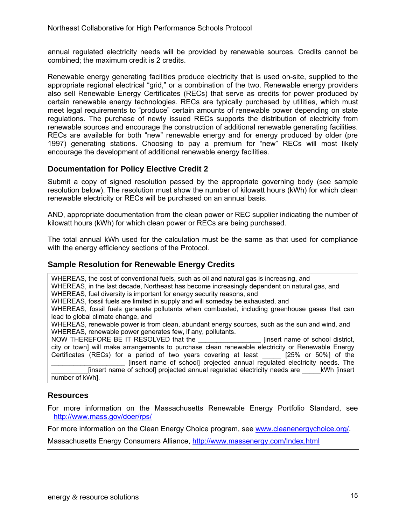annual regulated electricity needs will be provided by renewable sources. Credits cannot be combined; the maximum credit is 2 credits.

Renewable energy generating facilities produce electricity that is used on-site, supplied to the appropriate regional electrical "grid," or a combination of the two. Renewable energy providers also sell Renewable Energy Certificates (RECs) that serve as credits for power produced by certain renewable energy technologies. RECs are typically purchased by utilities, which must meet legal requirements to "produce" certain amounts of renewable power depending on state regulations. The purchase of newly issued RECs supports the distribution of electricity from renewable sources and encourage the construction of additional renewable generating facilities. RECs are available for both "new" renewable energy and for energy produced by older (pre 1997) generating stations. Choosing to pay a premium for "new" RECs will most likely encourage the development of additional renewable energy facilities.

### **Documentation for Policy Elective Credit 2**

Submit a copy of signed resolution passed by the appropriate governing body (see sample resolution below). The resolution must show the number of kilowatt hours (kWh) for which clean renewable electricity or RECs will be purchased on an annual basis.

AND, appropriate documentation from the clean power or REC supplier indicating the number of kilowatt hours (kWh) for which clean power or RECs are being purchased.

The total annual kWh used for the calculation must be the same as that used for compliance with the energy efficiency sections of the Protocol.

### **Sample Resolution for Renewable Energy Credits**

WHEREAS, the cost of conventional fuels, such as oil and natural gas is increasing, and WHEREAS, in the last decade, Northeast has become increasingly dependent on natural gas, and WHEREAS, fuel diversity is important for energy security reasons, and WHEREAS, fossil fuels are limited in supply and will someday be exhausted, and WHEREAS, fossil fuels generate pollutants when combusted, including greenhouse gases that can lead to global climate change, and WHEREAS, renewable power is from clean, abundant energy sources, such as the sun and wind, and WHEREAS, renewable power generates few, if any, pollutants. NOW THEREFORE BE IT RESOLVED that the **Example 20** [insert name of school district, city or town] will make arrangements to purchase clean renewable electricity or Renewable Energy Certificates (RECs) for a period of two years covering at least \_\_\_\_\_ [25% or 50%] of the \_\_\_\_\_\_\_\_\_\_\_\_\_\_\_\_\_\_\_\_ [insert name of school] projected annual regulated electricity needs. The [insert name of school] projected annual regulated electricity needs are \_\_\_\_\_kWh [insert number of kWh].

#### **Resources**

For more information on the Massachusetts Renewable Energy Portfolio Standard, see http://www.mass.gov/doer/rps/

For more information on the Clean Energy Choice program, see www.cleanenergychoice.org/.

Massachusetts Energy Consumers Alliance, http://www.massenergy.com/Index.html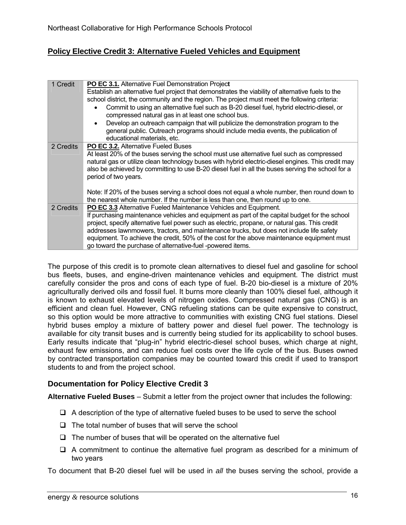### **Policy Elective Credit 3: Alternative Fueled Vehicles and Equipment**

| 1 Credit  | PO EC 3.1. Alternative Fuel Demonstration Project                                                  |
|-----------|----------------------------------------------------------------------------------------------------|
|           | Establish an alternative fuel project that demonstrates the viability of alternative fuels to the  |
|           | school district, the community and the region. The project must meet the following criteria:       |
|           | Commit to using an alternative fuel such as B-20 diesel fuel, hybrid electric-diesel, or           |
|           | compressed natural gas in at least one school bus.                                                 |
|           | Develop an outreach campaign that will publicize the demonstration program to the<br>$\bullet$     |
|           | general public. Outreach programs should include media events, the publication of                  |
|           | educational materials, etc.                                                                        |
| 2 Credits | <b>PO EC 3.2.</b> Alternative Fueled Buses                                                         |
|           | At least 20% of the buses serving the school must use alternative fuel such as compressed          |
|           | natural gas or utilize clean technology buses with hybrid electric-diesel engines. This credit may |
|           | also be achieved by committing to use B-20 diesel fuel in all the buses serving the school for a   |
|           | period of two years.                                                                               |
|           |                                                                                                    |
|           | Note: If 20% of the buses serving a school does not equal a whole number, then round down to       |
|           | the nearest whole number. If the number is less than one, then round up to one.                    |
| 2 Credits | <b>PO EC 3.3 Alternative Fueled Maintenance Vehicles and Equipment.</b>                            |
|           | If purchasing maintenance vehicles and equipment as part of the capital budget for the school      |
|           | project, specify alternative fuel power such as electric, propane, or natural gas. This credit     |
|           | addresses lawnmowers, tractors, and maintenance trucks, but does not include life safety           |
|           | equipment. To achieve the credit, 50% of the cost for the above maintenance equipment must         |
|           | go toward the purchase of alternative-fuel -powered items.                                         |

The purpose of this credit is to promote clean alternatives to diesel fuel and gasoline for school bus fleets, buses, and engine-driven maintenance vehicles and equipment. The district must carefully consider the pros and cons of each type of fuel. B-20 bio-diesel is a mixture of 20% agriculturally derived oils and fossil fuel. It burns more cleanly than 100% diesel fuel, although it is known to exhaust elevated levels of nitrogen oxides. Compressed natural gas (CNG) is an efficient and clean fuel. However, CNG refueling stations can be quite expensive to construct, so this option would be more attractive to communities with existing CNG fuel stations. Diesel hybrid buses employ a mixture of battery power and diesel fuel power. The technology is available for city transit buses and is currently being studied for its applicability to school buses. Early results indicate that "plug-in" hybrid electric-diesel school buses, which charge at night, exhaust few emissions, and can reduce fuel costs over the life cycle of the bus. Buses owned by contracted transportation companies may be counted toward this credit if used to transport students to and from the project school.

### **Documentation for Policy Elective Credit 3**

**Alternative Fueled Buses** – Submit a letter from the project owner that includes the following:

- $\Box$  A description of the type of alternative fueled buses to be used to serve the school
- $\Box$  The total number of buses that will serve the school
- $\Box$  The number of buses that will be operated on the alternative fuel
- $\Box$  A commitment to continue the alternative fuel program as described for a minimum of two years

To document that B-20 diesel fuel will be used in *all* the buses serving the school, provide a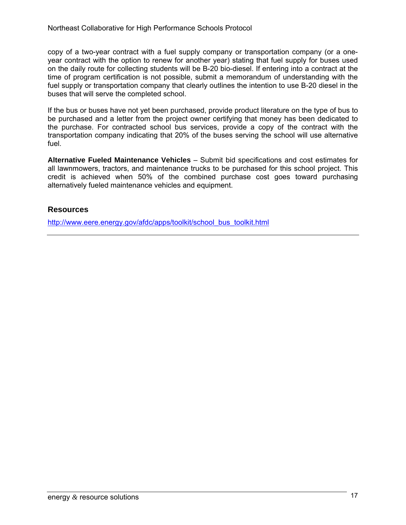copy of a two-year contract with a fuel supply company or transportation company (or a oneyear contract with the option to renew for another year) stating that fuel supply for buses used on the daily route for collecting students will be B-20 bio-diesel. If entering into a contract at the time of program certification is not possible, submit a memorandum of understanding with the fuel supply or transportation company that clearly outlines the intention to use B-20 diesel in the buses that will serve the completed school.

If the bus or buses have not yet been purchased, provide product literature on the type of bus to be purchased and a letter from the project owner certifying that money has been dedicated to the purchase. For contracted school bus services, provide a copy of the contract with the transportation company indicating that 20% of the buses serving the school will use alternative fuel.

**Alternative Fueled Maintenance Vehicles** – Submit bid specifications and cost estimates for all lawnmowers, tractors, and maintenance trucks to be purchased for this school project. This credit is achieved when 50% of the combined purchase cost goes toward purchasing alternatively fueled maintenance vehicles and equipment.

### **Resources**

http://www.eere.energy.gov/afdc/apps/toolkit/school\_bus\_toolkit.html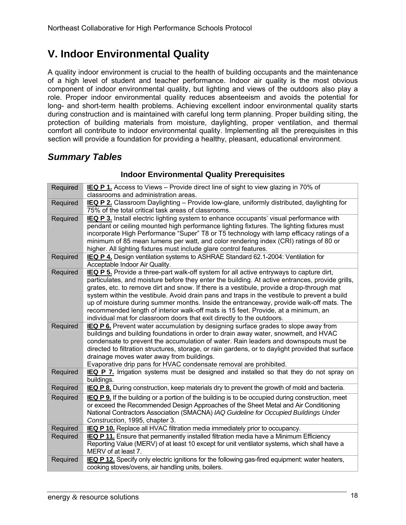### **V. Indoor Environmental Quality**

A quality indoor environment is crucial to the health of building occupants and the maintenance of a high level of student and teacher performance. Indoor air quality is the most obvious component of indoor environmental quality, but lighting and views of the outdoors also play a role. Proper indoor environmental quality reduces absenteeism and avoids the potential for long- and short-term health problems. Achieving excellent indoor environmental quality starts during construction and is maintained with careful long term planning. Proper building siting, the protection of building materials from moisture, daylighting, proper ventilation, and thermal comfort all contribute to indoor environmental quality. Implementing all the prerequisites in this section will provide a foundation for providing a healthy, pleasant, educational environment.

### *Summary Tables*

| Required | IEQ P 1. Access to Views - Provide direct line of sight to view glazing in 70% of                   |
|----------|-----------------------------------------------------------------------------------------------------|
|          | classrooms and administration areas.                                                                |
| Required | <b>IEQ P 2.</b> Classroom Daylighting – Provide low-glare, uniformly distributed, daylighting for   |
|          | 75% of the total critical task areas of classrooms.                                                 |
| Required | IEQ P 3. Install electric lighting system to enhance occupants' visual performance with             |
|          | pendant or ceiling mounted high performance lighting fixtures. The lighting fixtures must           |
|          | incorporate High Performance "Super" T8 or T5 technology with lamp efficacy ratings of a            |
|          | minimum of 85 mean lumens per watt, and color rendering index (CRI) ratings of 80 or                |
|          | higher. All lighting fixtures must include glare control features.                                  |
| Required | IEQ P 4. Design ventilation systems to ASHRAE Standard 62.1-2004: Ventilation for                   |
|          | Acceptable Indoor Air Quality.                                                                      |
| Required | IEQ P 5. Provide a three-part walk-off system for all active entryways to capture dirt,             |
|          | particulates, and moisture before they enter the building. At active entrances, provide grills,     |
|          | grates, etc. to remove dirt and snow. If there is a vestibule, provide a drop-through mat           |
|          | system within the vestibule. Avoid drain pans and traps in the vestibule to prevent a build         |
|          | up of moisture during summer months. Inside the entranceway, provide walk-off mats. The             |
|          | recommended length of interior walk-off mats is 15 feet. Provide, at a minimum, an                  |
|          | individual mat for classroom doors that exit directly to the outdoors.                              |
| Required | IEQ P 6. Prevent water accumulation by designing surface grades to slope away from                  |
|          | buildings and building foundations in order to drain away water, snowmelt, and HVAC                 |
|          | condensate to prevent the accumulation of water. Rain leaders and downspouts must be                |
|          | directed to filtration structures, storage, or rain gardens, or to daylight provided that surface   |
|          | drainage moves water away from buildings.                                                           |
|          | Evaporative drip pans for HVAC condensate removal are prohibited.                                   |
| Required | IEQ P 7. Irrigation systems must be designed and installed so that they do not spray on             |
|          | buildings.                                                                                          |
| Required | <b>IEQ P 8.</b> During construction, keep materials dry to prevent the growth of mold and bacteria. |
| Required | IEQ P 9. If the building or a portion of the building is to be occupied during construction, meet   |
|          | or exceed the Recommended Design Approaches of the Sheet Metal and Air Conditioning                 |
|          | National Contractors Association (SMACNA) IAQ Guideline for Occupied Buildings Under                |
|          | Construction, 1995, chapter 3.                                                                      |
| Required | <b>IEQ P 10.</b> Replace all HVAC filtration media immediately prior to occupancy.                  |
| Required | <b>IEQ P 11.</b> Ensure that permanently installed filtration media have a Minimum Efficiency       |
|          | Reporting Value (MERV) of at least 10 except for unit ventilator systems, which shall have a        |
|          | MERV of at least 7.                                                                                 |
| Required | IEQ P 12. Specify only electric ignitions for the following gas-fired equipment: water heaters,     |
|          | cooking stoves/ovens, air handling units, boilers.                                                  |

#### **Indoor Environmental Quality Prerequisites**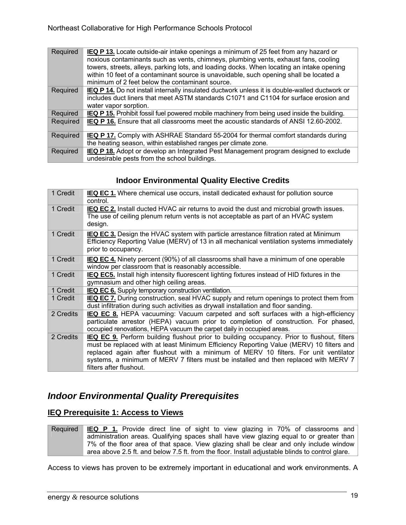| Required | <b>IEQ P 13.</b> Locate outside-air intake openings a minimum of 25 feet from any hazard or<br>noxious contaminants such as vents, chimneys, plumbing vents, exhaust fans, cooling<br>towers, streets, alleys, parking lots, and loading docks. When locating an intake opening<br>within 10 feet of a contaminant source is unavoidable, such opening shall be located a<br>minimum of 2 feet below the contaminant source. |
|----------|------------------------------------------------------------------------------------------------------------------------------------------------------------------------------------------------------------------------------------------------------------------------------------------------------------------------------------------------------------------------------------------------------------------------------|
| Required | <b>IEQ P 14.</b> Do not install internally insulated ductwork unless it is double-walled ductwork or<br>includes duct liners that meet ASTM standards C1071 and C1104 for surface erosion and<br>water vapor sorption.                                                                                                                                                                                                       |
| Required | <b>IEQ P 15.</b> Prohibit fossil fuel powered mobile machinery from being used inside the building.                                                                                                                                                                                                                                                                                                                          |
| Required | <b>IEQ P 16.</b> Ensure that all classrooms meet the acoustic standards of ANSI 12.60-2002.                                                                                                                                                                                                                                                                                                                                  |
| Required | <b>IEQ P 17.</b> Comply with ASHRAE Standard 55-2004 for thermal comfort standards during<br>the heating season, within established ranges per climate zone.                                                                                                                                                                                                                                                                 |
| Required | <b>IEQ P 18.</b> Adopt or develop an Integrated Pest Management program designed to exclude<br>undesirable pests from the school buildings.                                                                                                                                                                                                                                                                                  |

### **Indoor Environmental Quality Elective Credits**

| 1 Credit  | IEQ EC 1. Where chemical use occurs, install dedicated exhaust for pollution source<br>control.                                                                                                                                                                                                                                                                                                          |
|-----------|----------------------------------------------------------------------------------------------------------------------------------------------------------------------------------------------------------------------------------------------------------------------------------------------------------------------------------------------------------------------------------------------------------|
| 1 Credit  | <b>IEQ EC 2.</b> Install ducted HVAC air returns to avoid the dust and microbial growth issues.<br>The use of ceiling plenum return vents is not acceptable as part of an HVAC system<br>design.                                                                                                                                                                                                         |
| 1 Credit  | <b>IEQ EC 3.</b> Design the HVAC system with particle arrestance filtration rated at Minimum<br>Efficiency Reporting Value (MERV) of 13 in all mechanical ventilation systems immediately<br>prior to occupancy.                                                                                                                                                                                         |
| 1 Credit  | IEQ EC 4. Ninety percent (90%) of all classrooms shall have a minimum of one operable<br>window per classroom that is reasonably accessible.                                                                                                                                                                                                                                                             |
| 1 Credit  | <b>IEQ EC5.</b> Install high intensity fluorescent lighting fixtures instead of HID fixtures in the<br>gymnasium and other high ceiling areas.                                                                                                                                                                                                                                                           |
| 1 Credit  | IEQ EC 6. Supply temporary construction ventilation.                                                                                                                                                                                                                                                                                                                                                     |
| 1 Credit  | IEQ EC 7. During construction, seal HVAC supply and return openings to protect them from<br>dust infiltration during such activities as drywall installation and floor sanding.                                                                                                                                                                                                                          |
| 2 Credits | <b>IEQ EC 8.</b> HEPA vacuuming: Vacuum carpeted and soft surfaces with a high-efficiency<br>particulate arrestor (HEPA) vacuum prior to completion of construction. For phased,<br>occupied renovations, HEPA vacuum the carpet daily in occupied areas.                                                                                                                                                |
| 2 Credits | <b>IEQ EC 9.</b> Perform building flushout prior to building occupancy. Prior to flushout, filters<br>must be replaced with at least Minimum Efficiency Reporting Value (MERV) 10 filters and<br>replaced again after flushout with a minimum of MERV 10 filters. For unit ventilator<br>systems, a minimum of MERV 7 filters must be installed and then replaced with MERV 7<br>filters after flushout. |

### *Indoor Environmental Quality Prerequisites*

### **IEQ Prerequisite 1: Access to Views**

Required **IEQ P 1.** Provide direct line of sight to view glazing in 70% of classrooms and administration areas. Qualifying spaces shall have view glazing equal to or greater than 7% of the floor area of that space. View glazing shall be clear and only include window area above 2.5 ft. and below 7.5 ft. from the floor. Install adjustable blinds to control glare.

Access to views has proven to be extremely important in educational and work environments. A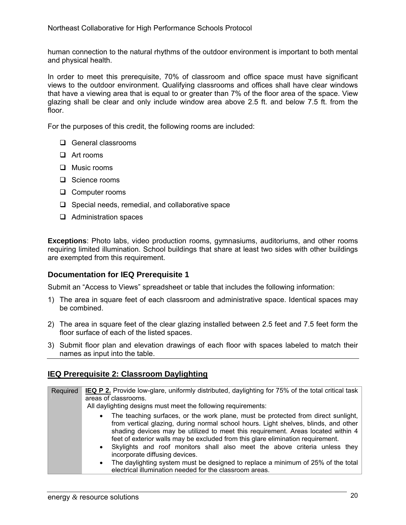human connection to the natural rhythms of the outdoor environment is important to both mental and physical health.

In order to meet this prerequisite, 70% of classroom and office space must have significant views to the outdoor environment. Qualifying classrooms and offices shall have clear windows that have a viewing area that is equal to or greater than 7% of the floor area of the space. View glazing shall be clear and only include window area above 2.5 ft. and below 7.5 ft. from the floor.

For the purposes of this credit, the following rooms are included:

- General classrooms
- **D** Art rooms
- **Q** Music rooms
- □ Science rooms
- □ Computer rooms
- $\Box$  Special needs, remedial, and collaborative space
- $\Box$  Administration spaces

**Exceptions**: Photo labs, video production rooms, gymnasiums, auditoriums, and other rooms requiring limited illumination. School buildings that share at least two sides with other buildings are exempted from this requirement.

#### **Documentation for IEQ Prerequisite 1**

Submit an "Access to Views" spreadsheet or table that includes the following information:

- 1) The area in square feet of each classroom and administrative space. Identical spaces may be combined.
- 2) The area in square feet of the clear glazing installed between 2.5 feet and 7.5 feet form the floor surface of each of the listed spaces.
- 3) Submit floor plan and elevation drawings of each floor with spaces labeled to match their names as input into the table.

### **IEQ Prerequisite 2: Classroom Daylighting**

| Required | <b>IEQ P 2.</b> Provide low-glare, uniformly distributed, daylighting for 75% of the total critical task<br>areas of classrooms.<br>All daylighting designs must meet the following requirements:                                                                                                                                                            |
|----------|--------------------------------------------------------------------------------------------------------------------------------------------------------------------------------------------------------------------------------------------------------------------------------------------------------------------------------------------------------------|
|          | The teaching surfaces, or the work plane, must be protected from direct sunlight,<br>$\bullet$<br>from vertical glazing, during normal school hours. Light shelves, blinds, and other<br>shading devices may be utilized to meet this requirement. Areas located within 4<br>feet of exterior walls may be excluded from this glare elimination requirement. |
|          | Skylights and roof monitors shall also meet the above criteria unless they<br>$\bullet$<br>incorporate diffusing devices.<br>The daylighting system must be designed to replace a minimum of 25% of the total<br>$\bullet$<br>electrical illumination needed for the classroom areas.                                                                        |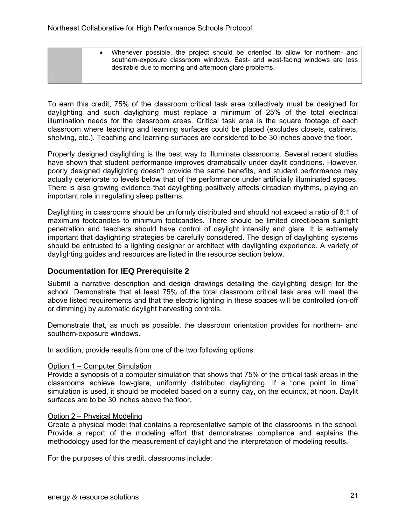• Whenever possible, the project should be oriented to allow for northern- and southern-exposure classroom windows. East- and west-facing windows are less desirable due to morning and afternoon glare problems.

To earn this credit, 75% of the classroom critical task area collectively must be designed for daylighting and such daylighting must replace a minimum of 25% of the total electrical illumination needs for the classroom areas. Critical task area is the square footage of each classroom where teaching and learning surfaces could be placed (excludes closets, cabinets, shelving, etc.). Teaching and learning surfaces are considered to be 30 inches above the floor.

Properly designed daylighting is the best way to illuminate classrooms. Several recent studies have shown that student performance improves dramatically under daylit conditions. However, poorly designed daylighting doesn't provide the same benefits, and student performance may actually deteriorate to levels below that of the performance under artificially illuminated spaces. There is also growing evidence that daylighting positively affects circadian rhythms, playing an important role in regulating sleep patterns.

Daylighting in classrooms should be uniformly distributed and should not exceed a ratio of 8:1 of maximum footcandles to minimum footcandles. There should be limited direct-beam sunlight penetration and teachers should have control of daylight intensity and glare. It is extremely important that daylighting strategies be carefully considered. The design of daylighting systems should be entrusted to a lighting designer or architect with daylighting experience. A variety of daylighting guides and resources are listed in the resource section below.

### **Documentation for IEQ Prerequisite 2**

Submit a narrative description and design drawings detailing the daylighting design for the school. Demonstrate that at least 75% of the total classroom critical task area will meet the above listed requirements and that the electric lighting in these spaces will be controlled (on-off or dimming) by automatic daylight harvesting controls.

Demonstrate that, as much as possible, the classroom orientation provides for northern- and southern-exposure windows.

In addition, provide results from one of the two following options:

#### Option 1 – Computer Simulation

Provide a synopsis of a computer simulation that shows that 75% of the critical task areas in the classrooms achieve low-glare, uniformly distributed daylighting. If a "one point in time" simulation is used, it should be modeled based on a sunny day, on the equinox, at noon. Daylit surfaces are to be 30 inches above the floor.

#### Option 2 – Physical Modeling

Create a physical model that contains a representative sample of the classrooms in the school. Provide a report of the modeling effort that demonstrates compliance and explains the methodology used for the measurement of daylight and the interpretation of modeling results.

For the purposes of this credit, classrooms include: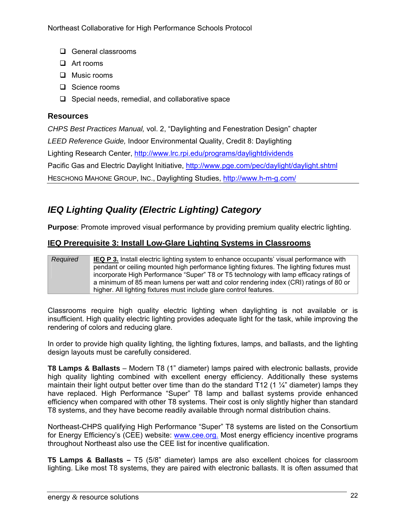- General classrooms
- $\Box$  Art rooms
- **Q** Music rooms
- □ Science rooms
- $\Box$  Special needs, remedial, and collaborative space

### **Resources**

*CHPS Best Practices Manual,* vol. 2, "Daylighting and Fenestration Design" chapter

*LEED Reference Guide,* Indoor Environmental Quality, Credit 8: Daylighting

Lighting Research Center, http://www.lrc.rpi.edu/programs/daylightdividends

Pacific Gas and Electric Daylight Initiative, http://www.pge.com/pec/daylight/daylight.shtml

HESCHONG MAHONE GROUP, INC., Daylighting Studies, http://www.h-m-g.com/

### *IEQ Lighting Quality (Electric Lighting) Category*

**Purpose**: Promote improved visual performance by providing premium quality electric lighting.

### **IEQ Prerequisite 3: Install Low-Glare Lighting Systems in Classrooms**

#### *Required* **IEQ P 3.** Install electric lighting system to enhance occupants' visual performance with pendant or ceiling mounted high performance lighting fixtures. The lighting fixtures must incorporate High Performance "Super" T8 or T5 technology with lamp efficacy ratings of a minimum of 85 mean lumens per watt and color rendering index (CRI) ratings of 80 or higher. All lighting fixtures must include glare control features.

Classrooms require high quality electric lighting when daylighting is not available or is insufficient. High quality electric lighting provides adequate light for the task, while improving the rendering of colors and reducing glare.

In order to provide high quality lighting, the lighting fixtures, lamps, and ballasts, and the lighting design layouts must be carefully considered.

**T8 Lamps & Ballasts** – Modern T8 (1" diameter) lamps paired with electronic ballasts, provide high quality lighting combined with excellent energy efficiency. Additionally these systems maintain their light output better over time than do the standard T12 (1  $\frac{1}{4}$ " diameter) lamps they have replaced. High Performance "Super" T8 lamp and ballast systems provide enhanced efficiency when compared with other T8 systems. Their cost is only slightly higher than standard T8 systems, and they have become readily available through normal distribution chains.

Northeast-CHPS qualifying High Performance "Super" T8 systems are listed on the Consortium for Energy Efficiency's (CEE) website: www.cee.org. Most energy efficiency incentive programs throughout Northeast also use the CEE list for incentive qualification.

**T5 Lamps & Ballasts –** T5 (5/8" diameter) lamps are also excellent choices for classroom lighting. Like most T8 systems, they are paired with electronic ballasts. It is often assumed that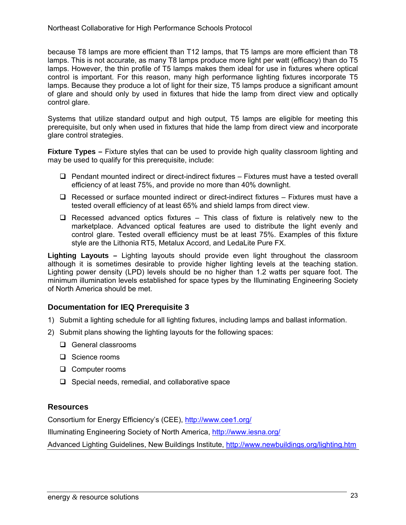because T8 lamps are more efficient than T12 lamps, that T5 lamps are more efficient than T8 lamps. This is not accurate, as many T8 lamps produce more light per watt (efficacy) than do T5 lamps. However, the thin profile of T5 lamps makes them ideal for use in fixtures where optical control is important. For this reason, many high performance lighting fixtures incorporate T5 lamps. Because they produce a lot of light for their size, T5 lamps produce a significant amount of glare and should only by used in fixtures that hide the lamp from direct view and optically control glare.

Systems that utilize standard output and high output, T5 lamps are eligible for meeting this prerequisite, but only when used in fixtures that hide the lamp from direct view and incorporate glare control strategies.

**Fixture Types –** Fixture styles that can be used to provide high quality classroom lighting and may be used to qualify for this prerequisite, include:

- $\Box$  Pendant mounted indirect or direct-indirect fixtures Fixtures must have a tested overall efficiency of at least 75%, and provide no more than 40% downlight.
- $\Box$  Recessed or surface mounted indirect or direct-indirect fixtures Fixtures must have a tested overall efficiency of at least 65% and shield lamps from direct view.
- $\Box$  Recessed advanced optics fixtures This class of fixture is relatively new to the marketplace. Advanced optical features are used to distribute the light evenly and control glare. Tested overall efficiency must be at least 75%. Examples of this fixture style are the Lithonia RT5, Metalux Accord, and LedaLite Pure FX.

**Lighting Layouts –** Lighting layouts should provide even light throughout the classroom although it is sometimes desirable to provide higher lighting levels at the teaching station. Lighting power density (LPD) levels should be no higher than 1.2 watts per square foot. The minimum illumination levels established for space types by the Illuminating Engineering Society of North America should be met.

### **Documentation for IEQ Prerequisite 3**

- 1) Submit a lighting schedule for all lighting fixtures, including lamps and ballast information.
- 2) Submit plans showing the lighting layouts for the following spaces:
	- □ General classrooms
	- □ Science rooms
	- □ Computer rooms
	- $\Box$  Special needs, remedial, and collaborative space

### **Resources**

Consortium for Energy Efficiency's (CEE), http://www.cee1.org/

Illuminating Engineering Society of North America, http://www.iesna.org/

Advanced Lighting Guidelines, New Buildings Institute, http://www.newbuildings.org/lighting.htm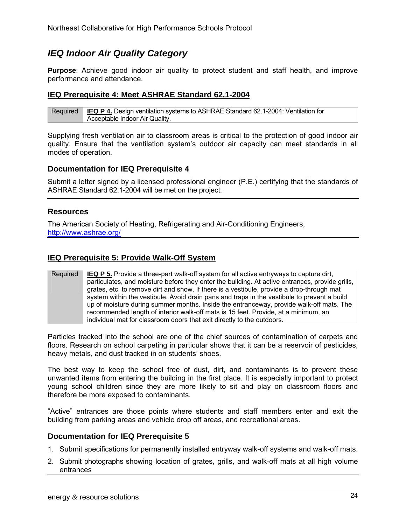### *IEQ Indoor Air Quality Category*

**Purpose**: Achieve good indoor air quality to protect student and staff health, and improve performance and attendance.

### **IEQ Prerequisite 4: Meet ASHRAE Standard 62.1-2004**

Required **IEQ P 4.** Design ventilation systems to ASHRAE Standard 62.1-2004: Ventilation for Acceptable Indoor Air Quality.

Supplying fresh ventilation air to classroom areas is critical to the protection of good indoor air quality. Ensure that the ventilation system's outdoor air capacity can meet standards in all modes of operation.

#### **Documentation for IEQ Prerequisite 4**

Submit a letter signed by a licensed professional engineer (P.E.) certifying that the standards of ASHRAE Standard 62.1-2004 will be met on the project.

#### **Resources**

The American Society of Heating, Refrigerating and Air-Conditioning Engineers, http://www.ashrae.org/

#### **IEQ Prerequisite 5: Provide Walk-Off System**

Required **IEQ P 5.** Provide a three-part walk-off system for all active entryways to capture dirt, particulates, and moisture before they enter the building. At active entrances, provide grills, grates, etc. to remove dirt and snow. If there is a vestibule, provide a drop-through mat system within the vestibule. Avoid drain pans and traps in the vestibule to prevent a build up of moisture during summer months. Inside the entranceway, provide walk-off mats. The recommended length of interior walk-off mats is 15 feet. Provide, at a minimum, an individual mat for classroom doors that exit directly to the outdoors.

Particles tracked into the school are one of the chief sources of contamination of carpets and floors. Research on school carpeting in particular shows that it can be a reservoir of pesticides, heavy metals, and dust tracked in on students' shoes.

The best way to keep the school free of dust, dirt, and contaminants is to prevent these unwanted items from entering the building in the first place. It is especially important to protect young school children since they are more likely to sit and play on classroom floors and therefore be more exposed to contaminants.

"Active" entrances are those points where students and staff members enter and exit the building from parking areas and vehicle drop off areas, and recreational areas.

#### **Documentation for IEQ Prerequisite 5**

- 1. Submit specifications for permanently installed entryway walk-off systems and walk-off mats.
- 2. Submit photographs showing location of grates, grills, and walk-off mats at all high volume entrances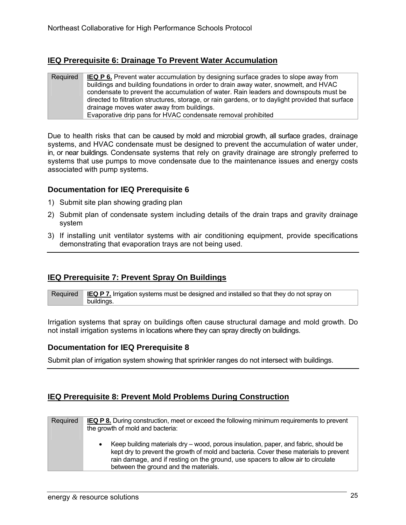### **IEQ Prerequisite 6: Drainage To Prevent Water Accumulation**

| Required | <b>IEQ P 6.</b> Prevent water accumulation by designing surface grades to slope away from         |
|----------|---------------------------------------------------------------------------------------------------|
|          |                                                                                                   |
|          | buildings and building foundations in order to drain away water, snowmelt, and HVAC               |
|          | condensate to prevent the accumulation of water. Rain leaders and downspouts must be              |
|          | directed to filtration structures, storage, or rain gardens, or to daylight provided that surface |
|          | drainage moves water away from buildings.                                                         |
|          | Evaporative drip pans for HVAC condensate removal prohibited                                      |

Due to health risks that can be caused by mold and microbial growth, all surface grades, drainage systems, and HVAC condensate must be designed to prevent the accumulation of water under, in, or near buildings. Condensate systems that rely on gravity drainage are strongly preferred to systems that use pumps to move condensate due to the maintenance issues and energy costs associated with pump systems.

### **Documentation for IEQ Prerequisite 6**

- 1) Submit site plan showing grading plan
- 2) Submit plan of condensate system including details of the drain traps and gravity drainage system
- 3) If installing unit ventilator systems with air conditioning equipment, provide specifications demonstrating that evaporation trays are not being used.

### **IEQ Prerequisite 7: Prevent Spray On Buildings**

Required **IEQ P 7.** Irrigation systems must be designed and installed so that they do not spray on buildings.

Irrigation systems that spray on buildings often cause structural damage and mold growth. Do not install irrigation systems in locations where they can spray directly on buildings.

### **Documentation for IEQ Prerequisite 8**

Submit plan of irrigation system showing that sprinkler ranges do not intersect with buildings.

### **IEQ Prerequisite 8: Prevent Mold Problems During Construction**

| Required | <b>IEQ P 8.</b> During construction, meet or exceed the following minimum requirements to prevent<br>the growth of mold and bacteria:                                                                                                                                                                     |
|----------|-----------------------------------------------------------------------------------------------------------------------------------------------------------------------------------------------------------------------------------------------------------------------------------------------------------|
|          | Keep building materials dry – wood, porous insulation, paper, and fabric, should be<br>kept dry to prevent the growth of mold and bacteria. Cover these materials to prevent<br>rain damage, and if resting on the ground, use spacers to allow air to circulate<br>between the ground and the materials. |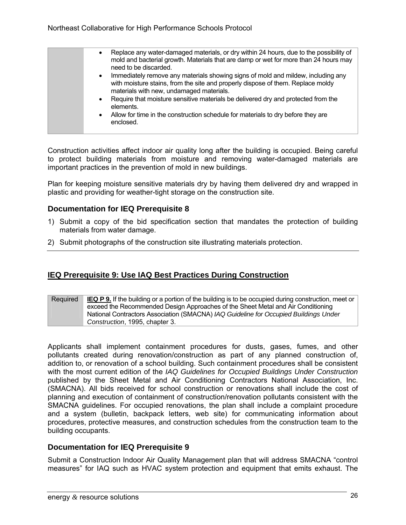| $\bullet$ | Replace any water-damaged materials, or dry within 24 hours, due to the possibility of<br>mold and bacterial growth. Materials that are damp or wet for more than 24 hours may<br>need to be discarded.         |
|-----------|-----------------------------------------------------------------------------------------------------------------------------------------------------------------------------------------------------------------|
| $\bullet$ | Immediately remove any materials showing signs of mold and mildew, including any<br>with moisture stains, from the site and properly dispose of them. Replace moldy<br>materials with new, undamaged materials. |
| $\bullet$ | Require that moisture sensitive materials be delivered dry and protected from the<br>elements.                                                                                                                  |
| $\bullet$ | Allow for time in the construction schedule for materials to dry before they are<br>enclosed.                                                                                                                   |

Construction activities affect indoor air quality long after the building is occupied. Being careful to protect building materials from moisture and removing water-damaged materials are important practices in the prevention of mold in new buildings.

Plan for keeping moisture sensitive materials dry by having them delivered dry and wrapped in plastic and providing for weather-tight storage on the construction site.

### **Documentation for IEQ Prerequisite 8**

- 1) Submit a copy of the bid specification section that mandates the protection of building materials from water damage.
- 2) Submit photographs of the construction site illustrating materials protection.

### **IEQ Prerequisite 9: Use IAQ Best Practices During Construction**

#### Required **IEQ P 9.** If the building or a portion of the building is to be occupied during construction, meet or exceed the Recommended Design Approaches of the Sheet Metal and Air Conditioning National Contractors Association (SMACNA) *IAQ Guideline for Occupied Buildings Under Construction*, 1995, chapter 3.

Applicants shall implement containment procedures for dusts, gases, fumes, and other pollutants created during renovation/construction as part of any planned construction of, addition to, or renovation of a school building. Such containment procedures shall be consistent with the most current edition of the *IAQ Guidelines for Occupied Buildings Under Construction*  published by the Sheet Metal and Air Conditioning Contractors National Association, Inc. (SMACNA). All bids received for school construction or renovations shall include the cost of planning and execution of containment of construction/renovation pollutants consistent with the SMACNA guidelines. For occupied renovations, the plan shall include a complaint procedure and a system (bulletin, backpack letters, web site) for communicating information about procedures, protective measures, and construction schedules from the construction team to the building occupants.

#### **Documentation for IEQ Prerequisite 9**

Submit a Construction Indoor Air Quality Management plan that will address SMACNA "control measures" for IAQ such as HVAC system protection and equipment that emits exhaust. The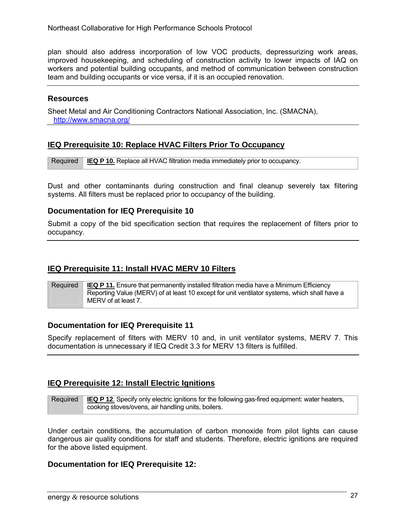plan should also address incorporation of low VOC products, depressurizing work areas, improved housekeeping, and scheduling of construction activity to lower impacts of IAQ on workers and potential building occupants, and method of communication between construction team and building occupants or vice versa, if it is an occupied renovation.

### **Resources**

Sheet Metal and Air Conditioning Contractors National Association, Inc. (SMACNA), http://www.smacna.org/

### **IEQ Prerequisite 10: Replace HVAC Filters Prior To Occupancy**

Required **IEQ P 10.** Replace all HVAC filtration media immediately prior to occupancy.

Dust and other contaminants during construction and final cleanup severely tax filtering systems. All filters must be replaced prior to occupancy of the building.

### **Documentation for IEQ Prerequisite 10**

Submit a copy of the bid specification section that requires the replacement of filters prior to occupancy.

### **IEQ Prerequisite 11: Install HVAC MERV 10 Filters**

Required **IEQ P 11.** Ensure that permanently installed filtration media have a Minimum Efficiency Reporting Value (MERV) of at least 10 except for unit ventilator systems, which shall have a MERV of at least 7.

### **Documentation for IEQ Prerequisite 11**

Specify replacement of filters with MERV 10 and, in unit ventilator systems, MERV 7. This documentation is unnecessary if IEQ Credit 3.3 for MERV 13 filters is fulfilled.

### **IEQ Prerequisite 12: Install Electric Ignitions**

Required **IEQ P 12**. Specify only electric ignitions for the following gas-fired equipment: water heaters, cooking stoves/ovens, air handling units, boilers.

Under certain conditions, the accumulation of carbon monoxide from pilot lights can cause dangerous air quality conditions for staff and students. Therefore, electric ignitions are required for the above listed equipment.

#### **Documentation for IEQ Prerequisite 12:**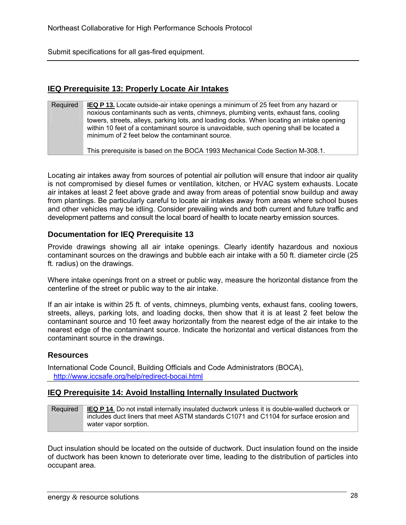Submit specifications for all gas-fired equipment.

### **IEQ Prerequisite 13: Properly Locate Air Intakes**

| Required | <b>IEQ P 13.</b> Locate outside-air intake openings a minimum of 25 feet from any hazard or<br>noxious contaminants such as vents, chimneys, plumbing vents, exhaust fans, cooling<br>towers, streets, alleys, parking lots, and loading docks. When locating an intake opening<br>within 10 feet of a contaminant source is unavoidable, such opening shall be located a<br>minimum of 2 feet below the contaminant source. |
|----------|------------------------------------------------------------------------------------------------------------------------------------------------------------------------------------------------------------------------------------------------------------------------------------------------------------------------------------------------------------------------------------------------------------------------------|
|          | This prerequisite is based on the BOCA 1993 Mechanical Code Section M-308.1.                                                                                                                                                                                                                                                                                                                                                 |

Locating air intakes away from sources of potential air pollution will ensure that indoor air quality is not compromised by diesel fumes or ventilation, kitchen, or HVAC system exhausts. Locate air intakes at least 2 feet above grade and away from areas of potential snow buildup and away from plantings. Be particularly careful to locate air intakes away from areas where school buses and other vehicles may be idling. Consider prevailing winds and both current and future traffic and development patterns and consult the local board of health to locate nearby emission sources.

### **Documentation for IEQ Prerequisite 13**

Provide drawings showing all air intake openings. Clearly identify hazardous and noxious contaminant sources on the drawings and bubble each air intake with a 50 ft. diameter circle (25 ft. radius) on the drawings.

Where intake openings front on a street or public way, measure the horizontal distance from the centerline of the street or public way to the air intake.

If an air intake is within 25 ft. of vents, chimneys, plumbing vents, exhaust fans, cooling towers, streets, alleys, parking lots, and loading docks, then show that it is at least 2 feet below the contaminant source and 10 feet away horizontally from the nearest edge of the air intake to the nearest edge of the contaminant source. Indicate the horizontal and vertical distances from the contaminant source in the drawings.

### **Resources**

International Code Council, Building Officials and Code Administrators (BOCA), http://www.iccsafe.org/help/redirect-bocai.html

#### **IEQ Prerequisite 14: Avoid Installing Internally Insulated Ductwork**

| Required | <b>IEQ P 14.</b> Do not install internally insulated ductwork unless it is double-walled ductwork or |
|----------|------------------------------------------------------------------------------------------------------|
|          | includes duct liners that meet ASTM standards C1071 and C1104 for surface erosion and                |
|          | water vapor sorption.                                                                                |

Duct insulation should be located on the outside of ductwork. Duct insulation found on the inside of ductwork has been known to deteriorate over time, leading to the distribution of particles into occupant area.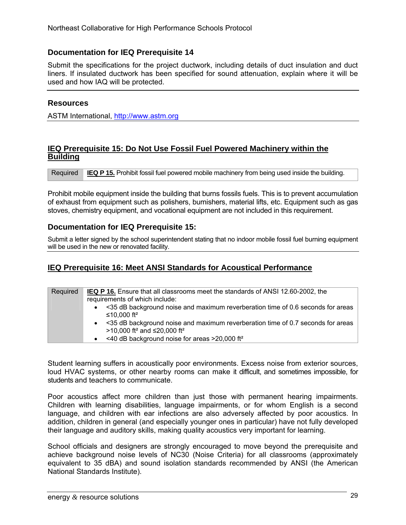### **Documentation for IEQ Prerequisite 14**

Submit the specifications for the project ductwork, including details of duct insulation and duct liners. If insulated ductwork has been specified for sound attenuation, explain where it will be used and how IAQ will be protected.

### **Resources**

ASTM International, http://www.astm.org

### **IEQ Prerequisite 15: Do Not Use Fossil Fuel Powered Machinery within the Building**

Required **IEQ P 15.** Prohibit fossil fuel powered mobile machinery from being used inside the building.

Prohibit mobile equipment inside the building that burns fossils fuels. This is to prevent accumulation of exhaust from equipment such as polishers, burnishers, material lifts, etc. Equipment such as gas stoves, chemistry equipment, and vocational equipment are not included in this requirement.

### **Documentation for IEQ Prerequisite 15:**

Submit a letter signed by the school superintendent stating that no indoor mobile fossil fuel burning equipment will be used in the new or renovated facility.

### **IEQ Prerequisite 16: Meet ANSI Standards for Acoustical Performance**

| Required | <b>IEQ P 16.</b> Ensure that all classrooms meet the standards of ANSI 12.60-2002, the<br>requirements of which include:               |
|----------|----------------------------------------------------------------------------------------------------------------------------------------|
|          | <35 dB background noise and maximum reverberation time of 0.6 seconds for areas<br>≤10.000 ft <sup>2</sup>                             |
|          | <35 dB background noise and maximum reverberation time of 0.7 seconds for areas<br>>10,000 ft <sup>2</sup> and ≤20,000 ft <sup>2</sup> |
|          | <40 dB background noise for areas >20,000 ft <sup>2</sup><br>$\bullet$                                                                 |

Student learning suffers in acoustically poor environments. Excess noise from exterior sources, loud HVAC systems, or other nearby rooms can make it difficult, and sometimes impossible, for students and teachers to communicate.

Poor acoustics affect more children than just those with permanent hearing impairments. Children with learning disabilities, language impairments, or for whom English is a second language, and children with ear infections are also adversely affected by poor acoustics. In addition, children in general (and especially younger ones in particular) have not fully developed their language and auditory skills, making quality acoustics very important for learning.

School officials and designers are strongly encouraged to move beyond the prerequisite and achieve background noise levels of NC30 (Noise Criteria) for all classrooms (approximately equivalent to 35 dBA) and sound isolation standards recommended by ANSI (the American National Standards Institute).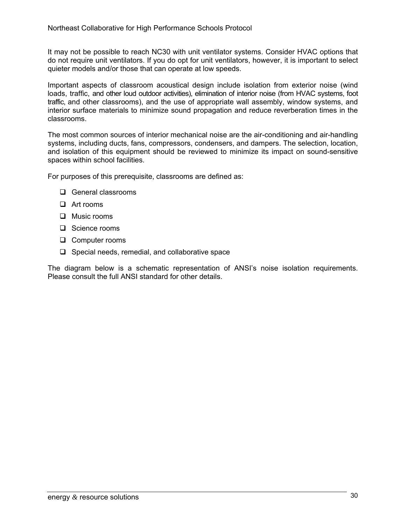It may not be possible to reach NC30 with unit ventilator systems. Consider HVAC options that do not require unit ventilators. If you do opt for unit ventilators, however, it is important to select quieter models and/or those that can operate at low speeds.

Important aspects of classroom acoustical design include isolation from exterior noise (wind loads, traffic, and other loud outdoor activities), elimination of interior noise (from HVAC systems, foot traffic, and other classrooms), and the use of appropriate wall assembly, window systems, and interior surface materials to minimize sound propagation and reduce reverberation times in the classrooms.

The most common sources of interior mechanical noise are the air-conditioning and air-handling systems, including ducts, fans, compressors, condensers, and dampers. The selection, location, and isolation of this equipment should be reviewed to minimize its impact on sound-sensitive spaces within school facilities.

For purposes of this prerequisite, classrooms are defined as:

- **Q** General classrooms
- **D** Art rooms
- $\Box$  Music rooms
- □ Science rooms
- □ Computer rooms
- $\Box$  Special needs, remedial, and collaborative space

The diagram below is a schematic representation of ANSI's noise isolation requirements. Please consult the full ANSI standard for other details.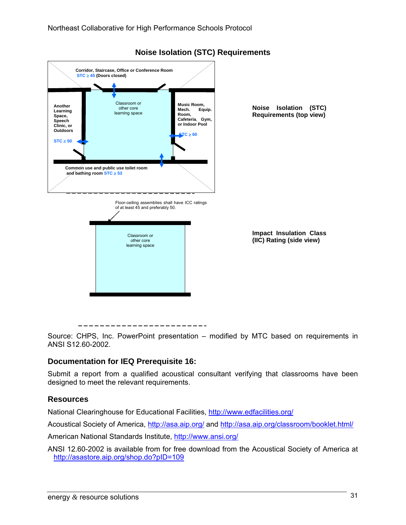

## **Noise Isolation (STC) Requirements**



Source: CHPS, Inc. PowerPoint presentation – modified by MTC based on requirements in ANSI S12.60-2002.

## **Documentation for IEQ Prerequisite 16:**

Submit a report from a qualified acoustical consultant verifying that classrooms have been designed to meet the relevant requirements.

## **Resources**

National Clearinghouse for Educational Facilities, http://www.edfacilities.org/

Acoustical Society of America, http://asa.aip.org/ and http://asa.aip.org/classroom/booklet.html/

American National Standards Institute, http://www.ansi.org/

ANSI 12.60-2002 is available from for free download from the Acoustical Society of America at http://asastore.aip.org/shop.do?pID=109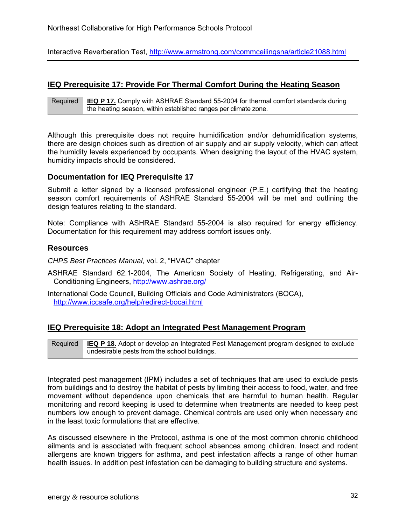Interactive Reverberation Test, http://www.armstrong.com/commceilingsna/article21088.html

## **IEQ Prerequisite 17: Provide For Thermal Comfort During the Heating Season**

Required **IEQ P 17.** Comply with ASHRAE Standard 55-2004 for thermal comfort standards during the heating season, within established ranges per climate zone.

Although this prerequisite does not require humidification and/or dehumidification systems, there are design choices such as direction of air supply and air supply velocity, which can affect the humidity levels experienced by occupants. When designing the layout of the HVAC system, humidity impacts should be considered.

#### **Documentation for IEQ Prerequisite 17**

Submit a letter signed by a licensed professional engineer (P.E.) certifying that the heating season comfort requirements of ASHRAE Standard 55-2004 will be met and outlining the design features relating to the standard.

Note: Compliance with ASHRAE Standard 55-2004 is also required for energy efficiency. Documentation for this requirement may address comfort issues only.

#### **Resources**

*CHPS Best Practices Manual*, vol. 2, "HVAC" chapter

ASHRAE Standard 62.1-2004, The American Society of Heating, Refrigerating, and Air-Conditioning Engineers, http://www.ashrae.org/

International Code Council, Building Officials and Code Administrators (BOCA), http://www.iccsafe.org/help/redirect-bocai.html

#### **IEQ Prerequisite 18: Adopt an Integrated Pest Management Program**

Required **IEQ P 18.** Adopt or develop an Integrated Pest Management program designed to exclude undesirable pests from the school buildings.

Integrated pest management (IPM) includes a set of techniques that are used to exclude pests from buildings and to destroy the habitat of pests by limiting their access to food, water, and free movement without dependence upon chemicals that are harmful to human health. Regular monitoring and record keeping is used to determine when treatments are needed to keep pest numbers low enough to prevent damage. Chemical controls are used only when necessary and in the least toxic formulations that are effective.

As discussed elsewhere in the Protocol, asthma is one of the most common chronic childhood ailments and is associated with frequent school absences among children. Insect and rodent allergens are known triggers for asthma, and pest infestation affects a range of other human health issues. In addition pest infestation can be damaging to building structure and systems.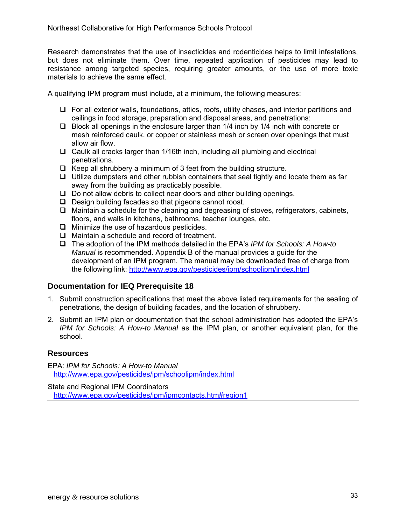Research demonstrates that the use of insecticides and rodenticides helps to limit infestations, but does not eliminate them. Over time, repeated application of pesticides may lead to resistance among targeted species, requiring greater amounts, or the use of more toxic materials to achieve the same effect.

A qualifying IPM program must include, at a minimum, the following measures:

- $\Box$  For all exterior walls, foundations, attics, roofs, utility chases, and interior partitions and ceilings in food storage, preparation and disposal areas, and penetrations:
- $\Box$  Block all openings in the enclosure larger than 1/4 inch by 1/4 inch with concrete or mesh reinforced caulk, or copper or stainless mesh or screen over openings that must allow air flow.
- $\Box$  Caulk all cracks larger than 1/16th inch, including all plumbing and electrical penetrations.
- $\Box$  Keep all shrubbery a minimum of 3 feet from the building structure.
- $\Box$  Utilize dumpsters and other rubbish containers that seal tightly and locate them as far away from the building as practicably possible.
- $\Box$  Do not allow debris to collect near doors and other building openings.
- $\Box$  Design building facades so that pigeons cannot roost.
- $\Box$  Maintain a schedule for the cleaning and degreasing of stoves, refrigerators, cabinets, floors, and walls in kitchens, bathrooms, teacher lounges, etc.
- $\Box$  Minimize the use of hazardous pesticides.
- $\Box$  Maintain a schedule and record of treatment.
- The adoption of the IPM methods detailed in the EPA's *IPM for Schools: A How-to Manual* is recommended. Appendix B of the manual provides a guide for the development of an IPM program. The manual may be downloaded free of charge from the following link: http://www.epa.gov/pesticides/ipm/schoolipm/index.html

## **Documentation for IEQ Prerequisite 18**

- 1. Submit construction specifications that meet the above listed requirements for the sealing of penetrations, the design of building facades, and the location of shrubbery.
- 2. Submit an IPM plan or documentation that the school administration has adopted the EPA's *IPM for Schools: A How-to Manual* as the IPM plan, or another equivalent plan, for the school.

#### **Resources**

EPA: *IPM for Schools: A How-to Manual*  http://www.epa.gov/pesticides/ipm/schoolipm/index.html

State and Regional IPM Coordinators http://www.epa.gov/pesticides/ipm/ipmcontacts.htm#region1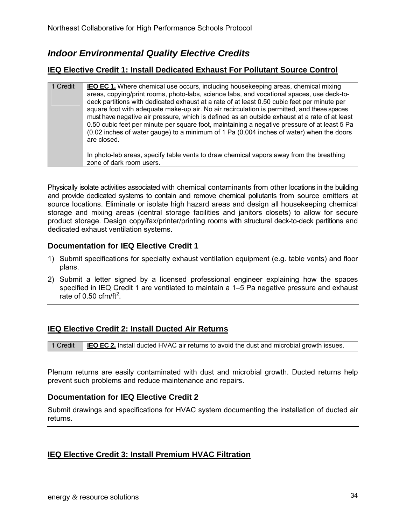# *Indoor Environmental Quality Elective Credits*

## **IEQ Elective Credit 1: Install Dedicated Exhaust For Pollutant Source Control**

1 Credit **IEQ EC 1.** Where chemical use occurs, including housekeeping areas, chemical mixing areas, copying/print rooms, photo-labs, science labs, and vocational spaces, use deck-todeck partitions with dedicated exhaust at a rate of at least 0.50 cubic feet per minute per square foot with adequate make-up air. No air recirculation is permitted, and these spaces must have negative air pressure, which is defined as an outside exhaust at a rate of at least 0.50 cubic feet per minute per square foot, maintaining a negative pressure of at least 5 Pa (0.02 inches of water gauge) to a minimum of 1 Pa (0.004 inches of water) when the doors are closed. In photo-lab areas, specify table vents to draw chemical vapors away from the breathing

Physically isolate activities associated with chemical contaminants from other locations in the building and provide dedicated systems to contain and remove chemical pollutants from source emitters at source locations. Eliminate or isolate high hazard areas and design all housekeeping chemical storage and mixing areas (central storage facilities and janitors closets) to allow for secure product storage. Design copy/fax/printer/printing rooms with structural deck-to-deck partitions and dedicated exhaust ventilation systems.

## **Documentation for IEQ Elective Credit 1**

zone of dark room users.

- 1) Submit specifications for specialty exhaust ventilation equipment (e.g. table vents) and floor plans.
- 2) Submit a letter signed by a licensed professional engineer explaining how the spaces specified in IEQ Credit 1 are ventilated to maintain a 1–5 Pa negative pressure and exhaust rate of  $0.50$  cfm/ft<sup>2</sup>.

## **IEQ Elective Credit 2: Install Ducted Air Returns**



Plenum returns are easily contaminated with dust and microbial growth. Ducted returns help prevent such problems and reduce maintenance and repairs.

## **Documentation for IEQ Elective Credit 2**

Submit drawings and specifications for HVAC system documenting the installation of ducted air returns.

## **IEQ Elective Credit 3: Install Premium HVAC Filtration**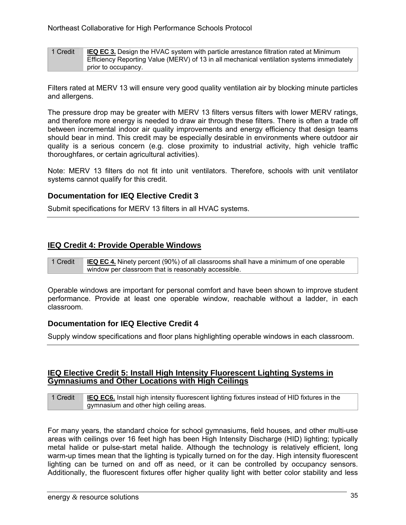| 1 Credit | <b>IEQ EC 3.</b> Design the HVAC system with particle arrestance filtration rated at Minimum |
|----------|----------------------------------------------------------------------------------------------|
|          | Efficiency Reporting Value (MERV) of 13 in all mechanical ventilation systems immediately    |
|          | prior to occupancy.                                                                          |

Filters rated at MERV 13 will ensure very good quality ventilation air by blocking minute particles and allergens.

The pressure drop may be greater with MERV 13 filters versus filters with lower MERV ratings, and therefore more energy is needed to draw air through these filters. There is often a trade off between incremental indoor air quality improvements and energy efficiency that design teams should bear in mind. This credit may be especially desirable in environments where outdoor air quality is a serious concern (e.g. close proximity to industrial activity, high vehicle traffic thoroughfares, or certain agricultural activities).

Note: MERV 13 filters do not fit into unit ventilators. Therefore, schools with unit ventilator systems cannot qualify for this credit.

#### **Documentation for IEQ Elective Credit 3**

Submit specifications for MERV 13 filters in all HVAC systems.

#### **IEQ Credit 4: Provide Operable Windows**

1 Credit **IEQ EC 4.** Ninety percent (90%) of all classrooms shall have a minimum of one operable window per classroom that is reasonably accessible.

Operable windows are important for personal comfort and have been shown to improve student performance. Provide at least one operable window, reachable without a ladder, in each classroom.

#### **Documentation for IEQ Elective Credit 4**

Supply window specifications and floor plans highlighting operable windows in each classroom.

#### **IEQ Elective Credit 5: Install High Intensity Fluorescent Lighting Systems in Gymnasiums and Other Locations with High Ceilings**

1 Credit **IEQ EC6.** Install high intensity fluorescent lighting fixtures instead of HID fixtures in the gymnasium and other high ceiling areas.

For many years, the standard choice for school gymnasiums, field houses, and other multi-use areas with ceilings over 16 feet high has been High Intensity Discharge (HID) lighting; typically metal halide or pulse-start metal halide. Although the technology is relatively efficient, long warm-up times mean that the lighting is typically turned on for the day. High intensity fluorescent lighting can be turned on and off as need, or it can be controlled by occupancy sensors. Additionally, the fluorescent fixtures offer higher quality light with better color stability and less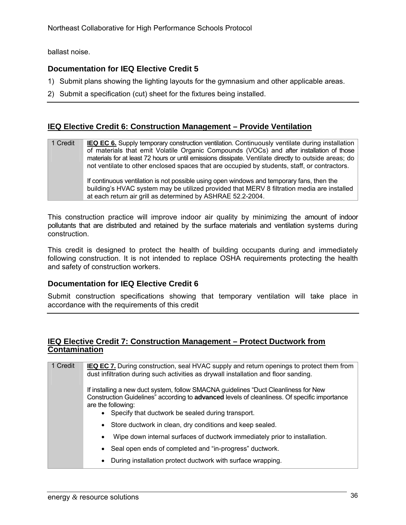ballast noise.

## **Documentation for IEQ Elective Credit 5**

- 1) Submit plans showing the lighting layouts for the gymnasium and other applicable areas.
- 2) Submit a specification (cut) sheet for the fixtures being installed.

## **IEQ Elective Credit 6: Construction Management – Provide Ventilation**

| 1 Credit | <b>IEQ EC 6.</b> Supply temporary construction ventilation. Continuously ventilate during installation |
|----------|--------------------------------------------------------------------------------------------------------|
|          | of materials that emit Volatile Organic Compounds (VOCs) and after installation of those               |
|          | materials for at least 72 hours or until emissions dissipate. Ventilate directly to outside areas; do  |
|          | not ventilate to other enclosed spaces that are occupied by students, staff, or contractors.           |
|          |                                                                                                        |
|          | If continuous ventilation is not possible using open windows and temporary fans, then the              |
|          | building's HVAC system may be utilized provided that MERV 8 filtration media are installed             |
|          | at each return air grill as determined by ASHRAE 52.2-2004.                                            |

This construction practice will improve indoor air quality by minimizing the amount of indoor pollutants that are distributed and retained by the surface materials and ventilation systems during construction.

This credit is designed to protect the health of building occupants during and immediately following construction. It is not intended to replace OSHA requirements protecting the health and safety of construction workers.

#### **Documentation for IEQ Elective Credit 6**

Submit construction specifications showing that temporary ventilation will take place in accordance with the requirements of this credit

## **IEQ Elective Credit 7: Construction Management – Protect Ductwork from Contamination**

| 1 Credit | <b>IEQ EC 7.</b> During construction, seal HVAC supply and return openings to protect them from<br>dust infiltration during such activities as drywall installation and floor sanding.                    |
|----------|-----------------------------------------------------------------------------------------------------------------------------------------------------------------------------------------------------------|
|          | If installing a new duct system, follow SMACNA guidelines "Duct Cleanliness for New<br>Construction Guidelines" according to advanced levels of cleanliness. Of specific importance<br>are the following: |
|          | • Specify that ductwork be sealed during transport.                                                                                                                                                       |
|          | • Store ductwork in clean, dry conditions and keep sealed.                                                                                                                                                |
|          | Wipe down internal surfaces of ductwork immediately prior to installation.<br>٠                                                                                                                           |
|          | • Seal open ends of completed and "in-progress" ductwork.                                                                                                                                                 |
|          | During installation protect ductwork with surface wrapping.<br>$\bullet$                                                                                                                                  |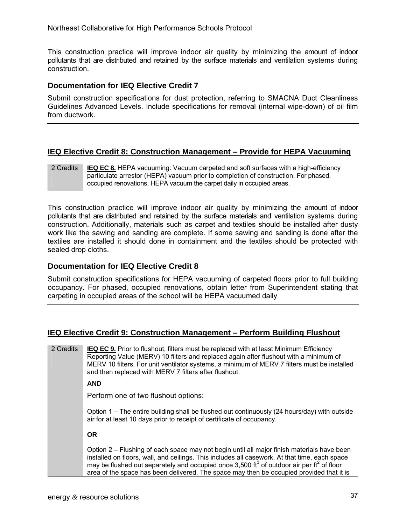Northeast Collaborative for High Performance Schools Protocol

This construction practice will improve indoor air quality by minimizing the amount of indoor pollutants that are distributed and retained by the surface materials and ventilation systems during construction.

#### **Documentation for IEQ Elective Credit 7**

Submit construction specifications for dust protection, referring to SMACNA Duct Cleanliness Guidelines Advanced Levels. Include specifications for removal (internal wipe-down) of oil film from ductwork.

## **IEQ Elective Credit 8: Construction Management – Provide for HEPA Vacuuming**

| 2 Credits | <b>IEQ EC 8.</b> HEPA vacuuming: Vacuum carpeted and soft surfaces with a high-efficiency |
|-----------|-------------------------------------------------------------------------------------------|
|           | particulate arrestor (HEPA) vacuum prior to completion of construction. For phased,       |
|           | occupied renovations, HEPA vacuum the carpet daily in occupied areas.                     |

This construction practice will improve indoor air quality by minimizing the amount of indoor pollutants that are distributed and retained by the surface materials and ventilation systems during construction. Additionally, materials such as carpet and textiles should be installed after dusty work like the sawing and sanding are complete. If some sawing and sanding is done after the textiles are installed it should done in containment and the textiles should be protected with sealed drop cloths.

#### **Documentation for IEQ Elective Credit 8**

Submit construction specifications for HEPA vacuuming of carpeted floors prior to full building occupancy. For phased, occupied renovations, obtain letter from Superintendent stating that carpeting in occupied areas of the school will be HEPA vacuumed daily

## **IEQ Elective Credit 9: Construction Management – Perform Building Flushout**

2 Credits **IEQ EC 9.** Prior to flushout, filters must be replaced with at least Minimum Efficiency Reporting Value (MERV) 10 filters and replaced again after flushout with a minimum of MERV 10 filters. For unit ventilator systems, a minimum of MERV 7 filters must be installed and then replaced with MERV 7 filters after flushout. **AND**  Perform one of two flushout options: Option 1 – The entire building shall be flushed out continuously (24 hours/day) with outside air for at least 10 days prior to receipt of certificate of occupancy. **OR**  Option 2 – Flushing of each space may not begin until all major finish materials have been installed on floors, wall, and ceilings. This includes all casework. At that time, each space may be flushed out separately and occupied once 3,500 ft<sup>3</sup> of outdoor air per ft<sup>2</sup> of floor area of the space has been delivered. The space may then be occupied provided that it is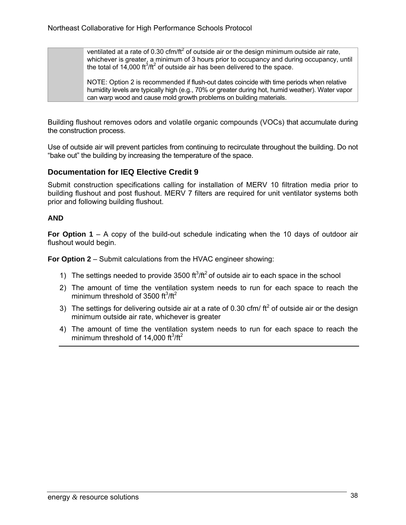ventilated at a rate of 0.30 cfm/ft<sup>2</sup> of outside air or the design minimum outside air rate, whichever is greater, a minimum of 3 hours prior to occupancy and during occupancy, until the total of 14,000  $\text{ft}^3/\text{ft}^2$  of outside air has been delivered to the space.

NOTE: Option 2 is recommended if flush-out dates coincide with time periods when relative humidity levels are typically high (e.g., 70% or greater during hot, humid weather). Water vapor can warp wood and cause mold growth problems on building materials.

Building flushout removes odors and volatile organic compounds (VOCs) that accumulate during the construction process.

Use of outside air will prevent particles from continuing to recirculate throughout the building. Do not "bake out" the building by increasing the temperature of the space.

## **Documentation for IEQ Elective Credit 9**

Submit construction specifications calling for installation of MERV 10 filtration media prior to building flushout and post flushout. MERV 7 filters are required for unit ventilator systems both prior and following building flushout.

#### **AND**

**For Option 1** – A copy of the build-out schedule indicating when the 10 days of outdoor air flushout would begin.

**For Option 2** – Submit calculations from the HVAC engineer showing:

- 1) The settings needed to provide  $3500 \text{ ft}^3/\text{ft}^2$  of outside air to each space in the school
- 2) The amount of time the ventilation system needs to run for each space to reach the minimum threshold of 3500  $ft^3/ft^2$
- 3) The settings for delivering outside air at a rate of 0.30 cfm/  $ft<sup>2</sup>$  of outside air or the design minimum outside air rate, whichever is greater
- 4) The amount of time the ventilation system needs to run for each space to reach the minimum threshold of 14,000 ft $^3$ /ft $^2$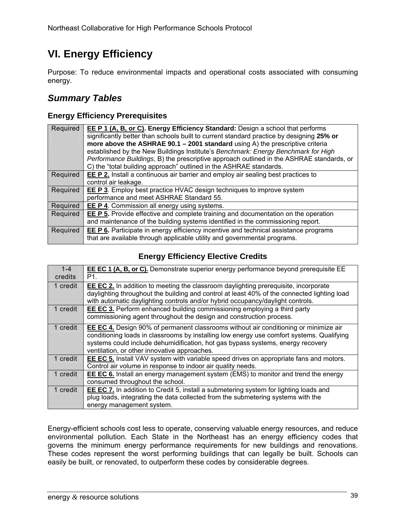# **VI. Energy Efficiency**

Purpose: To reduce environmental impacts and operational costs associated with consuming energy.

## *Summary Tables*

## **Energy Efficiency Prerequisites**

| Required | <b>EE P 1 (A, B, or C). Energy Efficiency Standard:</b> Design a school that performs<br>significantly better than schools built to current standard practice by designing 25% or<br>more above the ASHRAE $90.1 - 2001$ standard using A) the prescriptive criteria<br>established by the New Buildings Institute's Benchmark: Energy Benchmark for High<br>Performance Buildings, B) the prescriptive approach outlined in the ASHRAE standards, or<br>C) the "total building approach" outlined in the ASHRAE standards. |
|----------|-----------------------------------------------------------------------------------------------------------------------------------------------------------------------------------------------------------------------------------------------------------------------------------------------------------------------------------------------------------------------------------------------------------------------------------------------------------------------------------------------------------------------------|
| Required | <b>EE P 2.</b> Install a continuous air barrier and employ air sealing best practices to                                                                                                                                                                                                                                                                                                                                                                                                                                    |
|          | control air leakage.                                                                                                                                                                                                                                                                                                                                                                                                                                                                                                        |
| Required | <b>EE P 3</b> . Employ best practice HVAC design techniques to improve system                                                                                                                                                                                                                                                                                                                                                                                                                                               |
|          | performance and meet ASHRAE Standard 55.                                                                                                                                                                                                                                                                                                                                                                                                                                                                                    |
| Required | <b>EE P 4.</b> Commission all energy using systems.                                                                                                                                                                                                                                                                                                                                                                                                                                                                         |
| Required | <b>EE P 5.</b> Provide effective and complete training and documentation on the operation                                                                                                                                                                                                                                                                                                                                                                                                                                   |
|          | and maintenance of the building systems identified in the commissioning report.                                                                                                                                                                                                                                                                                                                                                                                                                                             |
| Required | <b>EE P 6.</b> Participate in energy efficiency incentive and technical assistance programs<br>that are available through applicable utility and governmental programs.                                                                                                                                                                                                                                                                                                                                                     |

## **Energy Efficiency Elective Credits**

| $1 - 4$<br>credits | <b>EE EC 1 (A, B, or C).</b> Demonstrate superior energy performance beyond prerequisite EE<br>P <sub>1.</sub>                                                                                                                                                                                                              |
|--------------------|-----------------------------------------------------------------------------------------------------------------------------------------------------------------------------------------------------------------------------------------------------------------------------------------------------------------------------|
| 1 credit           | <b>EE EC 2.</b> In addition to meeting the classroom daylighting prerequisite, incorporate<br>daylighting throughout the building and control at least 40% of the connected lighting load<br>with automatic daylighting controls and/or hybrid occupancy/daylight controls.                                                 |
| 1 credit           | EE EC 3. Perform enhanced building commissioning employing a third party<br>commissioning agent throughout the design and construction process.                                                                                                                                                                             |
| 1 credit           | <b>EE EC 4.</b> Design 90% of permanent classrooms without air conditioning or minimize air<br>conditioning loads in classrooms by installing low energy use comfort systems. Qualifying<br>systems could include dehumidification, hot gas bypass systems, energy recovery<br>ventilation, or other innovative approaches. |
| 1 credit           | <b>EE EC 5.</b> Install VAV system with variable speed drives on appropriate fans and motors.<br>Control air volume in response to indoor air quality needs.                                                                                                                                                                |
| 1 credit           | <b>EE EC 6.</b> Install an energy management system (EMS) to monitor and trend the energy<br>consumed throughout the school.                                                                                                                                                                                                |
| 1 credit           | <b>EE EC 7.</b> In addition to Credit 5, install a submetering system for lighting loads and<br>plug loads, integrating the data collected from the submetering systems with the<br>energy management system.                                                                                                               |

Energy-efficient schools cost less to operate, conserving valuable energy resources, and reduce environmental pollution. Each State in the Northeast has an energy efficiency codes that governs the minimum energy performance requirements for new buildings and renovations. These codes represent the worst performing buildings that can legally be built. Schools can easily be built, or renovated, to outperform these codes by considerable degrees.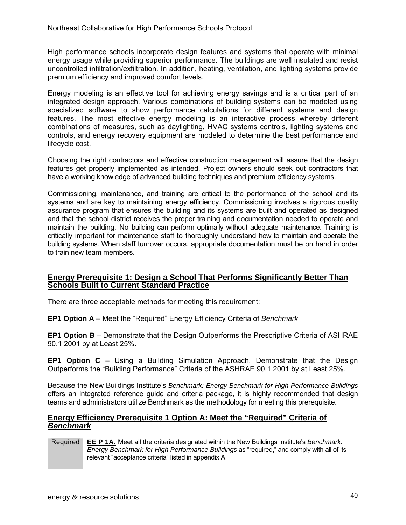High performance schools incorporate design features and systems that operate with minimal energy usage while providing superior performance. The buildings are well insulated and resist uncontrolled infiltration/exfiltration. In addition, heating, ventilation, and lighting systems provide premium efficiency and improved comfort levels.

Energy modeling is an effective tool for achieving energy savings and is a critical part of an integrated design approach. Various combinations of building systems can be modeled using specialized software to show performance calculations for different systems and design features. The most effective energy modeling is an interactive process whereby different combinations of measures, such as daylighting, HVAC systems controls, lighting systems and controls, and energy recovery equipment are modeled to determine the best performance and lifecycle cost.

Choosing the right contractors and effective construction management will assure that the design features get properly implemented as intended. Project owners should seek out contractors that have a working knowledge of advanced building techniques and premium efficiency systems.

Commissioning, maintenance, and training are critical to the performance of the school and its systems and are key to maintaining energy efficiency. Commissioning involves a rigorous quality assurance program that ensures the building and its systems are built and operated as designed and that the school district receives the proper training and documentation needed to operate and maintain the building. No building can perform optimally without adequate maintenance. Training is critically important for maintenance staff to thoroughly understand how to maintain and operate the building systems. When staff turnover occurs, appropriate documentation must be on hand in order to train new team members.

#### **Energy Prerequisite 1: Design a School That Performs Significantly Better Than Schools Built to Current Standard Practice**

There are three acceptable methods for meeting this requirement:

**EP1 Option A** – Meet the "Required" Energy Efficiency Criteria of *Benchmark*

**EP1 Option B** – Demonstrate that the Design Outperforms the Prescriptive Criteria of ASHRAE 90.1 2001 by at Least 25%.

**EP1 Option C** – Using a Building Simulation Approach, Demonstrate that the Design Outperforms the "Building Performance" Criteria of the ASHRAE 90.1 2001 by at Least 25%.

Because the New Buildings Institute's *Benchmark: Energy Benchmark for High Performance Buildings*  offers an integrated reference guide and criteria package, it is highly recommended that design teams and administrators utilize Benchmark as the methodology for meeting this prerequisite.

#### **Energy Efficiency Prerequisite 1 Option A: Meet the "Required" Criteria of**  *Benchmark*

Required **EE P 1A.** Meet all the criteria designated within the New Buildings Institute's *Benchmark: Energy Benchmark for High Performance Buildings* as "required," and comply with all of its relevant "acceptance criteria" listed in appendix A.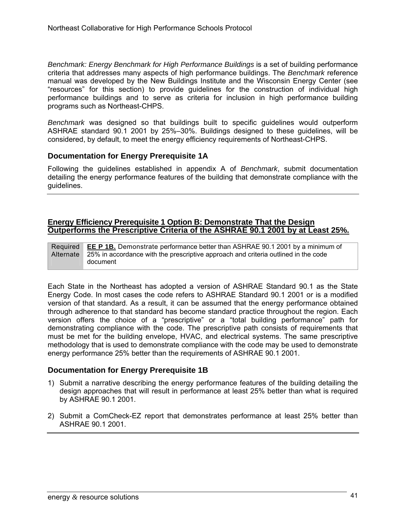*Benchmark: Energy Benchmark for High Performance Buildings* is a set of building performance criteria that addresses many aspects of high performance buildings. The *Benchmark* reference manual was developed by the New Buildings Institute and the Wisconsin Energy Center (see "resources" for this section) to provide guidelines for the construction of individual high performance buildings and to serve as criteria for inclusion in high performance building programs such as Northeast-CHPS.

*Benchmark* was designed so that buildings built to specific guidelines would outperform ASHRAE standard 90.1 2001 by 25%–30%. Buildings designed to these guidelines, will be considered, by default, to meet the energy efficiency requirements of Northeast-CHPS.

## **Documentation for Energy Prerequisite 1A**

Following the guidelines established in appendix A of *Benchmark*, submit documentation detailing the energy performance features of the building that demonstrate compliance with the guidelines.

#### **Energy Efficiency Prerequisite 1 Option B: Demonstrate That the Design Outperforms the Prescriptive Criteria of the ASHRAE 90.1 2001 by at Least 25%.**

Required **Alternate EE P 1B.** Demonstrate performance better than ASHRAE 90.1 2001 by a minimum of 25% in accordance with the prescriptive approach and criteria outlined in the code document

Each State in the Northeast has adopted a version of ASHRAE Standard 90.1 as the State Energy Code. In most cases the code refers to ASHRAE Standard 90.1 2001 or is a modified version of that standard. As a result, it can be assumed that the energy performance obtained through adherence to that standard has become standard practice throughout the region. Each version offers the choice of a "prescriptive" or a "total building performance" path for demonstrating compliance with the code. The prescriptive path consists of requirements that must be met for the building envelope, HVAC, and electrical systems. The same prescriptive methodology that is used to demonstrate compliance with the code may be used to demonstrate energy performance 25% better than the requirements of ASHRAE 90.1 2001.

#### **Documentation for Energy Prerequisite 1B**

- 1) Submit a narrative describing the energy performance features of the building detailing the design approaches that will result in performance at least 25% better than what is required by ASHRAE 90.1 2001.
- 2) Submit a ComCheck-EZ report that demonstrates performance at least 25% better than ASHRAE 90.1 2001.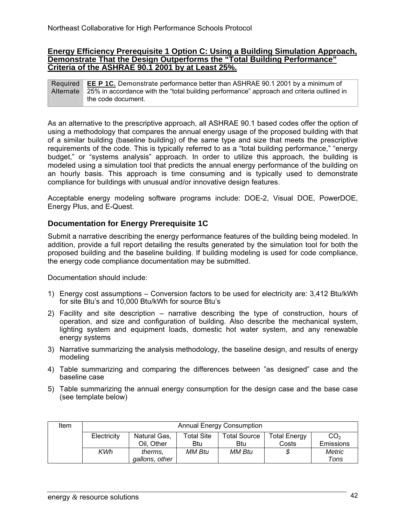#### **Energy Efficiency Prerequisite 1 Option C: Using a Building Simulation Approach, Demonstrate That the Design Outperforms the "Total Building Performance" Criteria of the ASHRAE 90.1 2001 by at Least 25%.**

**Required** Alternate **EE P 1C.** Demonstrate performance better than ASHRAE 90.1 2001 by a minimum of 25% in accordance with the "total building performance" approach and criteria outlined in the code document.

As an alternative to the prescriptive approach, all ASHRAE 90.1 based codes offer the option of using a methodology that compares the annual energy usage of the proposed building with that of a similar building (baseline building) of the same type and size that meets the prescriptive requirements of the code. This is typically referred to as a "total building performance," "energy budget," or "systems analysis" approach. In order to utilize this approach, the building is modeled using a simulation tool that predicts the annual energy performance of the building on an hourly basis. This approach is time consuming and is typically used to demonstrate compliance for buildings with unusual and/or innovative design features.

Acceptable energy modeling software programs include: DOE-2, Visual DOE, PowerDOE, Energy Plus, and E-Quest.

## **Documentation for Energy Prerequisite 1C**

Submit a narrative describing the energy performance features of the building being modeled. In addition, provide a full report detailing the results generated by the simulation tool for both the proposed building and the baseline building. If building modeling is used for code compliance, the energy code compliance documentation may be submitted.

Documentation should include:

- 1) Energy cost assumptions Conversion factors to be used for electricity are: 3,412 Btu/kWh for site Btu's and 10,000 Btu/kWh for source Btu's
- 2) Facility and site description narrative describing the type of construction, hours of operation, and size and configuration of building. Also describe the mechanical system, lighting system and equipment loads, domestic hot water system, and any renewable energy systems
- 3) Narrative summarizing the analysis methodology, the baseline design, and results of energy modeling
- 4) Table summarizing and comparing the differences between "as designed" case and the baseline case
- 5) Table summarizing the annual energy consumption for the design case and the base case (see template below)

| Item | <b>Annual Energy Consumption</b> |                                                                                                    |            |        |       |                  |
|------|----------------------------------|----------------------------------------------------------------------------------------------------|------------|--------|-------|------------------|
|      | Electricity                      | <b>Total Site</b><br>CO <sub>2</sub><br>Natural Gas,<br><b>Total Source</b><br><b>Total Energy</b> |            |        |       |                  |
|      |                                  | Oil, Other                                                                                         | <b>Btu</b> | Btu    | Costs | <b>Emissions</b> |
|      | KWh                              | therms,                                                                                            | MM Btu     | MM Btu |       | <b>Metric</b>    |
|      |                                  | gallons, other                                                                                     |            |        |       | Tons             |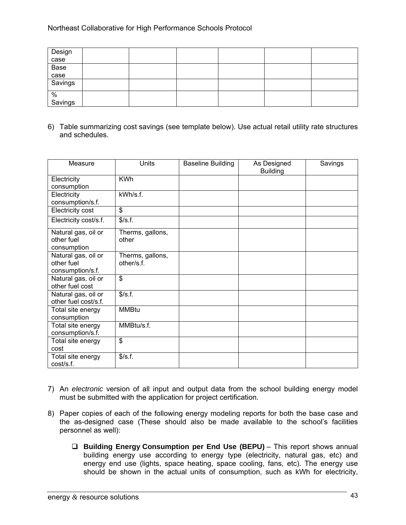| Design<br>case          |  |  |  |
|-------------------------|--|--|--|
|                         |  |  |  |
|                         |  |  |  |
|                         |  |  |  |
| Base<br>case<br>Savings |  |  |  |
| $\%$<br>Savings         |  |  |  |
|                         |  |  |  |

6) Table summarizing cost savings (see template below). Use actual retail utility rate structures and schedules.

| Measure               | <b>Units</b>     | <b>Baseline Building</b> | As Designed<br><b>Building</b> | Savings |
|-----------------------|------------------|--------------------------|--------------------------------|---------|
| Electricity           | <b>KWh</b>       |                          |                                |         |
| consumption           |                  |                          |                                |         |
| Electricity           | kWh/s.f.         |                          |                                |         |
| consumption/s.f.      |                  |                          |                                |         |
| Electricity cost      | \$               |                          |                                |         |
| Electricity cost/s.f. | \$/s.f.          |                          |                                |         |
| Natural gas, oil or   | Therms, gallons, |                          |                                |         |
| other fuel            | other            |                          |                                |         |
| consumption           |                  |                          |                                |         |
| Natural gas, oil or   | Therms, gallons, |                          |                                |         |
| other fuel            | other/s.f.       |                          |                                |         |
| consumption/s.f.      |                  |                          |                                |         |
| Natural gas, oil or   | \$               |                          |                                |         |
| other fuel cost       |                  |                          |                                |         |
| Natural gas, oil or   | \$/s.f.          |                          |                                |         |
| other fuel cost/s.f.  |                  |                          |                                |         |
| Total site energy     | MMBtu            |                          |                                |         |
| consumption           |                  |                          |                                |         |
| Total site energy     | MMBtu/s.f.       |                          |                                |         |
| consumption/s.f.      |                  |                          |                                |         |
| Total site energy     | \$               |                          |                                |         |
| cost                  |                  |                          |                                |         |
| Total site energy     | \$/s.f.          |                          |                                |         |
| cost/s.f.             |                  |                          |                                |         |

- 7) An *electronic* version of all input and output data from the school building energy model must be submitted with the application for project certification.
- 8) Paper copies of each of the following energy modeling reports for both the base case and the as-designed case (These should also be made available to the school's facilities personnel as well):
	- **Building Energy Consumption per End Use (BEPU)** This report shows annual building energy use according to energy type (electricity, natural gas, etc) and energy end use (lights, space heating, space cooling, fans, etc). The energy use should be shown in the actual units of consumption, such as kWh for electricity,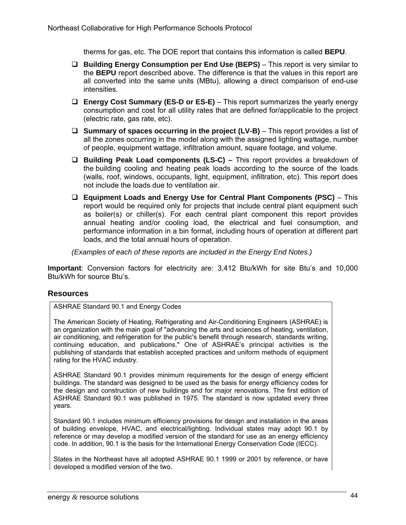therms for gas, etc. The DOE report that contains this information is called **BEPU**.

- **Building Energy Consumption per End Use (BEPS)** This report is very similar to the **BEPU** report described above. The difference is that the values in this report are all converted into the same units (MBtu), allowing a direct comparison of end-use intensities.
- **Energy Cost Summary (ES-D or ES-E)** This report summarizes the yearly energy consumption and cost for all utility rates that are defined for/applicable to the project (electric rate, gas rate, etc).
- **Summary of spaces occurring in the project (LV-B)** This report provides a list of all the zones occurring in the model along with the assigned lighting wattage, number of people, equipment wattage, infiltration amount, square footage, and volume.
- **Building Peak Load components (LS-C)** This report provides a breakdown of the building cooling and heating peak loads according to the source of the loads (walls, roof, windows, occupants, light, equipment, infiltration, etc). This report does not include the loads due to ventilation air.
- **Equipment Loads and Energy Use for Central Plant Components (PSC)** This report would be required only for projects that include central plant equipment such as boiler(s) or chiller(s). For each central plant component this report provides annual heating and/or cooling load, the electrical and fuel consumption, and performance information in a bin format, including hours of operation at different part loads, and the total annual hours of operation.

 *(Examples of each of these reports are included in the Energy End Notes.)*

**Important**: Conversion factors for electricity are: 3,412 Btu/kWh for site Btu's and 10,000 Btu/kWh for source Btu's.

## **Resources**

ASHRAE Standard 90.1 and Energy Codes

The American Society of Heating, Refrigerating and Air-Conditioning Engineers (ASHRAE) is an organization with the main goal of "advancing the arts and sciences of heating, ventilation, air conditioning, and refrigeration for the public's benefit through research, standards writing, continuing education, and publications." One of ASHRAE's principal activities is the publishing of standards that establish accepted practices and uniform methods of equipment rating for the HVAC industry.

ASHRAE Standard 90.1 provides minimum requirements for the design of energy efficient buildings. The standard was designed to be used as the basis for energy efficiency codes for the design and construction of new buildings and for major renovations. The first edition of ASHRAE Standard 90.1 was published in 1975. The standard is now updated every three years.

Standard 90.1 includes minimum efficiency provisions for design and installation in the areas of building envelope, HVAC, and electrical/lighting. Individual states may adopt 90.1 by reference or may develop a modified version of the standard for use as an energy efficiency code. In addition, 90.1 is the basis for the International Energy Conservation Code (IECC).

States in the Northeast have all adopted ASHRAE 90.1 1999 or 2001 by reference, or have developed a modified version of the two.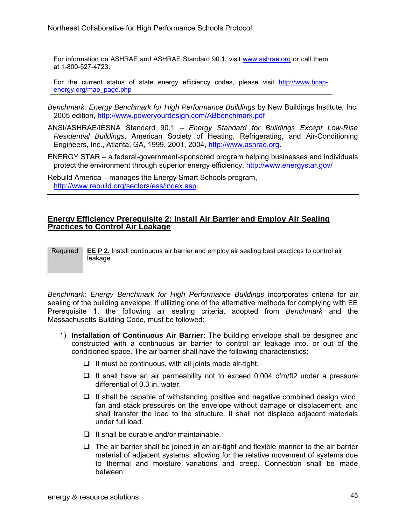For information on ASHRAE and ASHRAE Standard 90.1, visit www.ashrae.org or call them at 1-800-527-4723.

For the current status of state energy efficiency codes, please visit http://www.bcapenergy.org/map\_page.php

- *Benchmark: Energy Benchmark for High Performance Buildings* by New Buildings Institute, Inc. 2005 edition, http://www.poweryourdesign.com/ABbenchmark.pdf
- ANSI/ASHRAE/IESNA Standard 90.1 *Energy Standard for Buildings Except Low-Rise Residential Buildings*, American Society of Heating, Refrigerating, and Air-Conditioning Engineers, Inc., Atlanta, GA, 1999, 2001, 2004, http://www.ashrae.org.

ENERGY STAR – a federal-government-sponsored program helping businesses and individuals protect the environment through superior energy efficiency, http://www.energystar.gov/

Rebuild America – manages the Energy Smart Schools program, http://www.rebuild.org/sectors/ess/index.asp.

#### **Energy Efficiency Prerequisite 2: Install Air Barrier and Employ Air Sealing Practices to Control Air Leakage**

Required **EE P 2.** Install continuous air barrier and employ air sealing best practices to control air leakage.

*Benchmark: Energy Benchmark for High Performance Buildings* incorporates criteria for air sealing of the building envelope. If utilizing one of the alternative methods for complying with EE Prerequisite 1, the following air sealing criteria, adopted from *Benchmark* and the Massachusetts Building Code, must be followed:

- 1) **Installation of Continuous Air Barrier:** The building envelope shall be designed and constructed with a continuous air barrier to control air leakage into, or out of the conditioned space. The air barrier shall have the following characteristics:
	- $\Box$  It must be continuous, with all joints made air-tight.
	- $\Box$  It shall have an air permeability not to exceed 0.004 cfm/ft2 under a pressure differential of 0.3 in. water.
	- $\Box$  It shall be capable of withstanding positive and negative combined design wind, fan and stack pressures on the envelope without damage or displacement, and shall transfer the load to the structure. It shall not displace adjacent materials under full load.
	- $\Box$  It shall be durable and/or maintainable.
	- $\Box$  The air barrier shall be joined in an air-tight and flexible manner to the air barrier material of adjacent systems, allowing for the relative movement of systems due to thermal and moisture variations and creep. Connection shall be made between: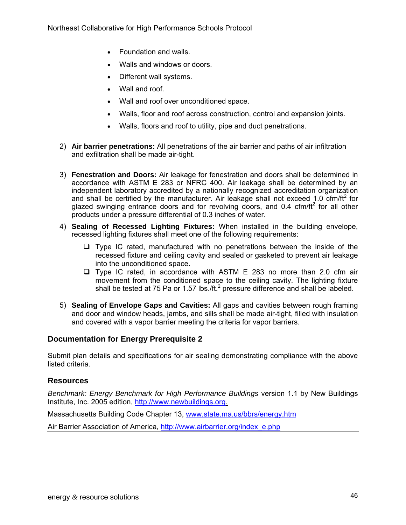- Foundation and walls.
- Walls and windows or doors.
- Different wall systems.
- Wall and roof.
- Wall and roof over unconditioned space.
- Walls, floor and roof across construction, control and expansion joints.
- Walls, floors and roof to utility, pipe and duct penetrations.
- 2) **Air barrier penetrations:** All penetrations of the air barrier and paths of air infiltration and exfiltration shall be made air-tight.
- 3) **Fenestration and Doors:** Air leakage for fenestration and doors shall be determined in accordance with ASTM E 283 or NFRC 400. Air leakage shall be determined by an independent laboratory accredited by a nationally recognized accreditation organization and shall be certified by the manufacturer. Air leakage shall not exceed 1.0  $\text{cfm/ft}^2$  for glazed swinging entrance doors and for revolving doors, and 0.4 cfm/ft<sup>2</sup> for all other products under a pressure differential of 0.3 inches of water.
- 4) **Sealing of Recessed Lighting Fixtures:** When installed in the building envelope, recessed lighting fixtures shall meet one of the following requirements:
	- $\Box$  Type IC rated, manufactured with no penetrations between the inside of the recessed fixture and ceiling cavity and sealed or gasketed to prevent air leakage into the unconditioned space.
	- $\Box$  Type IC rated, in accordance with ASTM E 283 no more than 2.0 cfm air movement from the conditioned space to the ceiling cavity. The lighting fixture shall be tested at 75 Pa or 1.57 lbs./ft. $^2$  pressure difference and shall be labeled.
- 5) **Sealing of Envelope Gaps and Cavities:** All gaps and cavities between rough framing and door and window heads, jambs, and sills shall be made air-tight, filled with insulation and covered with a vapor barrier meeting the criteria for vapor barriers.

## **Documentation for Energy Prerequisite 2**

Submit plan details and specifications for air sealing demonstrating compliance with the above listed criteria.

#### **Resources**

*Benchmark: Energy Benchmark for High Performance Buildings* version 1.1 by New Buildings Institute, Inc. 2005 edition, http://www.newbuildings.org.

Massachusetts Building Code Chapter 13, www.state.ma.us/bbrs/energy.htm

Air Barrier Association of America, http://www.airbarrier.org/index\_e.php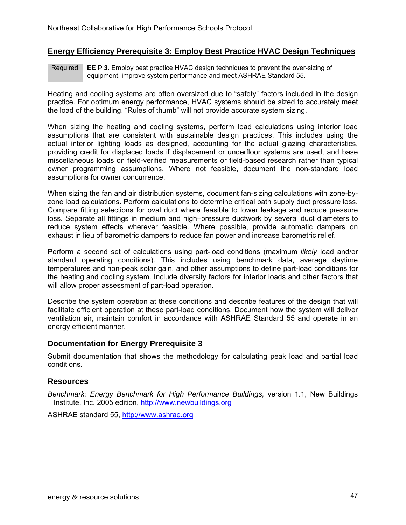## **Energy Efficiency Prerequisite 3: Employ Best Practice HVAC Design Techniques**

Required **EE P 3.** Employ best practice HVAC design techniques to prevent the over-sizing of equipment, improve system performance and meet ASHRAE Standard 55.

Heating and cooling systems are often oversized due to "safety" factors included in the design practice. For optimum energy performance, HVAC systems should be sized to accurately meet the load of the building. "Rules of thumb" will not provide accurate system sizing.

When sizing the heating and cooling systems, perform load calculations using interior load assumptions that are consistent with sustainable design practices. This includes using the actual interior lighting loads as designed, accounting for the actual glazing characteristics, providing credit for displaced loads if displacement or underfloor systems are used, and base miscellaneous loads on field-verified measurements or field-based research rather than typical owner programming assumptions. Where not feasible, document the non-standard load assumptions for owner concurrence.

When sizing the fan and air distribution systems, document fan-sizing calculations with zone-byzone load calculations. Perform calculations to determine critical path supply duct pressure loss. Compare fitting selections for oval duct where feasible to lower leakage and reduce pressure loss. Separate all fittings in medium and high–pressure ductwork by several duct diameters to reduce system effects wherever feasible. Where possible, provide automatic dampers on exhaust in lieu of barometric dampers to reduce fan power and increase barometric relief.

Perform a second set of calculations using part-load conditions (maximum *likely* load and/or standard operating conditions). This includes using benchmark data, average daytime temperatures and non-peak solar gain, and other assumptions to define part-load conditions for the heating and cooling system. Include diversity factors for interior loads and other factors that will allow proper assessment of part-load operation.

Describe the system operation at these conditions and describe features of the design that will facilitate efficient operation at these part-load conditions. Document how the system will deliver ventilation air, maintain comfort in accordance with ASHRAE Standard 55 and operate in an energy efficient manner.

## **Documentation for Energy Prerequisite 3**

Submit documentation that shows the methodology for calculating peak load and partial load conditions.

#### **Resources**

*Benchmark: Energy Benchmark for High Performance Buildings,* version 1.1, New Buildings Institute, Inc. 2005 edition, http://www.newbuildings.org

ASHRAE standard 55, http://www.ashrae.org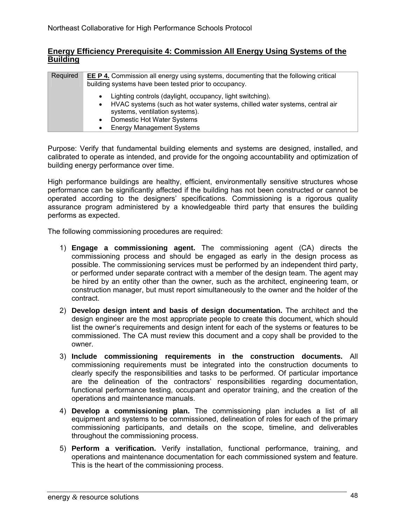## **Energy Efficiency Prerequisite 4: Commission All Energy Using Systems of the Building**

| Required | <b>EE P 4.</b> Commission all energy using systems, documenting that the following critical<br>building systems have been tested prior to occupancy.                                                                                                      |
|----------|-----------------------------------------------------------------------------------------------------------------------------------------------------------------------------------------------------------------------------------------------------------|
|          | Lighting controls (daylight, occupancy, light switching).<br>HVAC systems (such as hot water systems, chilled water systems, central air<br>systems, ventilation systems).<br>Domestic Hot Water Systems<br>$\bullet$<br><b>Energy Management Systems</b> |

Purpose: Verify that fundamental building elements and systems are designed, installed, and calibrated to operate as intended, and provide for the ongoing accountability and optimization of building energy performance over time.

High performance buildings are healthy, efficient, environmentally sensitive structures whose performance can be significantly affected if the building has not been constructed or cannot be operated according to the designers' specifications. Commissioning is a rigorous quality assurance program administered by a knowledgeable third party that ensures the building performs as expected.

The following commissioning procedures are required:

- 1) **Engage a commissioning agent.** The commissioning agent (CA) directs the commissioning process and should be engaged as early in the design process as possible. The commissioning services must be performed by an independent third party, or performed under separate contract with a member of the design team. The agent may be hired by an entity other than the owner, such as the architect, engineering team, or construction manager, but must report simultaneously to the owner and the holder of the contract.
- 2) **Develop design intent and basis of design documentation.** The architect and the design engineer are the most appropriate people to create this document, which should list the owner's requirements and design intent for each of the systems or features to be commissioned. The CA must review this document and a copy shall be provided to the owner.
- 3) **Include commissioning requirements in the construction documents.** All commissioning requirements must be integrated into the construction documents to clearly specify the responsibilities and tasks to be performed. Of particular importance are the delineation of the contractors' responsibilities regarding documentation, functional performance testing, occupant and operator training, and the creation of the operations and maintenance manuals.
- 4) **Develop a commissioning plan.** The commissioning plan includes a list of all equipment and systems to be commissioned, delineation of roles for each of the primary commissioning participants, and details on the scope, timeline, and deliverables throughout the commissioning process.
- 5) **Perform a verification.** Verify installation, functional performance, training, and operations and maintenance documentation for each commissioned system and feature. This is the heart of the commissioning process.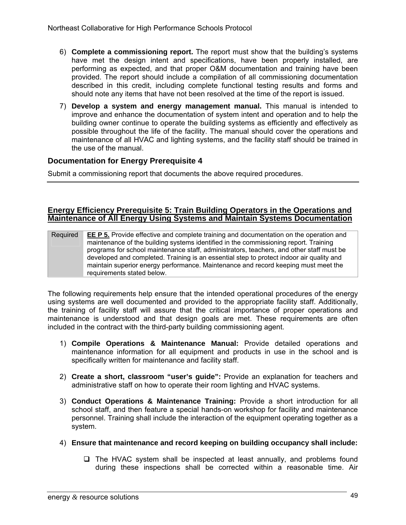- 6) **Complete a commissioning report.** The report must show that the building's systems have met the design intent and specifications, have been properly installed, are performing as expected, and that proper O&M documentation and training have been provided. The report should include a compilation of all commissioning documentation described in this credit, including complete functional testing results and forms and should note any items that have not been resolved at the time of the report is issued.
- 7) **Develop a system and energy management manual.** This manual is intended to improve and enhance the documentation of system intent and operation and to help the building owner continue to operate the building systems as efficiently and effectively as possible throughout the life of the facility. The manual should cover the operations and maintenance of all HVAC and lighting systems, and the facility staff should be trained in the use of the manual.

## **Documentation for Energy Prerequisite 4**

Submit a commissioning report that documents the above required procedures.

#### **Energy Efficiency Prerequisite 5: Train Building Operators in the Operations and Maintenance of All Energy Using Systems and Maintain Systems Documentation**

Required **EE P 5.** Provide effective and complete training and documentation on the operation and maintenance of the building systems identified in the commissioning report. Training programs for school maintenance staff, administrators, teachers, and other staff must be developed and completed. Training is an essential step to protect indoor air quality and maintain superior energy performance. Maintenance and record keeping must meet the requirements stated below.

The following requirements help ensure that the intended operational procedures of the energy using systems are well documented and provided to the appropriate facility staff. Additionally, the training of facility staff will assure that the critical importance of proper operations and maintenance is understood and that design goals are met. These requirements are often included in the contract with the third-party building commissioning agent.

- 1) **Compile Operations & Maintenance Manual:** Provide detailed operations and maintenance information for all equipment and products in use in the school and is specifically written for maintenance and facility staff.
- 2) **Create a short, classroom "user's guide":** Provide an explanation for teachers and administrative staff on how to operate their room lighting and HVAC systems.
- 3) **Conduct Operations & Maintenance Training:** Provide a short introduction for all school staff, and then feature a special hands-on workshop for facility and maintenance personnel. Training shall include the interaction of the equipment operating together as a system.
- 4) **Ensure that maintenance and record keeping on building occupancy shall include:** 
	- $\Box$  The HVAC system shall be inspected at least annually, and problems found during these inspections shall be corrected within a reasonable time. Air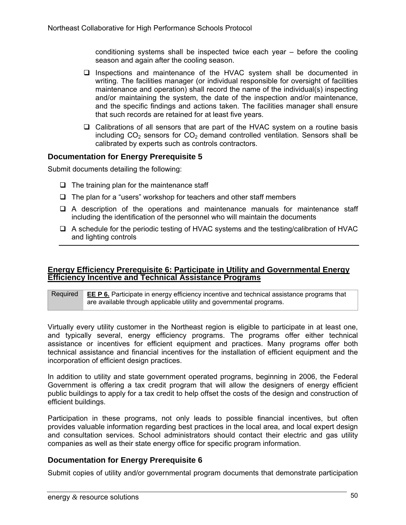conditioning systems shall be inspected twice each year – before the cooling season and again after the cooling season.

- $\Box$  Inspections and maintenance of the HVAC system shall be documented in writing. The facilities manager (or individual responsible for oversight of facilities maintenance and operation) shall record the name of the individual(s) inspecting and/or maintaining the system, the date of the inspection and/or maintenance, and the specific findings and actions taken. The facilities manager shall ensure that such records are retained for at least five years.
- $\Box$  Calibrations of all sensors that are part of the HVAC system on a routine basis including  $CO<sub>2</sub>$  sensors for  $CO<sub>2</sub>$  demand controlled ventilation. Sensors shall be calibrated by experts such as controls contractors.

## **Documentation for Energy Prerequisite 5**

Submit documents detailing the following:

- $\Box$  The training plan for the maintenance staff
- $\Box$  The plan for a "users" workshop for teachers and other staff members
- $\Box$  A description of the operations and maintenance manuals for maintenance staff including the identification of the personnel who will maintain the documents
- $\Box$  A schedule for the periodic testing of HVAC systems and the testing/calibration of HVAC and lighting controls

#### **Energy Efficiency Prerequisite 6: Participate in Utility and Governmental Energy Efficiency Incentive and Technical Assistance Programs**

Required **EE P 6.** Participate in energy efficiency incentive and technical assistance programs that are available through applicable utility and governmental programs.

Virtually every utility customer in the Northeast region is eligible to participate in at least one, and typically several, energy efficiency programs. The programs offer either technical assistance or incentives for efficient equipment and practices. Many programs offer both technical assistance and financial incentives for the installation of efficient equipment and the incorporation of efficient design practices.

In addition to utility and state government operated programs, beginning in 2006, the Federal Government is offering a tax credit program that will allow the designers of energy efficient public buildings to apply for a tax credit to help offset the costs of the design and construction of efficient buildings.

Participation in these programs, not only leads to possible financial incentives, but often provides valuable information regarding best practices in the local area, and local expert design and consultation services. School administrators should contact their electric and gas utility companies as well as their state energy office for specific program information.

#### **Documentation for Energy Prerequisite 6**

Submit copies of utility and/or governmental program documents that demonstrate participation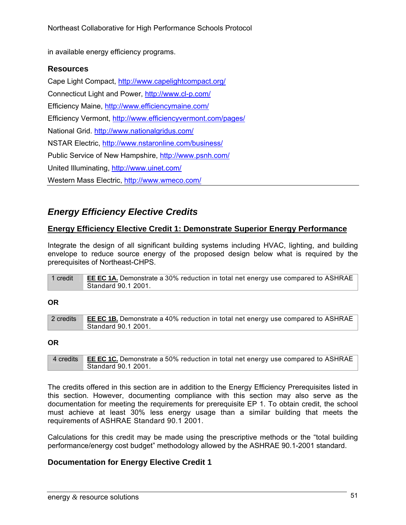in available energy efficiency programs.

## **Resources**

Cape Light Compact, http://www.capelightcompact.org/ Connecticut Light and Power, http://www.cl-p.com/ Efficiency Maine, http://www.efficiencymaine.com/ Efficiency Vermont, http://www.efficiencyvermont.com/pages/ National Grid. http://www.nationalgridus.com/ NSTAR Electric, http://www.nstaronline.com/business/ Public Service of New Hampshire, http://www.psnh.com/ United Illuminating, http://www.uinet.com/ Western Mass Electric, http://www.wmeco.com/

# *Energy Efficiency Elective Credits*

## **Energy Efficiency Elective Credit 1: Demonstrate Superior Energy Performance**

Integrate the design of all significant building systems including HVAC, lighting, and building envelope to reduce source energy of the proposed design below what is required by the prerequisites of Northeast-CHPS.

| 1 credit | <b>EE EC 1A.</b> Demonstrate a 30% reduction in total net energy use compared to ASHRAE |
|----------|-----------------------------------------------------------------------------------------|
|          | Standard 90.1 2001.                                                                     |

#### **OR**

| 2 credits | <b>EE EC 1B.</b> Demonstrate a 40% reduction in total net energy use compared to ASHRAE |
|-----------|-----------------------------------------------------------------------------------------|
|           | Standard 90.1 2001.                                                                     |

#### **OR**

4 credits **EE EC 1C.** Demonstrate a 50% reduction in total net energy use compared to ASHRAE Standard 90.1 2001.

The credits offered in this section are in addition to the Energy Efficiency Prerequisites listed in this section. However, documenting compliance with this section may also serve as the documentation for meeting the requirements for prerequisite EP 1. To obtain credit, the school must achieve at least 30% less energy usage than a similar building that meets the requirements of ASHRAE Standard 90.1 2001.

Calculations for this credit may be made using the prescriptive methods or the "total building performance/energy cost budget" methodology allowed by the ASHRAE 90.1-2001 standard.

## **Documentation for Energy Elective Credit 1**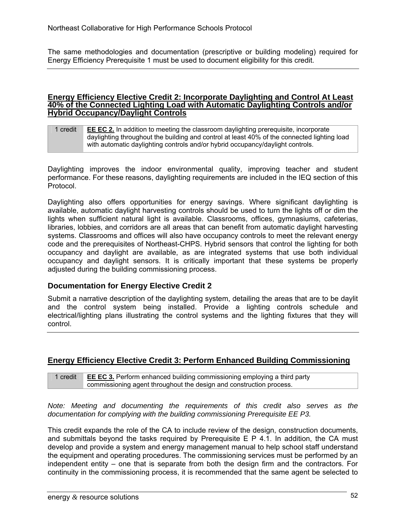The same methodologies and documentation (prescriptive or building modeling) required for Energy Efficiency Prerequisite 1 must be used to document eligibility for this credit.

#### **Energy Efficiency Elective Credit 2: Incorporate Daylighting and Control At Least 40% of the Connected Lighting Load with Automatic Daylighting Controls and/or Hybrid Occupancy/Daylight Controls**

#### 1 credit **EE EC 2.** In addition to meeting the classroom daylighting prerequisite, incorporate daylighting throughout the building and control at least 40% of the connected lighting load with automatic daylighting controls and/or hybrid occupancy/daylight controls.

Daylighting improves the indoor environmental quality, improving teacher and student performance. For these reasons, daylighting requirements are included in the IEQ section of this Protocol.

Daylighting also offers opportunities for energy savings. Where significant daylighting is available, automatic daylight harvesting controls should be used to turn the lights off or dim the lights when sufficient natural light is available. Classrooms, offices, gymnasiums, cafeterias, libraries, lobbies, and corridors are all areas that can benefit from automatic daylight harvesting systems. Classrooms and offices will also have occupancy controls to meet the relevant energy code and the prerequisites of Northeast-CHPS. Hybrid sensors that control the lighting for both occupancy and daylight are available, as are integrated systems that use both individual occupancy and daylight sensors. It is critically important that these systems be properly adjusted during the building commissioning process.

## **Documentation for Energy Elective Credit 2**

Submit a narrative description of the daylighting system, detailing the areas that are to be daylit and the control system being installed. Provide a lighting controls schedule and electrical/lighting plans illustrating the control systems and the lighting fixtures that they will control.

## **Energy Efficiency Elective Credit 3: Perform Enhanced Building Commissioning**

1 credit **EE EC 3.** Perform enhanced building commissioning employing a third party commissioning agent throughout the design and construction process.

*Note: Meeting and documenting the requirements of this credit also serves as the documentation for complying with the building commissioning Prerequisite EE P3.* 

This credit expands the role of the CA to include review of the design, construction documents, and submittals beyond the tasks required by Prerequisite E  $P$  4.1. In addition, the CA must develop and provide a system and energy management manual to help school staff understand the equipment and operating procedures. The commissioning services must be performed by an independent entity – one that is separate from both the design firm and the contractors. For continuity in the commissioning process, it is recommended that the same agent be selected to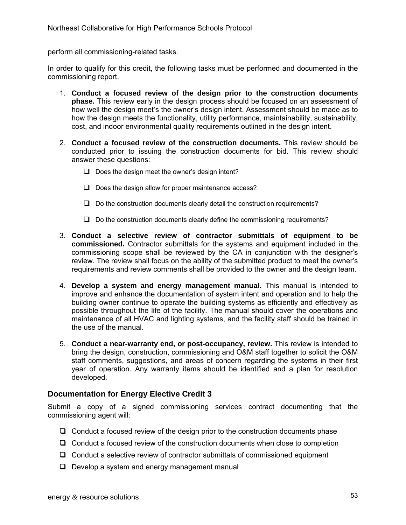perform all commissioning-related tasks.

In order to qualify for this credit, the following tasks must be performed and documented in the commissioning report.

- 1. **Conduct a focused review of the design prior to the construction documents phase.** This review early in the design process should be focused on an assessment of how well the design meet's the owner's design intent. Assessment should be made as to how the design meets the functionality, utility performance, maintainability, sustainability, cost, and indoor environmental quality requirements outlined in the design intent.
- 2. **Conduct a focused review of the construction documents.** This review should be conducted prior to issuing the construction documents for bid. This review should answer these questions:
	- $\Box$  Does the design meet the owner's design intent?
	- $\Box$  Does the design allow for proper maintenance access?
	- $\Box$  Do the construction documents clearly detail the construction requirements?
	- $\Box$  Do the construction documents clearly define the commissioning requirements?
- 3. **Conduct a selective review of contractor submittals of equipment to be commissioned.** Contractor submittals for the systems and equipment included in the commissioning scope shall be reviewed by the CA in conjunction with the designer's review. The review shall focus on the ability of the submitted product to meet the owner's requirements and review comments shall be provided to the owner and the design team.
- 4. **Develop a system and energy management manual.** This manual is intended to improve and enhance the documentation of system intent and operation and to help the building owner continue to operate the building systems as efficiently and effectively as possible throughout the life of the facility. The manual should cover the operations and maintenance of all HVAC and lighting systems, and the facility staff should be trained in the use of the manual.
- 5. **Conduct a near-warranty end, or post-occupancy, review.** This review is intended to bring the design, construction, commissioning and O&M staff together to solicit the O&M staff comments, suggestions, and areas of concern regarding the systems in their first year of operation. Any warranty items should be identified and a plan for resolution developed.

## **Documentation for Energy Elective Credit 3**

Submit a copy of a signed commissioning services contract documenting that the commissioning agent will:

- $\Box$  Conduct a focused review of the design prior to the construction documents phase
- $\Box$  Conduct a focused review of the construction documents when close to completion
- $\Box$  Conduct a selective review of contractor submittals of commissioned equipment
- $\Box$  Develop a system and energy management manual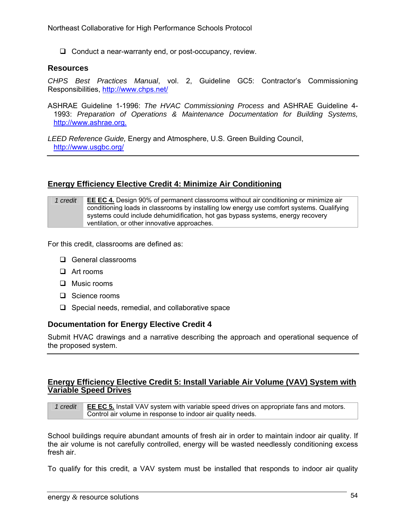$\Box$  Conduct a near-warranty end, or post-occupancy, review.

#### **Resources**

*CHPS Best Practices Manual*, vol. 2, Guideline GC5: Contractor's Commissioning Responsibilities, http://www.chps.net/

ASHRAE Guideline 1-1996: *The HVAC Commissioning Process* and ASHRAE Guideline 4- 1993: *Preparation of Operations & Maintenance Documentation for Building Systems,* http://www.ashrae.org.

*LEED Reference Guide,* Energy and Atmosphere, U.S. Green Building Council, http://www.usgbc.org/

## **Energy Efficiency Elective Credit 4: Minimize Air Conditioning**

*1 credit* **EE EC 4.** Design 90% of permanent classrooms without air conditioning or minimize air conditioning loads in classrooms by installing low energy use comfort systems. Qualifying systems could include dehumidification, hot gas bypass systems, energy recovery ventilation, or other innovative approaches.

For this credit, classrooms are defined as:

- General classrooms
- Art rooms
- **D** Music rooms
- □ Science rooms
- $\Box$  Special needs, remedial, and collaborative space

#### **Documentation for Energy Elective Credit 4**

Submit HVAC drawings and a narrative describing the approach and operational sequence of the proposed system.

#### **Energy Efficiency Elective Credit 5: Install Variable Air Volume (VAV) System with Variable Speed Drives**

*1 credit* **EE EC 5.** Install VAV system with variable speed drives on appropriate fans and motors. Control air volume in response to indoor air quality needs.

School buildings require abundant amounts of fresh air in order to maintain indoor air quality. If the air volume is not carefully controlled, energy will be wasted needlessly conditioning excess fresh air.

To qualify for this credit, a VAV system must be installed that responds to indoor air quality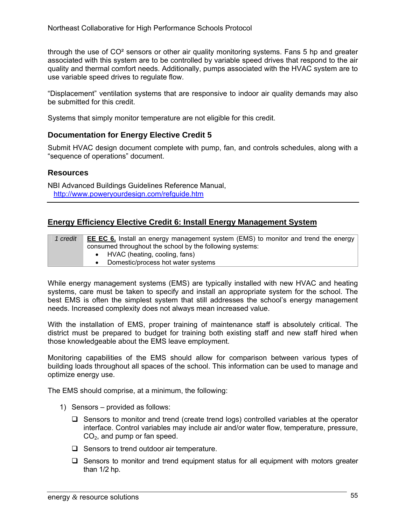through the use of  $CO<sup>2</sup>$  sensors or other air quality monitoring systems. Fans 5 hp and greater associated with this system are to be controlled by variable speed drives that respond to the air quality and thermal comfort needs. Additionally, pumps associated with the HVAC system are to use variable speed drives to regulate flow.

"Displacement" ventilation systems that are responsive to indoor air quality demands may also be submitted for this credit.

Systems that simply monitor temperature are not eligible for this credit.

## **Documentation for Energy Elective Credit 5**

Submit HVAC design document complete with pump, fan, and controls schedules, along with a "sequence of operations" document.

## **Resources**

NBI Advanced Buildings Guidelines Reference Manual, http://www.poweryourdesign.com/refguide.htm

## **Energy Efficiency Elective Credit 6: Install Energy Management System**

| 1 credit | <b>EE EC 6.</b> Install an energy management system (EMS) to monitor and trend the energy |
|----------|-------------------------------------------------------------------------------------------|
|          | consumed throughout the school by the following systems:                                  |
|          | • HVAC (heating, cooling, fans)                                                           |
|          | Domestic/process hot water systems                                                        |

While energy management systems (EMS) are typically installed with new HVAC and heating systems, care must be taken to specify and install an appropriate system for the school. The best EMS is often the simplest system that still addresses the school's energy management needs. Increased complexity does not always mean increased value.

With the installation of EMS, proper training of maintenance staff is absolutely critical. The district must be prepared to budget for training both existing staff and new staff hired when those knowledgeable about the EMS leave employment.

Monitoring capabilities of the EMS should allow for comparison between various types of building loads throughout all spaces of the school. This information can be used to manage and optimize energy use.

The EMS should comprise, at a minimum, the following:

- 1) Sensors provided as follows:
	- $\Box$  Sensors to monitor and trend (create trend logs) controlled variables at the operator interface. Control variables may include air and/or water flow, temperature, pressure, CO2, and pump or fan speed.
	- $\Box$  Sensors to trend outdoor air temperature.
	- $\Box$  Sensors to monitor and trend equipment status for all equipment with motors greater than 1/2 hp.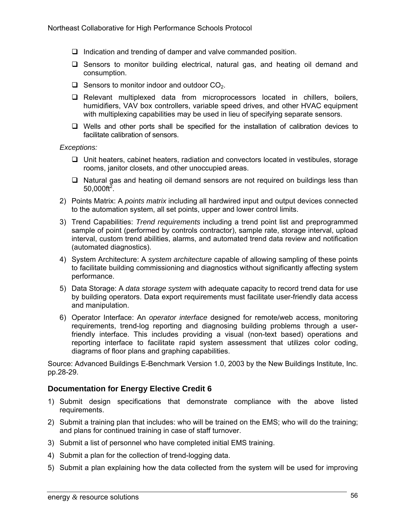- $\Box$  Indication and trending of damper and valve commanded position.
- $\Box$  Sensors to monitor building electrical, natural gas, and heating oil demand and consumption.
- $\Box$  Sensors to monitor indoor and outdoor CO<sub>2</sub>.
- $\Box$  Relevant multiplexed data from microprocessors located in chillers, boilers, humidifiers, VAV box controllers, variable speed drives, and other HVAC equipment with multiplexing capabilities may be used in lieu of specifying separate sensors.
- $\Box$  Wells and other ports shall be specified for the installation of calibration devices to facilitate calibration of sensors.

*Exceptions:* 

- $\Box$  Unit heaters, cabinet heaters, radiation and convectors located in vestibules, storage rooms, janitor closets, and other unoccupied areas.
- $\Box$  Natural gas and heating oil demand sensors are not required on buildings less than  $50,000$ ft<sup>2</sup>.
- 2) Points Matrix: A *points matrix* including all hardwired input and output devices connected to the automation system, all set points, upper and lower control limits.
- 3) Trend Capabilities: *Trend requirements* including a trend point list and preprogrammed sample of point (performed by controls contractor), sample rate, storage interval, upload interval, custom trend abilities, alarms, and automated trend data review and notification (automated diagnostics).
- 4) System Architecture: A *system architecture* capable of allowing sampling of these points to facilitate building commissioning and diagnostics without significantly affecting system performance.
- 5) Data Storage: A *data storage system* with adequate capacity to record trend data for use by building operators. Data export requirements must facilitate user-friendly data access and manipulation.
- 6) Operator Interface: An *operator interface* designed for remote/web access, monitoring requirements, trend-log reporting and diagnosing building problems through a userfriendly interface. This includes providing a visual (non-text based) operations and reporting interface to facilitate rapid system assessment that utilizes color coding, diagrams of floor plans and graphing capabilities.

Source: Advanced Buildings E-Benchmark Version 1.0, 2003 by the New Buildings Institute, Inc. pp.28-29.

## **Documentation for Energy Elective Credit 6**

- 1) Submit design specifications that demonstrate compliance with the above listed requirements.
- 2) Submit a training plan that includes: who will be trained on the EMS; who will do the training; and plans for continued training in case of staff turnover.
- 3) Submit a list of personnel who have completed initial EMS training.
- 4) Submit a plan for the collection of trend-logging data.
- 5) Submit a plan explaining how the data collected from the system will be used for improving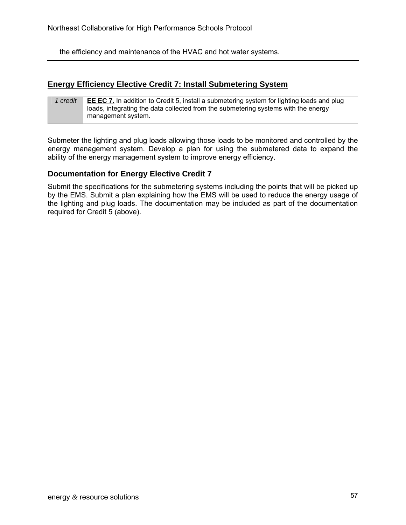the efficiency and maintenance of the HVAC and hot water systems.

## **Energy Efficiency Elective Credit 7: Install Submetering System**

| 1 credit | <b>EE EC 7.</b> In addition to Credit 5, install a submetering system for lighting loads and plug |
|----------|---------------------------------------------------------------------------------------------------|
|          | loads, integrating the data collected from the submetering systems with the energy                |
|          | management system.                                                                                |

Submeter the lighting and plug loads allowing those loads to be monitored and controlled by the energy management system. Develop a plan for using the submetered data to expand the ability of the energy management system to improve energy efficiency.

#### **Documentation for Energy Elective Credit 7**

Submit the specifications for the submetering systems including the points that will be picked up by the EMS. Submit a plan explaining how the EMS will be used to reduce the energy usage of the lighting and plug loads. The documentation may be included as part of the documentation required for Credit 5 (above).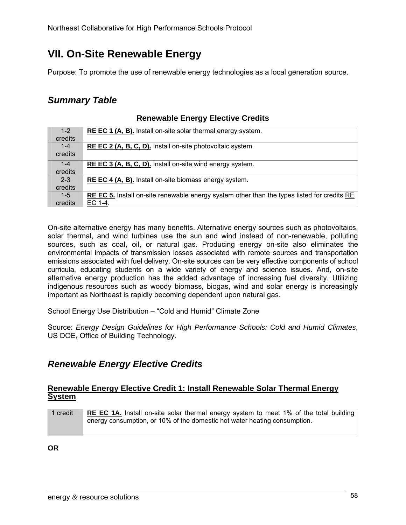# **VII. On-Site Renewable Energy**

Purpose: To promote the use of renewable energy technologies as a local generation source.

# *Summary Table*

| $1 - 2$ | <b>REEC 1 (A, B).</b> Install on-site solar thermal energy system.                          |
|---------|---------------------------------------------------------------------------------------------|
| credits |                                                                                             |
| $1 - 4$ | RE EC 2 (A, B, C, D). Install on-site photovoltaic system.                                  |
| credits |                                                                                             |
| $1 - 4$ | RE EC 3 (A, B, C, D). Install on-site wind energy system.                                   |
| credits |                                                                                             |
| $2 - 3$ | <b>REEC 4 (A, B).</b> Install on-site biomass energy system.                                |
| credits |                                                                                             |
| $1 - 5$ | RE EC 5. Install on-site renewable energy system other than the types listed for credits RE |
| credits | EC 1-4.                                                                                     |

## **Renewable Energy Elective Credits**

On-site alternative energy has many benefits. Alternative energy sources such as photovoltaics, solar thermal, and wind turbines use the sun and wind instead of non-renewable, polluting sources, such as coal, oil, or natural gas. Producing energy on-site also eliminates the environmental impacts of transmission losses associated with remote sources and transportation emissions associated with fuel delivery. On-site sources can be very effective components of school curricula, educating students on a wide variety of energy and science issues. And, on-site alternative energy production has the added advantage of increasing fuel diversity. Utilizing indigenous resources such as woody biomass, biogas, wind and solar energy is increasingly important as Northeast is rapidly becoming dependent upon natural gas.

School Energy Use Distribution – "Cold and Humid" Climate Zone

Source: *Energy Design Guidelines for High Performance Schools: Cold and Humid Climates*, US DOE, Office of Building Technology.

# *Renewable Energy Elective Credits*

#### **Renewable Energy Elective Credit 1: Install Renewable Solar Thermal Energy System**

| 1 credit | <b>RE EC 1A.</b> Install on-site solar thermal energy system to meet 1% of the total building |
|----------|-----------------------------------------------------------------------------------------------|
|          | energy consumption, or 10% of the domestic hot water heating consumption.                     |
|          |                                                                                               |

**OR**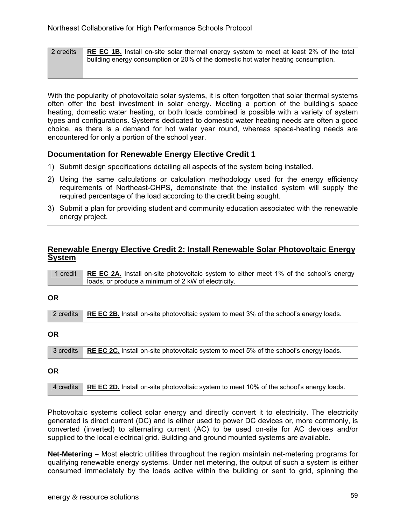2 credits **RE EC 1B.** Install on-site solar thermal energy system to meet at least 2% of the total building energy consumption or 20% of the domestic hot water heating consumption.

With the popularity of photovoltaic solar systems, it is often forgotten that solar thermal systems often offer the best investment in solar energy. Meeting a portion of the building's space heating, domestic water heating, or both loads combined is possible with a variety of system types and configurations. Systems dedicated to domestic water heating needs are often a good choice, as there is a demand for hot water year round, whereas space-heating needs are encountered for only a portion of the school year.

## **Documentation for Renewable Energy Elective Credit 1**

- 1) Submit design specifications detailing all aspects of the system being installed.
- 2) Using the same calculations or calculation methodology used for the energy efficiency requirements of Northeast-CHPS, demonstrate that the installed system will supply the required percentage of the load according to the credit being sought.
- 3) Submit a plan for providing student and community education associated with the renewable energy project.

#### **Renewable Energy Elective Credit 2: Install Renewable Solar Photovoltaic Energy System**

| 1 credit | RE EC 2A. Install on-site photovoltaic system to either meet 1% of the school's energy |
|----------|----------------------------------------------------------------------------------------|
|          | loads, or produce a minimum of 2 kW of electricity.                                    |

#### **OR**

|  | 2 credits RE EC 2B. Install on-site photovoltaic system to meet 3% of the school's energy loads. |
|--|--------------------------------------------------------------------------------------------------|
|  |                                                                                                  |

#### **OR**

```
3 credits RE EC 2C. Install on-site photovoltaic system to meet 5% of the school's energy loads.
```
## **OR**

|  | 4 credits RE EC 2D. Install on-site photovoltaic system to meet 10% of the school's energy loads. |
|--|---------------------------------------------------------------------------------------------------|
|--|---------------------------------------------------------------------------------------------------|

Photovoltaic systems collect solar energy and directly convert it to electricity. The electricity generated is direct current (DC) and is either used to power DC devices or, more commonly, is converted (inverted) to alternating current (AC) to be used on-site for AC devices and/or supplied to the local electrical grid. Building and ground mounted systems are available.

**Net-Metering –** Most electric utilities throughout the region maintain net-metering programs for qualifying renewable energy systems. Under net metering, the output of such a system is either consumed immediately by the loads active within the building or sent to grid, spinning the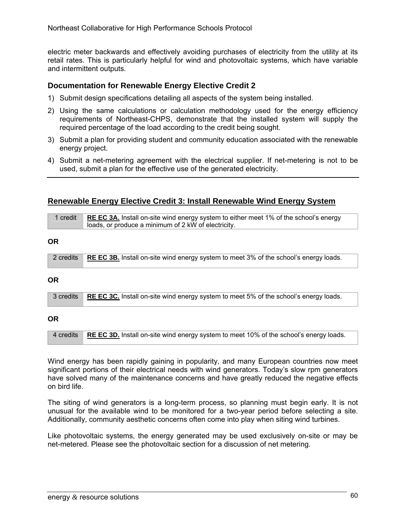electric meter backwards and effectively avoiding purchases of electricity from the utility at its retail rates. This is particularly helpful for wind and photovoltaic systems, which have variable and intermittent outputs.

## **Documentation for Renewable Energy Elective Credit 2**

- 1) Submit design specifications detailing all aspects of the system being installed.
- 2) Using the same calculations or calculation methodology used for the energy efficiency requirements of Northeast-CHPS, demonstrate that the installed system will supply the required percentage of the load according to the credit being sought.
- 3) Submit a plan for providing student and community education associated with the renewable energy project.
- 4) Submit a net-metering agreement with the electrical supplier. If net-metering is not to be used, submit a plan for the effective use of the generated electricity.

#### **Renewable Energy Elective Credit 3: Install Renewable Wind Energy System**

| 1 credit  | <b>RE EC 3A.</b> Install on-site wind energy system to either meet 1% of the school's energy |
|-----------|----------------------------------------------------------------------------------------------|
|           | loads, or produce a minimum of 2 kW of electricity.                                          |
|           |                                                                                              |
| ΟR        |                                                                                              |
|           |                                                                                              |
| 2 credits | <b>RE EC 3B.</b> Install on-site wind energy system to meet 3% of the school's energy loads. |

#### **OR**

|  | 3 credits RE EC 3C. Install on-site wind energy system to meet 5% of the school's energy loads. |
|--|-------------------------------------------------------------------------------------------------|
|--|-------------------------------------------------------------------------------------------------|

#### **OR**

4 credits **RE EC 3D.** Install on-site wind energy system to meet 10% of the school's energy loads.

Wind energy has been rapidly gaining in popularity, and many European countries now meet significant portions of their electrical needs with wind generators. Today's slow rpm generators have solved many of the maintenance concerns and have greatly reduced the negative effects on bird life.

The siting of wind generators is a long-term process, so planning must begin early. It is not unusual for the available wind to be monitored for a two-year period before selecting a site. Additionally, community aesthetic concerns often come into play when siting wind turbines.

Like photovoltaic systems, the energy generated may be used exclusively on-site or may be net-metered. Please see the photovoltaic section for a discussion of net metering.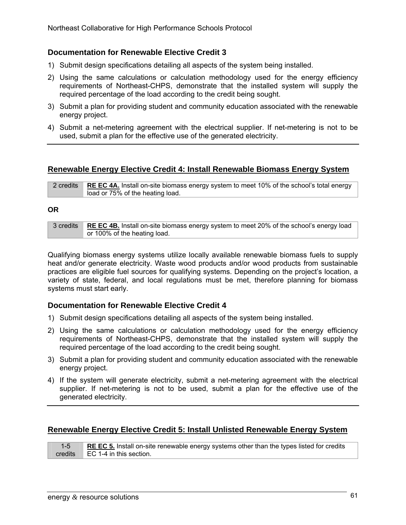## **Documentation for Renewable Elective Credit 3**

- 1) Submit design specifications detailing all aspects of the system being installed.
- 2) Using the same calculations or calculation methodology used for the energy efficiency requirements of Northeast-CHPS, demonstrate that the installed system will supply the required percentage of the load according to the credit being sought.
- 3) Submit a plan for providing student and community education associated with the renewable energy project.
- 4) Submit a net-metering agreement with the electrical supplier. If net-metering is not to be used, submit a plan for the effective use of the generated electricity.

## **Renewable Energy Elective Credit 4: Install Renewable Biomass Energy System**

2 credits **RE EC 4A.** Install on-site biomass energy system to meet 10% of the school's total energy load or 75% of the heating load.

#### **OR**

| 3 credits RE EC 4B. Install on-site biomass energy system to meet 20% of the school's energy load |
|---------------------------------------------------------------------------------------------------|
| or 100% of the heating load.                                                                      |

Qualifying biomass energy systems utilize locally available renewable biomass fuels to supply heat and/or generate electricity. Waste wood products and/or wood products from sustainable practices are eligible fuel sources for qualifying systems. Depending on the project's location, a variety of state, federal, and local regulations must be met, therefore planning for biomass systems must start early.

## **Documentation for Renewable Elective Credit 4**

- 1) Submit design specifications detailing all aspects of the system being installed.
- 2) Using the same calculations or calculation methodology used for the energy efficiency requirements of Northeast-CHPS, demonstrate that the installed system will supply the required percentage of the load according to the credit being sought.
- 3) Submit a plan for providing student and community education associated with the renewable energy project.
- 4) If the system will generate electricity, submit a net-metering agreement with the electrical supplier. If net-metering is not to be used, submit a plan for the effective use of the generated electricity.

## **Renewable Energy Elective Credit 5: Install Unlisted Renewable Energy System**

| RE EC 5. Install on-site renewable energy systems other than the types listed for credits |
|-------------------------------------------------------------------------------------------|
| credits $\Box$ EC 1-4 in this section.                                                    |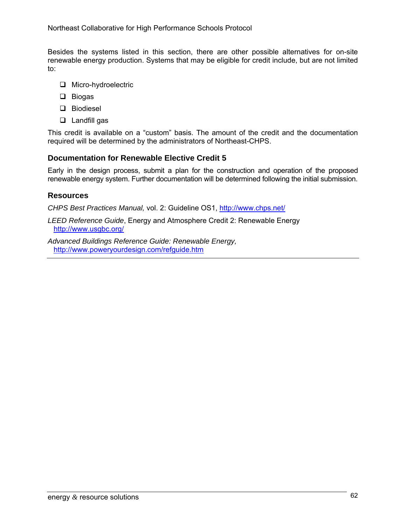Besides the systems listed in this section, there are other possible alternatives for on-site renewable energy production. Systems that may be eligible for credit include, but are not limited to:

- **O** Micro-hydroelectric
- □ Biogas
- D Biodiesel
- **Landfill gas**

This credit is available on a "custom" basis. The amount of the credit and the documentation required will be determined by the administrators of Northeast-CHPS.

## **Documentation for Renewable Elective Credit 5**

Early in the design process, submit a plan for the construction and operation of the proposed renewable energy system. Further documentation will be determined following the initial submission.

## **Resources**

*CHPS Best Practices Manual,* vol. 2: Guideline OS1, http://www.chps.net/

*LEED Reference Guide*, Energy and Atmosphere Credit 2: Renewable Energy http://www.usgbc.org/

*Advanced Buildings Reference Guide: Renewable Energy,*  http://www.poweryourdesign.com/refguide.htm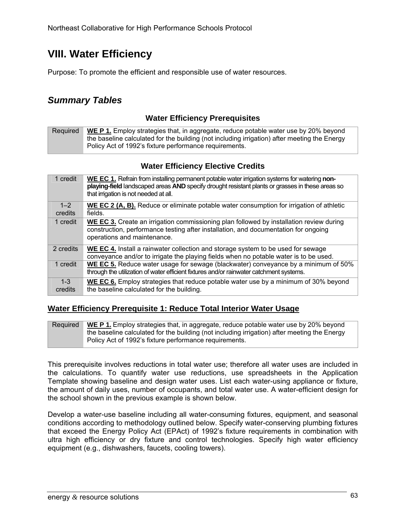# **VIII. Water Efficiency**

Purpose: To promote the efficient and responsible use of water resources.

# *Summary Tables*

## **Water Efficiency Prerequisites**

Required **WE P 1.** Employ strategies that, in aggregate, reduce potable water use by 20% beyond the baseline calculated for the building (not including irrigation) after meeting the Energy Policy Act of 1992's fixture performance requirements.

## **Water Efficiency Elective Credits**

| 1 credit           | WE EC 1. Refrain from installing permanent potable water irrigation systems for watering non-<br>playing-field landscaped areas AND specify drought resistant plants or grasses in these areas so<br>that irrigation is not needed at all. |
|--------------------|--------------------------------------------------------------------------------------------------------------------------------------------------------------------------------------------------------------------------------------------|
| $1 - 2$<br>credits | <b>WE EC 2 (A, B).</b> Reduce or eliminate potable water consumption for irrigation of athletic<br>fields.                                                                                                                                 |
| 1 credit           | WE EC 3. Create an irrigation commissioning plan followed by installation review during<br>construction, performance testing after installation, and documentation for ongoing<br>operations and maintenance.                              |
| 2 credits          | WE EC 4. Install a rainwater collection and storage system to be used for sewage<br>conveyance and/or to irrigate the playing fields when no potable water is to be used.                                                                  |
| 1 credit           | WE EC 5. Reduce water usage for sewage (blackwater) conveyance by a minimum of 50%<br>through the utilization of water efficient fixtures and/or rainwater catchment systems.                                                              |
| $1 - 3$<br>credits | WE EC 6. Employ strategies that reduce potable water use by a minimum of 30% beyond<br>the baseline calculated for the building.                                                                                                           |

## **Water Efficiency Prerequisite 1: Reduce Total Interior Water Usage**

Required **WE P 1.** Employ strategies that, in aggregate, reduce potable water use by 20% beyond the baseline calculated for the building (not including irrigation) after meeting the Energy Policy Act of 1992's fixture performance requirements.

This prerequisite involves reductions in total water use; therefore all water uses are included in the calculations. To quantify water use reductions, use spreadsheets in the Application Template showing baseline and design water uses. List each water-using appliance or fixture, the amount of daily uses, number of occupants, and total water use. A water-efficient design for the school shown in the previous example is shown below.

Develop a water-use baseline including all water-consuming fixtures, equipment, and seasonal conditions according to methodology outlined below. Specify water-conserving plumbing fixtures that exceed the Energy Policy Act (EPAct) of 1992's fixture requirements in combination with ultra high efficiency or dry fixture and control technologies. Specify high water efficiency equipment (e.g., dishwashers, faucets, cooling towers).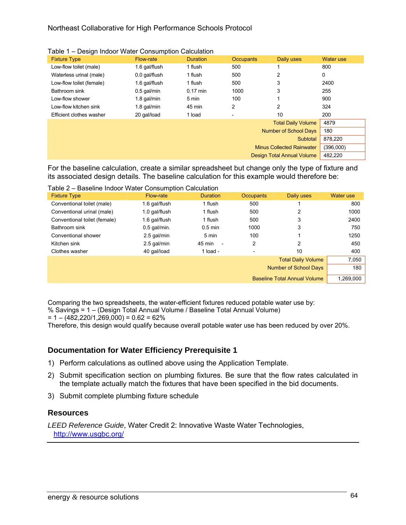#### Northeast Collaborative for High Performance Schools Protocol

| $\alpha$ and $\beta$ – Design induct viater Consumption Calculation |               |                 |                  |                                  |           |
|---------------------------------------------------------------------|---------------|-----------------|------------------|----------------------------------|-----------|
| <b>Fixture Type</b>                                                 | Flow-rate     | <b>Duration</b> | <b>Occupants</b> | Daily uses                       | Water use |
| Low-flow toilet (male)                                              | 1.6 gal/flush | 1 flush         | 500              |                                  | 800       |
| Waterless urinal (male)                                             | 0.0 gal/flush | 1 flush         | 500              | 2                                | 0         |
| Low-flow toilet (female)                                            | 1.6 gal/flush | 1 flush         | 500              | 3                                | 2400      |
| Bathroom sink                                                       | $0.5$ gal/min | $0.17$ min      | 1000             | 3                                | 255       |
| Low-flow shower                                                     | 1.8 gal/min   | 5 min           | 100              |                                  | 900       |
| Low-flow kitchen sink                                               | 1.8 gal/min   | 45 min          | 2                | 2                                | 324       |
| Efficient clothes washer                                            | 20 gal/load   | 1 load          |                  | 10                               | 200       |
|                                                                     |               |                 |                  | <b>Total Daily Volume</b>        | 4879      |
|                                                                     |               |                 |                  | <b>Number of School Days</b>     | 180       |
|                                                                     |               |                 |                  | Subtotal                         | 878,220   |
|                                                                     |               |                 |                  | <b>Minus Collected Rainwater</b> | (396,000) |
|                                                                     |               |                 |                  | Design Total Annual Volume       | 482.220   |

Table 1 – Design Indoor Water Consumption Calculation

For the baseline calculation, create a similar spreadsheet but change only the type of fixture and its associated design details. The baseline calculation for this example would therefore be:

|  |  |  | Table 2 - Baseline Indoor Water Consumption Calculation |
|--|--|--|---------------------------------------------------------|
|  |  |  |                                                         |

| <b>Fixture Type</b>          | Flow-rate      | <b>Duration</b>                    | <b>Occupants</b> | Daily uses                          | Water use |
|------------------------------|----------------|------------------------------------|------------------|-------------------------------------|-----------|
| Conventional toilet (male)   | 1.6 gal/flush  | 1 flush                            | 500              |                                     | 800       |
| Conventional urinal (male)   | 1.0 gal/flush  | 1 flush                            | 500              | 2                                   | 1000      |
| Conventional toilet (female) | 1.6 gal/flush  | 1 flush                            | 500              | 3                                   | 2400      |
| Bathroom sink                | $0.5$ gal/min. | $0.5$ min                          | 1000             | 3                                   | 750       |
| Conventional shower          | 2.5 gal/min    | 5 min                              | 100              |                                     | 1250      |
| Kitchen sink                 | 2.5 gal/min    | 45 min<br>$\overline{\phantom{a}}$ | 2                | 2                                   | 450       |
| Clothes washer               | 40 gal/load    | 1 $load -$                         |                  | 10                                  | 400       |
|                              |                |                                    |                  | <b>Total Daily Volume</b>           | 7,050     |
|                              |                |                                    |                  | <b>Number of School Days</b>        | 180       |
|                              |                |                                    |                  | <b>Baseline Total Annual Volume</b> | 1,269,000 |

Comparing the two spreadsheets, the water-efficient fixtures reduced potable water use by:

% Savings = 1 – (Design Total Annual Volume / Baseline Total Annual Volume)

 $= 1 - (482,220/1,269,000) = 0.62 = 62\%$ 

Therefore, this design would qualify because overall potable water use has been reduced by over 20%.

## **Documentation for Water Efficiency Prerequisite 1**

- 1) Perform calculations as outlined above using the Application Template.
- 2) Submit specification section on plumbing fixtures. Be sure that the flow rates calculated in the template actually match the fixtures that have been specified in the bid documents.
- 3) Submit complete plumbing fixture schedule

## **Resources**

*LEED Reference Guide*, Water Credit 2: Innovative Waste Water Technologies, http://www.usgbc.org/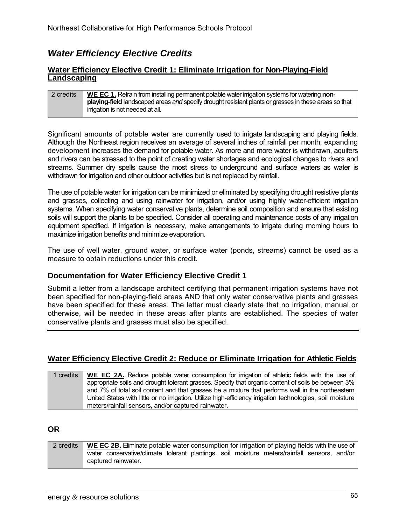## *Water Efficiency Elective Credits*

#### **Water Efficiency Elective Credit 1: Eliminate Irrigation for Non-Playing-Field Landscaping**

| 2 credits | WE EC 1. Refrain from installing permanent potable water irrigation systems for watering non-         |
|-----------|-------------------------------------------------------------------------------------------------------|
|           |                                                                                                       |
|           | playing-field landscaped areas and specify drought resistant plants or grasses in these areas so that |
|           | irrigation is not needed at all.                                                                      |

Significant amounts of potable water are currently used to irrigate landscaping and playing fields. Although the Northeast region receives an average of several inches of rainfall per month, expanding development increases the demand for potable water. As more and more water is withdrawn, aquifers and rivers can be stressed to the point of creating water shortages and ecological changes to rivers and streams. Summer dry spells cause the most stress to underground and surface waters as water is withdrawn for irrigation and other outdoor activities but is not replaced by rainfall.

The use of potable water for irrigation can be minimized or eliminated by specifying drought resistive plants and grasses, collecting and using rainwater for irrigation, and/or using highly water-efficient irrigation systems. When specifying water conservative plants, determine soil composition and ensure that existing soils will support the plants to be specified. Consider all operating and maintenance costs of any irrigation equipment specified. If irrigation is necessary, make arrangements to irrigate during morning hours to maximize irrigation benefits and minimize evaporation.

The use of well water, ground water, or surface water (ponds, streams) cannot be used as a measure to obtain reductions under this credit.

## **Documentation for Water Efficiency Elective Credit 1**

Submit a letter from a landscape architect certifying that permanent irrigation systems have not been specified for non-playing-field areas AND that only water conservative plants and grasses have been specified for these areas. The letter must clearly state that no irrigation, manual or otherwise, will be needed in these areas after plants are established. The species of water conservative plants and grasses must also be specified.

## **Water Efficiency Elective Credit 2: Reduce or Eliminate Irrigation for Athletic Fields**

| 1 credits | WE EC 2A. Reduce potable water consumption for irrigation of athletic fields with the use of               |
|-----------|------------------------------------------------------------------------------------------------------------|
|           | appropriate soils and drought tolerant grasses. Specify that organic content of soils be between 3%        |
|           | and 7% of total soil content and that grasses be a mixture that performs well in the northeastern          |
|           | United States with little or no irrigation. Utilize high-efficiency irrigation technologies, soil moisture |
|           | meters/rainfall sensors, and/or captured rainwater.                                                        |

## **OR**

2 credits **WE EC 2B.** Eliminate potable water consumption for irrigation of playing fields with the use of water conservative/climate tolerant plantings, soil moisture meters/rainfall sensors, and/or captured rainwater.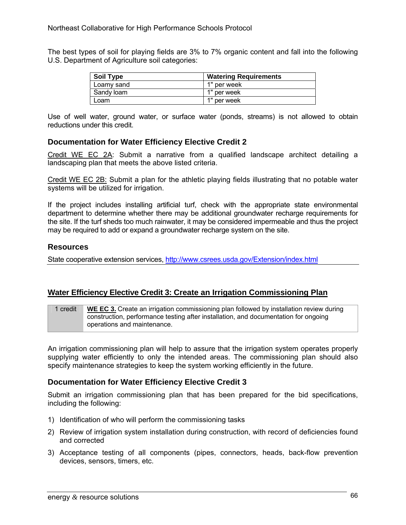The best types of soil for playing fields are 3% to 7% organic content and fall into the following U.S. Department of Agriculture soil categories:

| <b>Soil Type</b> | <b>Watering Requirements</b> |
|------------------|------------------------------|
| Loamy sand       | 1" per week                  |
| Sandy loam       | 1" per week                  |
| Loam             | 1" per week                  |

Use of well water, ground water, or surface water (ponds, streams) is not allowed to obtain reductions under this credit.

#### **Documentation for Water Efficiency Elective Credit 2**

Credit WE EC 2A: Submit a narrative from a qualified landscape architect detailing a landscaping plan that meets the above listed criteria.

Credit WE EC 2B: Submit a plan for the athletic playing fields illustrating that no potable water systems will be utilized for irrigation.

If the project includes installing artificial turf, check with the appropriate state environmental department to determine whether there may be additional groundwater recharge requirements for the site. If the turf sheds too much rainwater, it may be considered impermeable and thus the project may be required to add or expand a groundwater recharge system on the site.

### **Resources**

State cooperative extension services, http://www.csrees.usda.gov/Extension/index.html

### **Water Efficiency Elective Credit 3: Create an Irrigation Commissioning Plan**

1 credit **WE EC 3.** Create an irrigation commissioning plan followed by installation review during construction, performance testing after installation, and documentation for ongoing operations and maintenance.

An irrigation commissioning plan will help to assure that the irrigation system operates properly supplying water efficiently to only the intended areas. The commissioning plan should also specify maintenance strategies to keep the system working efficiently in the future.

### **Documentation for Water Efficiency Elective Credit 3**

Submit an irrigation commissioning plan that has been prepared for the bid specifications, including the following:

- 1) Identification of who will perform the commissioning tasks
- 2) Review of irrigation system installation during construction, with record of deficiencies found and corrected
- 3) Acceptance testing of all components (pipes, connectors, heads, back-flow prevention devices, sensors, timers, etc.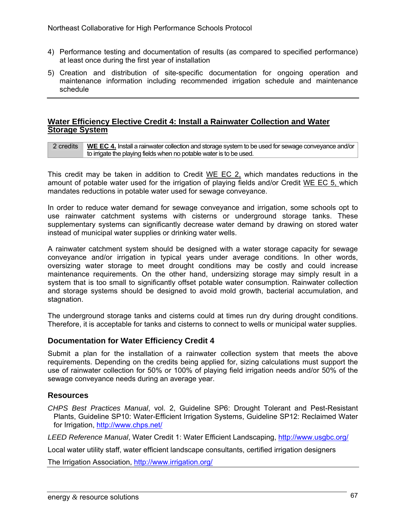- 4) Performance testing and documentation of results (as compared to specified performance) at least once during the first year of installation
- 5) Creation and distribution of site-specific documentation for ongoing operation and maintenance information including recommended irrigation schedule and maintenance schedule

#### **Water Efficiency Elective Credit 4: Install a Rainwater Collection and Water Storage System**

2 credits **WE EC 4.** Install a rainwater collection and storage system to be used for sewage conveyance and/or to irrigate the playing fields when no potable water is to be used.

This credit may be taken in addition to Credit  $WE$  EC 2, which mandates reductions in the amount of potable water used for the irrigation of playing fields and/or Credit WE EC 5, which mandates reductions in potable water used for sewage conveyance.

In order to reduce water demand for sewage conveyance and irrigation, some schools opt to use rainwater catchment systems with cisterns or underground storage tanks. These supplementary systems can significantly decrease water demand by drawing on stored water instead of municipal water supplies or drinking water wells.

A rainwater catchment system should be designed with a water storage capacity for sewage conveyance and/or irrigation in typical years under average conditions. In other words, oversizing water storage to meet drought conditions may be costly and could increase maintenance requirements. On the other hand, undersizing storage may simply result in a system that is too small to significantly offset potable water consumption. Rainwater collection and storage systems should be designed to avoid mold growth, bacterial accumulation, and stagnation.

The underground storage tanks and cisterns could at times run dry during drought conditions. Therefore, it is acceptable for tanks and cisterns to connect to wells or municipal water supplies.

### **Documentation for Water Efficiency Credit 4**

Submit a plan for the installation of a rainwater collection system that meets the above requirements. Depending on the credits being applied for, sizing calculations must support the use of rainwater collection for 50% or 100% of playing field irrigation needs and/or 50% of the sewage conveyance needs during an average year.

#### **Resources**

*CHPS Best Practices Manual*, vol. 2, Guideline SP6: Drought Tolerant and Pest-Resistant Plants, Guideline SP10: Water-Efficient Irrigation Systems, Guideline SP12: Reclaimed Water for Irrigation, http://www.chps.net/

*LEED Reference Manual*, Water Credit 1: Water Efficient Landscaping, http://www.usgbc.org/

Local water utility staff, water efficient landscape consultants, certified irrigation designers

The Irrigation Association, http://www.irrigation.org/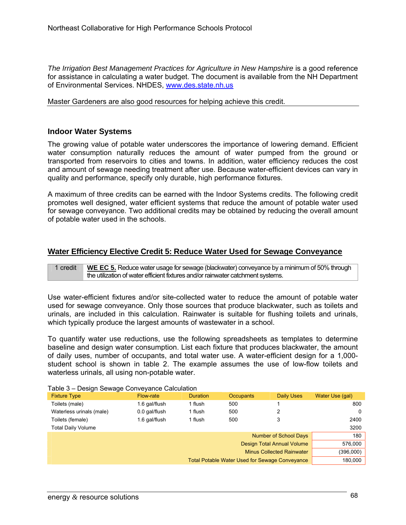*The Irrigation Best Management Practices for Agriculture in New Hampshire* is a good reference for assistance in calculating a water budget. The document is available from the NH Department of Environmental Services. NHDES, www.des.state.nh.us

Master Gardeners are also good resources for helping achieve this credit.

#### **Indoor Water Systems**

The growing value of potable water underscores the importance of lowering demand. Efficient water consumption naturally reduces the amount of water pumped from the ground or transported from reservoirs to cities and towns. In addition, water efficiency reduces the cost and amount of sewage needing treatment after use. Because water-efficient devices can vary in quality and performance, specify only durable, high performance fixtures.

A maximum of three credits can be earned with the Indoor Systems credits. The following credit promotes well designed, water efficient systems that reduce the amount of potable water used for sewage conveyance. Two additional credits may be obtained by reducing the overall amount of potable water used in the schools.

### **Water Efficiency Elective Credit 5: Reduce Water Used for Sewage Conveyance**

1 credit **WE EC 5.** Reduce water usage for sewage (blackwater) conveyance by a minimum of 50% through the utilization of water efficient fixtures and/or rainwater catchment systems.

Use water-efficient fixtures and/or site-collected water to reduce the amount of potable water used for sewage conveyance. Only those sources that produce blackwater, such as toilets and urinals, are included in this calculation. Rainwater is suitable for flushing toilets and urinals, which typically produce the largest amounts of wastewater in a school.

To quantify water use reductions, use the following spreadsheets as templates to determine baseline and design water consumption. List each fixture that produces blackwater, the amount of daily uses, number of occupants, and total water use. A water-efficient design for a 1,000 student school is shown in table 2. The example assumes the use of low-flow toilets and waterless urinals, all using non-potable water.

| <b>Fixture Type</b><br><b>Duration</b><br>Flow-rate  | <b>Occupants</b>                                      | Daily Uses                       | Water Use (gal) |
|------------------------------------------------------|-------------------------------------------------------|----------------------------------|-----------------|
| Toilets (male)<br>1.6 gal/flush<br>1 flush           | 500                                                   |                                  | 800             |
| Waterless urinals (male)<br>0.0 gal/flush<br>1 flush | 500                                                   |                                  | 0               |
| Toilets (female)<br>1.6 gal/flush<br>1 flush         | 500                                                   | 3                                | 2400            |
| Total Daily Volume                                   |                                                       |                                  | 3200            |
|                                                      |                                                       | Number of School Days            | 180             |
|                                                      |                                                       | Design Total Annual Volume       | 576,000         |
|                                                      |                                                       | <b>Minus Collected Rainwater</b> | (396,000)       |
|                                                      | <b>Total Potable Water Used for Sewage Conveyance</b> |                                  | 180,000         |

Table 3 – Design Sewage Conveyance Calculation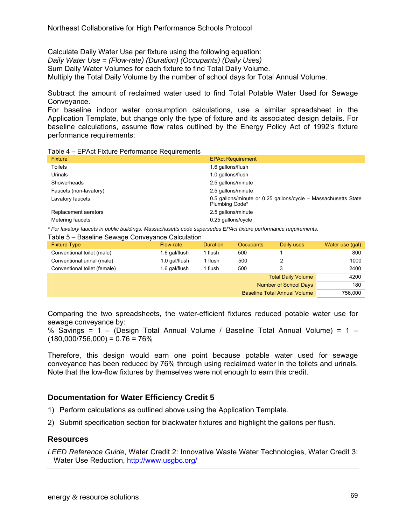Calculate Daily Water Use per fixture using the following equation: *Daily Water Use = (Flow-rate) (Duration) (Occupants) (Daily Uses)*  Sum Daily Water Volumes for each fixture to find Total Daily Volume. Multiply the Total Daily Volume by the number of school days for Total Annual Volume.

Subtract the amount of reclaimed water used to find Total Potable Water Used for Sewage Conveyance.

For baseline indoor water consumption calculations, use a similar spreadsheet in the Application Template, but change only the type of fixture and its associated design details. For baseline calculations, assume flow rates outlined by the Energy Policy Act of 1992's fixture performance requirements:

| Table 4 – EPAct Fixture Performance Requirements |  |  |
|--------------------------------------------------|--|--|
|                                                  |  |  |

| <b>Fixture</b>         | <b>EPAct Requirement</b>                                                         |
|------------------------|----------------------------------------------------------------------------------|
| Toilets                | 1.6 gallons/flush                                                                |
| Urinals                | 1.0 gallons/flush                                                                |
| Showerheads            | 2.5 gallons/minute                                                               |
| Faucets (non-lavatory) | 2.5 gallons/minute                                                               |
| Lavatory faucets       | 0.5 gallons/minute or 0.25 gallons/cycle - Massachusetts State<br>Plumbing Code* |
| Replacement aerators   | 2.5 gallons/minute                                                               |
| Metering faucets       | 0.25 gallons/cycle                                                               |
|                        |                                                                                  |

*\* For lavatory faucets in public buildings, Massachusetts code supersedes EPAct fixture performance requirements.* 

#### Table 5 – Baseline Sewage Conveyance Calculation

| <b>Fixture Type</b>          | Flow-rate     | <b>Duration</b> | <b>Occupants</b> | Daily uses                          | Water use (gal) |
|------------------------------|---------------|-----------------|------------------|-------------------------------------|-----------------|
| Conventional toilet (male)   | 1.6 gal/flush | 1 flush         | 500              |                                     | 800             |
| Conventional urinal (male)   | 1.0 gal/flush | 1 flush         | 500              |                                     | 1000            |
| Conventional toilet (female) | 1.6 gal/flush | 1 flush         | 500              |                                     | 2400            |
|                              |               |                 |                  | <b>Total Daily Volume</b>           | 4200            |
|                              |               |                 |                  | <b>Number of School Days</b>        | 180             |
|                              |               |                 |                  | <b>Baseline Total Annual Volume</b> | 756,000         |

Comparing the two spreadsheets, the water-efficient fixtures reduced potable water use for sewage conveyance by:

% Savings =  $1 -$  (Design Total Annual Volume / Baseline Total Annual Volume) =  $1 (180,000/756,000) = 0.76 = 76\%$ 

Therefore, this design would earn one point because potable water used for sewage conveyance has been reduced by 76% through using reclaimed water in the toilets and urinals. Note that the low-flow fixtures by themselves were not enough to earn this credit.

#### **Documentation for Water Efficiency Credit 5**

- 1) Perform calculations as outlined above using the Application Template.
- 2) Submit specification section for blackwater fixtures and highlight the gallons per flush.

#### **Resources**

*LEED Reference Guide*, Water Credit 2: Innovative Waste Water Technologies, Water Credit 3: Water Use Reduction, http://www.usgbc.org/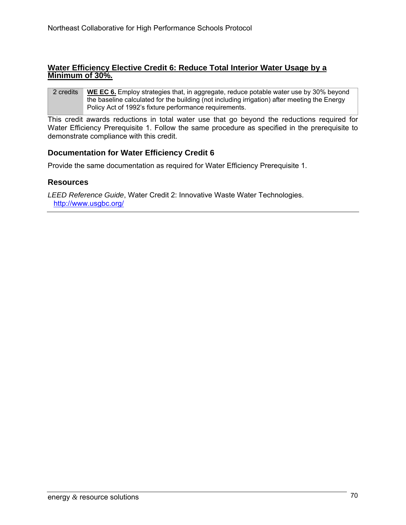#### **Water Efficiency Elective Credit 6: Reduce Total Interior Water Usage by a Minimum of 30%.**

2 credits **WE EC 6.** Employ strategies that, in aggregate, reduce potable water use by 30% beyond the baseline calculated for the building (not including irrigation) after meeting the Energy Policy Act of 1992's fixture performance requirements.

This credit awards reductions in total water use that go beyond the reductions required for Water Efficiency Prerequisite 1. Follow the same procedure as specified in the prerequisite to demonstrate compliance with this credit.

### **Documentation for Water Efficiency Credit 6**

Provide the same documentation as required for Water Efficiency Prerequisite 1.

#### **Resources**

*LEED Reference Guide*, Water Credit 2: Innovative Waste Water Technologies. http://www.usgbc.org/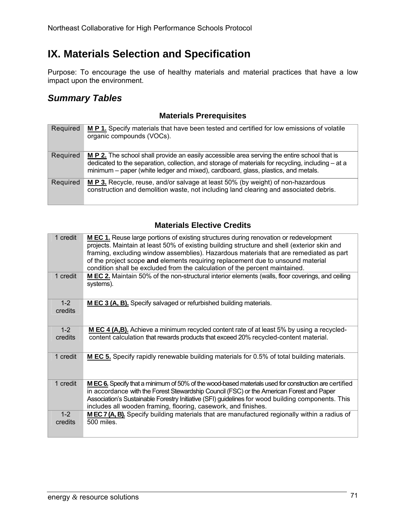# **IX. Materials Selection and Specification**

Purpose: To encourage the use of healthy materials and material practices that have a low impact upon the environment.

## *Summary Tables*

### **Materials Prerequisites**

| Required | M P 1. Specify materials that have been tested and certified for low emissions of volatile<br>organic compounds (VOCs).                                                                                                                                                               |
|----------|---------------------------------------------------------------------------------------------------------------------------------------------------------------------------------------------------------------------------------------------------------------------------------------|
| Required | M P 2. The school shall provide an easily accessible area serving the entire school that is<br>dedicated to the separation, collection, and storage of materials for recycling, including – at a<br>minimum – paper (white ledger and mixed), cardboard, glass, plastics, and metals. |
| Required | M P 3. Recycle, reuse, and/or salvage at least 50% (by weight) of non-hazardous<br>construction and demolition waste, not including land clearing and associated debris.                                                                                                              |

### **Materials Elective Credits**

| 1 credit         | <b>M EC 1.</b> Reuse large portions of existing structures during renovation or redevelopment<br>projects. Maintain at least 50% of existing building structure and shell (exterior skin and<br>framing, excluding window assemblies). Hazardous materials that are remediated as part<br>of the project scope and elements requiring replacement due to unsound material<br>condition shall be excluded from the calculation of the percent maintained. |
|------------------|----------------------------------------------------------------------------------------------------------------------------------------------------------------------------------------------------------------------------------------------------------------------------------------------------------------------------------------------------------------------------------------------------------------------------------------------------------|
| 1 credit         | M EC 2. Maintain 50% of the non-structural interior elements (walls, floor coverings, and ceiling<br>systems).                                                                                                                                                                                                                                                                                                                                           |
| $1-2$<br>credits | M EC 3 (A, B). Specify salvaged or refurbished building materials.                                                                                                                                                                                                                                                                                                                                                                                       |
| $1-2$<br>credits | M EC 4 (A,B). Achieve a minimum recycled content rate of at least 5% by using a recycled-<br>content calculation that rewards products that exceed 20% recycled-content material.                                                                                                                                                                                                                                                                        |
| 1 credit         | <b>M EC 5.</b> Specify rapidly renewable building materials for 0.5% of total building materials.                                                                                                                                                                                                                                                                                                                                                        |
| 1 credit         | M EC 6. Specify that a minimum of 50% of the wood-based materials used for construction are certified<br>in accordance with the Forest Stewardship Council (FSC) or the American Forest and Paper<br>Association's Sustainable Forestry Initiative (SFI) guidelines for wood building components. This<br>includes all wooden framing, flooring, casework, and finishes.                                                                                 |
| $1-2$<br>credits | MEC 7 (A, B). Specify building materials that are manufactured regionally within a radius of<br>500 miles.                                                                                                                                                                                                                                                                                                                                               |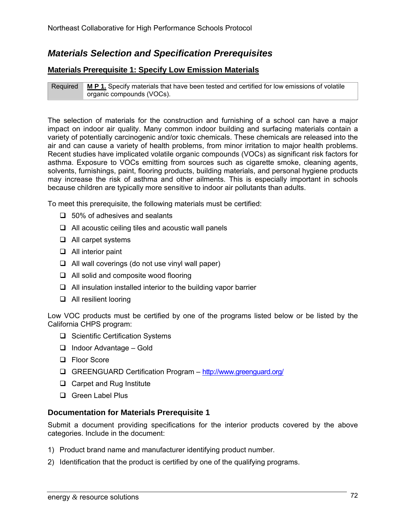## *Materials Selection and Specification Prerequisites*

#### **Materials Prerequisite 1: Specify Low Emission Materials**

Required **M P 1.** Specify materials that have been tested and certified for low emissions of volatile organic compounds (VOCs).

The selection of materials for the construction and furnishing of a school can have a major impact on indoor air quality. Many common indoor building and surfacing materials contain a variety of potentially carcinogenic and/or toxic chemicals. These chemicals are released into the air and can cause a variety of health problems, from minor irritation to major health problems. Recent studies have implicated volatile organic compounds (VOCs) as significant risk factors for asthma. Exposure to VOCs emitting from sources such as cigarette smoke, cleaning agents, solvents, furnishings, paint, flooring products, building materials, and personal hygiene products may increase the risk of asthma and other ailments. This is especially important in schools because children are typically more sensitive to indoor air pollutants than adults.

To meet this prerequisite, the following materials must be certified:

- $\Box$  50% of adhesives and sealants
- $\Box$  All acoustic ceiling tiles and acoustic wall panels
- $\Box$  All carpet systems
- **Q** All interior paint
- $\Box$  All wall coverings (do not use vinyl wall paper)
- □ All solid and composite wood flooring
- $\Box$  All insulation installed interior to the building vapor barrier
- All resilient looring

Low VOC products must be certified by one of the programs listed below or be listed by the California CHPS program:

- $\Box$  Scientific Certification Systems
- $\Box$  Indoor Advantage Gold
- □ Floor Score
- GREENGUARD Certification Program http://www.greenguard.org/
- $\Box$  Carpet and Rug Institute
- Green Label Plus

### **Documentation for Materials Prerequisite 1**

Submit a document providing specifications for the interior products covered by the above categories. Include in the document:

- 1) Product brand name and manufacturer identifying product number.
- 2) Identification that the product is certified by one of the qualifying programs.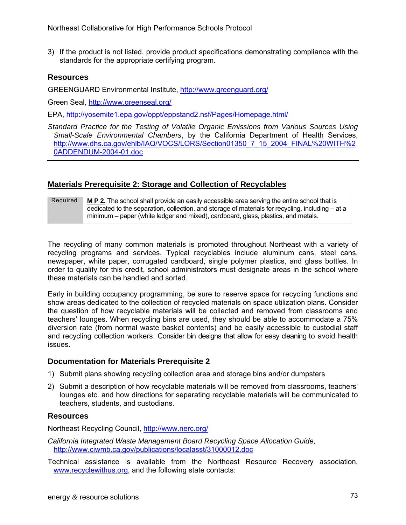3) If the product is not listed, provide product specifications demonstrating compliance with the standards for the appropriate certifying program.

#### **Resources**

GREENGUARD Environmental Institute, http://www.greenguard.org/

Green Seal, http://www.greenseal.org/

EPA, http://yosemite1.epa.gov/oppt/eppstand2.nsf/Pages/Homepage.html/

*Standard Practice for the Testing of Volatile Organic Emissions from Various Sources Using Small-Scale Environmental Chambers*, by the California Department of Health Services, http://www.dhs.ca.gov/ehlb/IAQ/VOCS/LORS/Section01350\_7\_15\_2004\_FINAL%20WITH%2 0ADDENDUM-2004-01.doc

#### **Materials Prerequisite 2: Storage and Collection of Recyclables**

#### Required **M P 2.** The school shall provide an easily accessible area serving the entire school that is dedicated to the separation, collection, and storage of materials for recycling, including – at a minimum – paper (white ledger and mixed), cardboard, glass, plastics, and metals.

The recycling of many common materials is promoted throughout Northeast with a variety of recycling programs and services. Typical recyclables include aluminum cans, steel cans, newspaper, white paper, corrugated cardboard, single polymer plastics, and glass bottles. In order to qualify for this credit, school administrators must designate areas in the school where these materials can be handled and sorted.

Early in building occupancy programming, be sure to reserve space for recycling functions and show areas dedicated to the collection of recycled materials on space utilization plans. Consider the question of how recyclable materials will be collected and removed from classrooms and teachers' lounges. When recycling bins are used, they should be able to accommodate a 75% diversion rate (from normal waste basket contents) and be easily accessible to custodial staff and recycling collection workers. Consider bin designs that allow for easy cleaning to avoid health issues.

#### **Documentation for Materials Prerequisite 2**

- 1) Submit plans showing recycling collection area and storage bins and/or dumpsters
- 2) Submit a description of how recyclable materials will be removed from classrooms, teachers' lounges etc. and how directions for separating recyclable materials will be communicated to teachers, students, and custodians.

#### **Resources**

Northeast Recycling Council, http://www.nerc.org/

*California Integrated Waste Management Board Recycling Space Allocation Guide,*  http://www.ciwmb.ca.gov/publications/localasst/31000012.doc

Technical assistance is available from the Northeast Resource Recovery association, www.recyclewithus.org, and the following state contacts: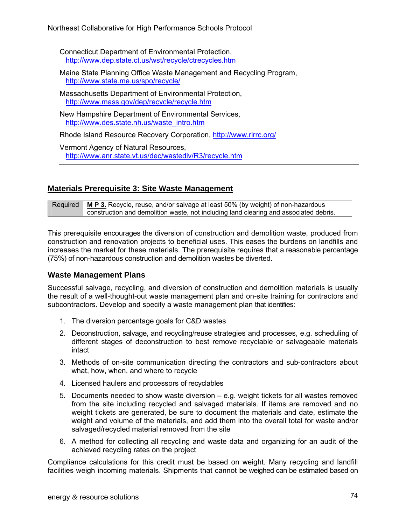Connecticut Department of Environmental Protection, http://www.dep.state.ct.us/wst/recycle/ctrecycles.htm

Maine State Planning Office Waste Management and Recycling Program, http://www.state.me.us/spo/recycle/

Massachusetts Department of Environmental Protection, http://www.mass.gov/dep/recycle/recycle.htm

New Hampshire Department of Environmental Services, http://www.des.state.nh.us/waste\_intro.htm

Rhode Island Resource Recovery Corporation, http://www.rirrc.org/

Vermont Agency of Natural Resources, http://www.anr.state.vt.us/dec/wastediv/R3/recycle.htm

### **Materials Prerequisite 3: Site Waste Management**

Required **M P 3.** Recycle, reuse, and/or salvage at least 50% (by weight) of non-hazardous construction and demolition waste, not including land clearing and associated debris.

This prerequisite encourages the diversion of construction and demolition waste, produced from construction and renovation projects to beneficial uses. This eases the burdens on landfills and increases the market for these materials. The prerequisite requires that a reasonable percentage (75%) of non-hazardous construction and demolition wastes be diverted.

### **Waste Management Plans**

Successful salvage, recycling, and diversion of construction and demolition materials is usually the result of a well-thought-out waste management plan and on-site training for contractors and subcontractors. Develop and specify a waste management plan that identifies:

- 1. The diversion percentage goals for C&D wastes
- 2. Deconstruction, salvage, and recycling/reuse strategies and processes, e.g. scheduling of different stages of deconstruction to best remove recyclable or salvageable materials intact
- 3. Methods of on-site communication directing the contractors and sub-contractors about what, how, when, and where to recycle
- 4. Licensed haulers and processors of recyclables
- 5. Documents needed to show waste diversion e.g. weight tickets for all wastes removed from the site including recycled and salvaged materials. If items are removed and no weight tickets are generated, be sure to document the materials and date, estimate the weight and volume of the materials, and add them into the overall total for waste and/or salvaged/recycled material removed from the site
- 6. A method for collecting all recycling and waste data and organizing for an audit of the achieved recycling rates on the project

Compliance calculations for this credit must be based on weight. Many recycling and landfill facilities weigh incoming materials. Shipments that cannot be weighed can be estimated based on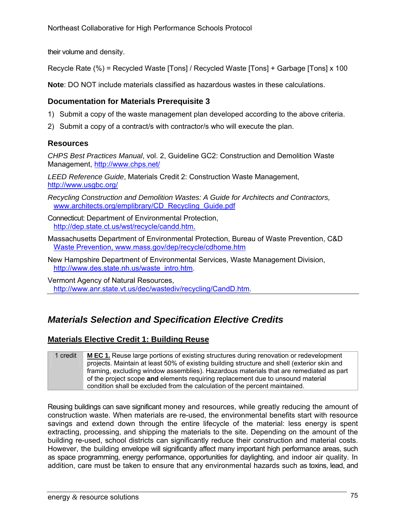their volume and density.

Recycle Rate (%) = Recycled Waste [Tons] / Recycled Waste [Tons] + Garbage [Tons] x 100

**Note**: DO NOT include materials classified as hazardous wastes in these calculations.

### **Documentation for Materials Prerequisite 3**

- 1) Submit a copy of the waste management plan developed according to the above criteria.
- 2) Submit a copy of a contract/s with contractor/s who will execute the plan.

### **Resources**

*CHPS Best Practices Manual*, vol. 2, Guideline GC2: Construction and Demolition Waste Management, http://www.chps.net/

*LEED Reference Guide*, Materials Credit 2: Construction Waste Management, http://www.usgbc.org/

- *Recycling Construction and Demolition Wastes: A Guide for Architects and Contractors,*  www.architects.org/emplibrary/CD\_Recycling\_Guide.pdf
- Connecticut: Department of Environmental Protection, http://dep.state.ct.us/wst/recycle/candd.htm.
- Massachusetts Department of Environmental Protection, Bureau of Waste Prevention, C&D Waste Prevention, www.mass.gov/dep/recycle/cdhome.htm
- New Hampshire Department of Environmental Services, Waste Management Division, http://www.des.state.nh.us/waste\_intro.htm.

Vermont Agency of Natural Resources, http://www.anr.state.vt.us/dec/wastediv/recycling/CandD.htm.

## *Materials Selection and Specification Elective Credits*

### **Materials Elective Credit 1: Building Reuse**

1 credit **M EC 1.** Reuse large portions of existing structures during renovation or redevelopment projects. Maintain at least 50% of existing building structure and shell (exterior skin and framing, excluding window assemblies). Hazardous materials that are remediated as part of the project scope **and** elements requiring replacement due to unsound material condition shall be excluded from the calculation of the percent maintained.

Reusing buildings can save significant money and resources, while greatly reducing the amount of construction waste. When materials are re-used, the environmental benefits start with resource savings and extend down through the entire lifecycle of the material: less energy is spent extracting, processing, and shipping the materials to the site. Depending on the amount of the building re-used, school districts can significantly reduce their construction and material costs. However, the building envelope will significantly affect many important high performance areas, such as space programming, energy performance, opportunities for daylighting, and indoor air quality. In addition, care must be taken to ensure that any environmental hazards such as toxins, lead, and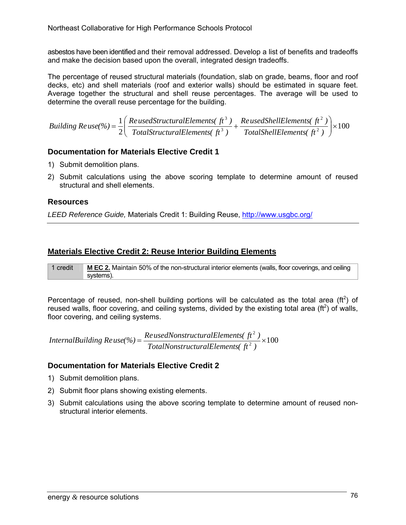asbestos have been identified and their removal addressed. Develop a list of benefits and tradeoffs and make the decision based upon the overall, integrated design tradeoffs.

The percentage of reused structural materials (foundation, slab on grade, beams, floor and roof decks, etc) and shell materials (roof and exterior walls) should be estimated in square feet. Average together the structural and shell reuse percentages. The average will be used to determine the overall reuse percentage for the building.

100 2 1 2 2 3 3  $\vert \times$ ⎠ ⎞  $\overline{\phantom{a}}$ ⎝  $=\frac{1}{2}\left(\frac{Re\,us\,ed\,StructuralElements(\,ft^3\,)}{8}\right)$ *TotalShellElements( ft ) ReusedShellElements( ft ) TotalStructuralElements( ft ) Ruilding*  $Re$  *use*(%) =  $\frac{1}{2}$  $\left( \frac{Re$  *usedStructuralElements*( $\frac{f_1^3}{2}$ )

### **Documentation for Materials Elective Credit 1**

- 1) Submit demolition plans.
- 2) Submit calculations using the above scoring template to determine amount of reused structural and shell elements.

### **Resources**

*LEED Reference Guide,* Materials Credit 1: Building Reuse, http://www.usgbc.org/

### **Materials Elective Credit 2: Reuse Interior Building Elements**

1 credit **M EC 2.** Maintain 50% of the non-structural interior elements (walls, floor coverings, and ceiling systems).

Percentage of reused, non-shell building portions will be calculated as the total area ( $ft<sup>2</sup>$ ) of reused walls, floor covering, and ceiling systems, divided by the existing total area ( $ft<sup>2</sup>$ ) of walls, floor covering, and ceiling systems.

 $\frac{1}{2}$   $\times$  100 2  $=\frac{R_{\text{c}}}{T_{\text{c}}}\frac{R_{\text{c}}}{T_{\text{c}}}\frac{R_{\text{c}}}{T_{\text{c}}}\frac{R_{\text{c}}}{T_{\text{c}}}\frac{R_{\text{c}}}{T_{\text{c}}}\frac{R_{\text{c}}}{T_{\text{c}}}\frac{R_{\text{c}}}{T_{\text{c}}}\frac{R_{\text{c}}}{T_{\text{c}}}\frac{R_{\text{c}}}{T_{\text{c}}}\frac{R_{\text{c}}}{T_{\text{c}}}\frac{R_{\text{c}}}{T_{\text{c}}}\frac{R_{\text{c}}}{T_{\text{c}}}\frac{R$ *TotalNonstructuralElements( ft ) ReusedNonstructuralElements*( $ft^2$ )<br>*InternalBuilding Reuse(%)* =  $\frac{ReusedNonstructuralElements(ft^2)}{f(t^2)}$ 

### **Documentation for Materials Elective Credit 2**

- 1) Submit demolition plans.
- 2) Submit floor plans showing existing elements.
- 3) Submit calculations using the above scoring template to determine amount of reused nonstructural interior elements.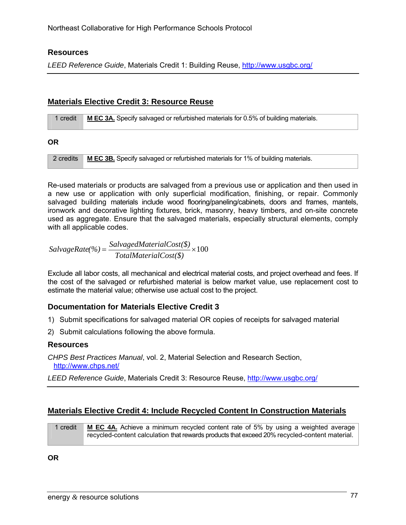#### **Resources**

*LEED Reference Guide*, Materials Credit 1: Building Reuse, http://www.usgbc.org/

#### **Materials Elective Credit 3: Resource Reuse**

| 1 credit  | M EC 3A. Specify salvaged or refurbished materials for 0.5% of building materials. |
|-----------|------------------------------------------------------------------------------------|
| ΟR        |                                                                                    |
| 2 credits | M EC 3B. Specify salvaged or refurbished materials for 1% of building materials.   |

Re-used materials or products are salvaged from a previous use or application and then used in a new use or application with only superficial modification, finishing, or repair. Commonly salvaged building materials include wood flooring/paneling/cabinets, doors and frames, mantels, ironwork and decorative lighting fixtures, brick, masonry, heavy timbers, and on-site concrete used as aggregate. Ensure that the salvaged materials, especially structural elements, comply with all applicable codes.

$$
SalvageRate (%) = \frac{SalvagedMaterialCost(\$)}{TotalMaterialCost(\$)} \times 100
$$

Exclude all labor costs, all mechanical and electrical material costs, and project overhead and fees. If the cost of the salvaged or refurbished material is below market value, use replacement cost to estimate the material value; otherwise use actual cost to the project.

#### **Documentation for Materials Elective Credit 3**

- 1) Submit specifications for salvaged material OR copies of receipts for salvaged material
- 2) Submit calculations following the above formula.

#### **Resources**

*CHPS Best Practices Manual*, vol. 2, Material Selection and Research Section, http://www.chps.net/

*LEED Reference Guide*, Materials Credit 3: Resource Reuse, http://www.usgbc.org/

### **Materials Elective Credit 4: Include Recycled Content In Construction Materials**

1 credit **M EC 4A.** Achieve a minimum recycled content rate of 5% by using a weighted average recycled-content calculation that rewards products that exceed 20% recycled-content material.

**OR**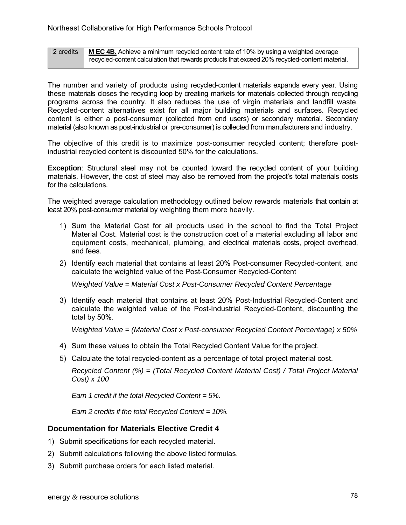2 credits **M EC 4B.** Achieve a minimum recycled content rate of 10% by using a weighted average recycled-content calculation that rewards products that exceed 20% recycled-content material.

The number and variety of products using recycled-content materials expands every year. Using these materials closes the recycling loop by creating markets for materials collected through recycling programs across the country. It also reduces the use of virgin materials and landfill waste. Recycled-content alternatives exist for all major building materials and surfaces. Recycled content is either a post-consumer (collected from end users) or secondary material. Secondary material (also known as post-industrial or pre-consumer) is collected from manufacturers and industry.

The objective of this credit is to maximize post-consumer recycled content; therefore postindustrial recycled content is discounted 50% for the calculations.

**Exception**: Structural steel may not be counted toward the recycled content of your building materials. However, the cost of steel may also be removed from the project's total materials costs for the calculations.

The weighted average calculation methodology outlined below rewards materials that contain at least 20% post-consumer material by weighting them more heavily.

- 1) Sum the Material Cost for all products used in the school to find the Total Project Material Cost. Material cost is the construction cost of a material excluding all labor and equipment costs, mechanical, plumbing, and electrical materials costs, project overhead, and fees.
- 2) Identify each material that contains at least 20% Post-consumer Recycled-content, and calculate the weighted value of the Post-Consumer Recycled-Content

*Weighted Value = Material Cost x Post-Consumer Recycled Content Percentage* 

3) Identify each material that contains at least 20% Post-Industrial Recycled-Content and calculate the weighted value of the Post-Industrial Recycled-Content, discounting the total by 50%.

*Weighted Value = (Material Cost x Post-consumer Recycled Content Percentage) x 50%* 

- 4) Sum these values to obtain the Total Recycled Content Value for the project.
- 5) Calculate the total recycled-content as a percentage of total project material cost.

*Recycled Content (%) = (Total Recycled Content Material Cost) / Total Project Material Cost) x 100* 

*Earn 1 credit if the total Recycled Content = 5%.* 

*Earn 2 credits if the total Recycled Content = 10%.* 

#### **Documentation for Materials Elective Credit 4**

- 1) Submit specifications for each recycled material.
- 2) Submit calculations following the above listed formulas.
- 3) Submit purchase orders for each listed material.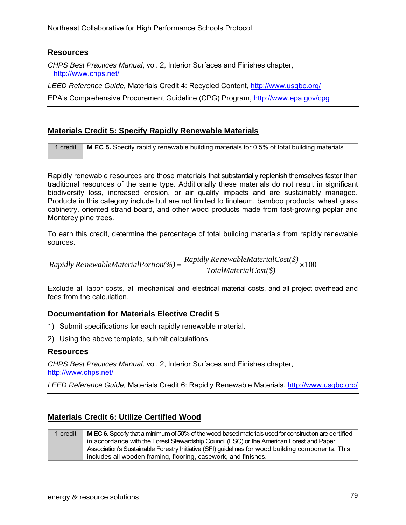### **Resources**

*CHPS Best Practices Manual*, vol. 2, Interior Surfaces and Finishes chapter, http://www.chps.net/

*LEED Reference Guide,* Materials Credit 4: Recycled Content, http://www.usgbc.org/

EPA's Comprehensive Procurement Guideline (CPG) Program, http://www.epa.gov/cpg

### **Materials Credit 5: Specify Rapidly Renewable Materials**

1 credit **M EC 5.** Specify rapidly renewable building materials for 0.5% of total building materials.

Rapidly renewable resources are those materials that substantially replenish themselves faster than traditional resources of the same type. Additionally these materials do not result in significant biodiversity loss, increased erosion, or air quality impacts and are sustainably managed. Products in this category include but are not limited to linoleum, bamboo products, wheat grass cabinetry, oriented strand board, and other wood products made from fast-growing poplar and Monterey pine trees.

To earn this credit, determine the percentage of total building materials from rapidly renewable sources.

 $=\frac{Rapuy}{r} + \frac{Remuolem}{r} \times 100$ *TotalMaterialCost(\$) Rapidly Re newableMaterialPortion(%)* =  $\frac{Rayidity\ Re\ newableMaterialCost(\$)}{max[1,1,2]}$ 

Exclude all labor costs, all mechanical and electrical material costs, and all project overhead and fees from the calculation.

### **Documentation for Materials Elective Credit 5**

- 1) Submit specifications for each rapidly renewable material.
- 2) Using the above template, submit calculations.

#### **Resources**

*CHPS Best Practices Manual,* vol. 2, Interior Surfaces and Finishes chapter, http://www.chps.net/

*LEED Reference Guide,* Materials Credit 6: Rapidly Renewable Materials, http://www.usgbc.org/

### **Materials Credit 6: Utilize Certified Wood**

#### 1 credit **M EC 6.**Specify that a minimum of 50% of the wood-based materials used for construction are certified in accordance with the Forest Stewardship Council (FSC) or the American Forest and Paper Association's Sustainable Forestry Initiative (SFI) guidelines for wood building components. This includes all wooden framing, flooring, casework, and finishes.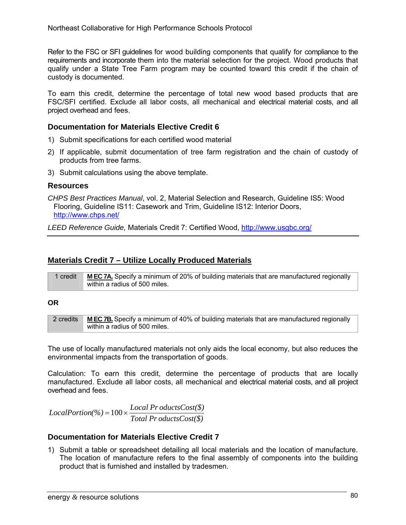Refer to the FSC or SFI guidelines for wood building components that qualify for compliance to the requirements and incorporate them into the material selection for the project. Wood products that qualify under a State Tree Farm program may be counted toward this credit if the chain of custody is documented.

To earn this credit, determine the percentage of total new wood based products that are FSC/SFI certified. Exclude all labor costs, all mechanical and electrical material costs, and all project overhead and fees.

### **Documentation for Materials Elective Credit 6**

- 1) Submit specifications for each certified wood material
- 2) If applicable, submit documentation of tree farm registration and the chain of custody of products from tree farms.
- 3) Submit calculations using the above template.

#### **Resources**

*CHPS Best Practices Manual*, vol. 2, Material Selection and Research, Guideline IS5: Wood Flooring, Guideline IS11: Casework and Trim, Guideline IS12: Interior Doors, http://www.chps.net/

*LEED Reference Guide,* Materials Credit 7: Certified Wood, http://www.usgbc.org/

#### **Materials Credit 7 – Utilize Locally Produced Materials**

| 1 credit | MEC 7A. Specify a minimum of 20% of building materials that are manufactured regionally |
|----------|-----------------------------------------------------------------------------------------|
|          | within a radius of 500 miles.                                                           |

#### **OR**

| 2 credits | <b>MECTB.</b> Specify a minimum of 40% of building materials that are manufactured regionally |
|-----------|-----------------------------------------------------------------------------------------------|
|           | within a radius of 500 miles.                                                                 |

The use of locally manufactured materials not only aids the local economy, but also reduces the environmental impacts from the transportation of goods.

Calculation: To earn this credit, determine the percentage of products that are locally manufactured. Exclude all labor costs, all mechanical and electrical material costs, and all project overhead and fees.

*Total Pr oductsCost(\$)*  $LocalProction(\%) = 100 \times \frac{Local ProductsCost(\$)}{P}$ 

### **Documentation for Materials Elective Credit 7**

1) Submit a table or spreadsheet detailing all local materials and the location of manufacture. The location of manufacture refers to the final assembly of components into the building product that is furnished and installed by tradesmen.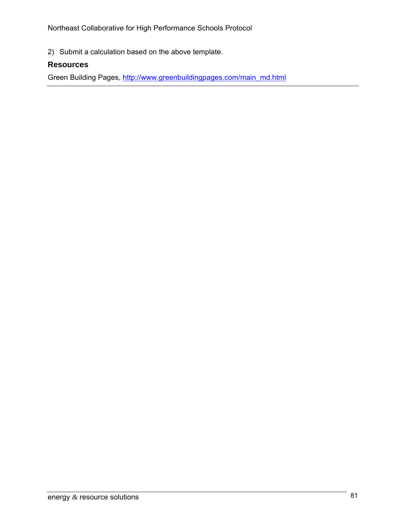Northeast Collaborative for High Performance Schools Protocol

2) Submit a calculation based on the above template.

### **Resources**

Green Building Pages, http://www.greenbuildingpages.com/main\_md.html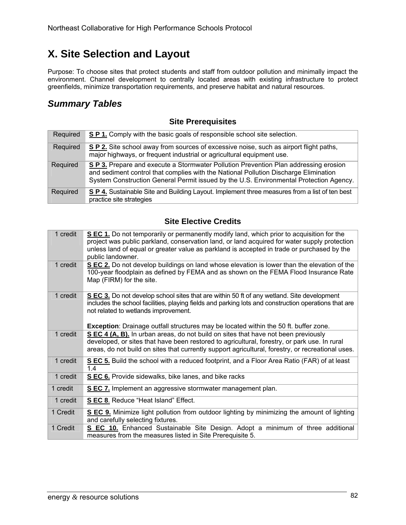# **X. Site Selection and Layout**

Purpose: To choose sites that protect students and staff from outdoor pollution and minimally impact the environment. Channel development to centrally located areas with existing infrastructure to protect greenfields, minimize transportation requirements, and preserve habitat and natural resources.

## *Summary Tables*

### **Site Prerequisites**

| Required | S P 1. Comply with the basic goals of responsible school site selection.                                                                                                                                                                                               |
|----------|------------------------------------------------------------------------------------------------------------------------------------------------------------------------------------------------------------------------------------------------------------------------|
| Required | SP 2. Site school away from sources of excessive noise, such as airport flight paths,<br>major highways, or frequent industrial or agricultural equipment use.                                                                                                         |
| Required | S P 3. Prepare and execute a Stormwater Pollution Prevention Plan addressing erosion<br>and sediment control that complies with the National Pollution Discharge Elimination<br>System Construction General Permit issued by the U.S. Environmental Protection Agency. |
| Required | S P 4. Sustainable Site and Building Layout. Implement three measures from a list of ten best<br>practice site strategies                                                                                                                                              |

### **Site Elective Credits**

| 1 credit | S EC 1. Do not temporarily or permanently modify land, which prior to acquisition for the<br>project was public parkland, conservation land, or land acquired for water supply protection<br>unless land of equal or greater value as parkland is accepted in trade or purchased by the<br>public landowner.                               |
|----------|--------------------------------------------------------------------------------------------------------------------------------------------------------------------------------------------------------------------------------------------------------------------------------------------------------------------------------------------|
| 1 credit | S EC 2. Do not develop buildings on land whose elevation is lower than the elevation of the<br>100-year floodplain as defined by FEMA and as shown on the FEMA Flood Insurance Rate<br>Map (FIRM) for the site.                                                                                                                            |
| 1 credit | S EC 3. Do not develop school sites that are within 50 ft of any wetland. Site development<br>includes the school facilities, playing fields and parking lots and construction operations that are<br>not related to wetlands improvement.<br><b>Exception</b> : Drainage outfall structures may be located within the 50 ft. buffer zone. |
| 1 credit | S EC 4 (A, B). In urban areas, do not build on sites that have not been previously                                                                                                                                                                                                                                                         |
|          | developed, or sites that have been restored to agricultural, forestry, or park use. In rural<br>areas, do not build on sites that currently support agricultural, forestry, or recreational uses.                                                                                                                                          |
| 1 credit | S EC 5. Build the school with a reduced footprint, and a Floor Area Ratio (FAR) of at least<br>1.4                                                                                                                                                                                                                                         |
| 1 credit | SEC 6. Provide sidewalks, bike lanes, and bike racks                                                                                                                                                                                                                                                                                       |
| 1 credit | S EC 7. Implement an aggressive stormwater management plan.                                                                                                                                                                                                                                                                                |
| 1 credit | S EC 8. Reduce "Heat Island" Effect.                                                                                                                                                                                                                                                                                                       |
| 1 Credit | S EC 9. Minimize light pollution from outdoor lighting by minimizing the amount of lighting<br>and carefully selecting fixtures.                                                                                                                                                                                                           |
| 1 Credit | S EC 10. Enhanced Sustainable Site Design. Adopt a minimum of three additional<br>measures from the measures listed in Site Prerequisite 5.                                                                                                                                                                                                |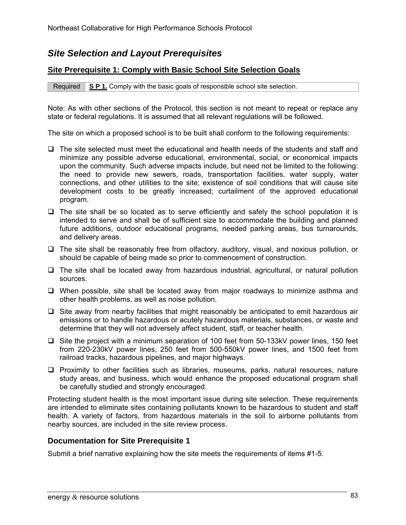## *Site Selection and Layout Prerequisites*

### **Site Prerequisite 1: Comply with Basic School Site Selection Goals**

Required **S P 1.** Comply with the basic goals of responsible school site selection.

Note: As with other sections of the Protocol, this section is not meant to repeat or replace any state or federal regulations. It is assumed that all relevant regulations will be followed.

The site on which a proposed school is to be built shall conform to the following requirements:

- $\Box$  The site selected must meet the educational and health needs of the students and staff and minimize any possible adverse educational, environmental, social, or economical impacts upon the community. Such adverse impacts include, but need not be limited to the following: the need to provide new sewers, roads, transportation facilities, water supply, water connections, and other utilities to the site; existence of soil conditions that will cause site development costs to be greatly increased; curtailment of the approved educational program.
- $\Box$  The site shall be so located as to serve efficiently and safely the school population it is intended to serve and shall be of sufficient size to accommodate the building and planned future additions, outdoor educational programs, needed parking areas, bus turnarounds, and delivery areas.
- $\Box$  The site shall be reasonably free from olfactory, auditory, visual, and noxious pollution, or should be capable of being made so prior to commencement of construction.
- $\Box$  The site shall be located away from hazardous industrial, agricultural, or natural pollution sources.
- $\Box$  When possible, site shall be located away from major roadways to minimize asthma and other health problems, as well as noise pollution.
- $\Box$  Site away from nearby facilities that might reasonably be anticipated to emit hazardous air emissions or to handle hazardous or acutely hazardous materials, substances, or waste and determine that they will not adversely affect student, staff, or teacher health.
- $\Box$  Site the project with a minimum separation of 100 feet from 50-133kV power lines, 150 feet from 220-230kV power lines, 250 feet from 500-550kV power lines, and 1500 feet from railroad tracks, hazardous pipelines, and major highways.
- $\Box$  Proximity to other facilities such as libraries, museums, parks, natural resources, nature study areas, and business, which would enhance the proposed educational program shall be carefully studied and strongly encouraged.

Protecting student health is the most important issue during site selection. These requirements are intended to eliminate sites containing pollutants known to be hazardous to student and staff health. A variety of factors, from hazardous materials in the soil to airborne pollutants from nearby sources, are included in the site review process.

#### **Documentation for Site Prerequisite 1**

Submit a brief narrative explaining how the site meets the requirements of items #1-5.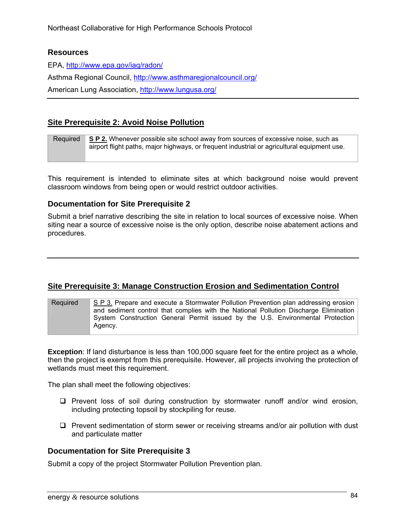#### **Resources**

EPA, http://www.epa.gov/iaq/radon/ Asthma Regional Council, http://www.asthmaregionalcouncil.org/ American Lung Association, http://www.lungusa.org/

### **Site Prerequisite 2: Avoid Noise Pollution**

| <b>Required</b> | S P 2. Whenever possible site school away from sources of excessive noise, such as          |
|-----------------|---------------------------------------------------------------------------------------------|
|                 | airport flight paths, major highways, or frequent industrial or agricultural equipment use. |
|                 |                                                                                             |

This requirement is intended to eliminate sites at which background noise would prevent classroom windows from being open or would restrict outdoor activities.

#### **Documentation for Site Prerequisite 2**

Submit a brief narrative describing the site in relation to local sources of excessive noise. When siting near a source of excessive noise is the only option, describe noise abatement actions and procedures.

### **Site Prerequisite 3: Manage Construction Erosion and Sedimentation Control**

Required S P 3. Prepare and execute a Stormwater Pollution Prevention plan addressing erosion and sediment control that complies with the National Pollution Discharge Elimination System Construction General Permit issued by the U.S. Environmental Protection Agency.

**Exception:** If land disturbance is less than 100,000 square feet for the entire project as a whole, then the project is exempt from this prerequisite. However, all projects involving the protection of wetlands must meet this requirement.

The plan shall meet the following objectives:

- $\square$  Prevent loss of soil during construction by stormwater runoff and/or wind erosion, including protecting topsoil by stockpiling for reuse.
- $\Box$  Prevent sedimentation of storm sewer or receiving streams and/or air pollution with dust and particulate matter

### **Documentation for Site Prerequisite 3**

Submit a copy of the project Stormwater Pollution Prevention plan.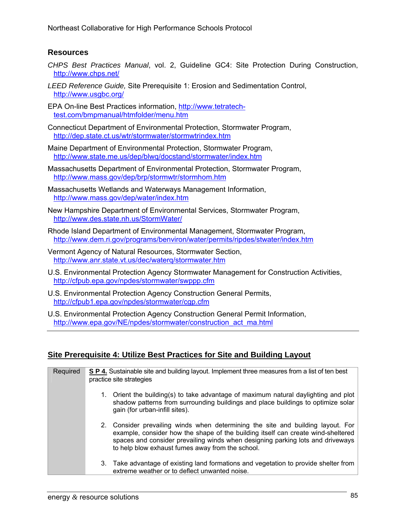### **Resources**

- *CHPS Best Practices Manual*, vol. 2, Guideline GC4: Site Protection During Construction, http://www.chps.net/
- *LEED Reference Guide,* Site Prerequisite 1: Erosion and Sedimentation Control, http://www.usgbc.org/
- EPA On-line Best Practices information, http://www.tetratechtest.com/bmpmanual/htmfolder/menu.htm
- Connecticut Department of Environmental Protection, Stormwater Program, http://dep.state.ct.us/wtr/stormwater/stormwtrindex.htm
- Maine Department of Environmental Protection, Stormwater Program, http://www.state.me.us/dep/blwq/docstand/stormwater/index.htm
- Massachusetts Department of Environmental Protection, Stormwater Program, http://www.mass.gov/dep/brp/stormwtr/stormhom.htm
- Massachusetts Wetlands and Waterways Management Information, http://www.mass.gov/dep/water/index.htm
- New Hampshire Department of Environmental Services, Stormwater Program, http://www.des.state.nh.us/StormWater/
- Rhode Island Department of Environmental Management, Stormwater Program, http://www.dem.ri.gov/programs/benviron/water/permits/ripdes/stwater/index.htm
- Vermont Agency of Natural Resources, Stormwater Section, http://www.anr.state.vt.us/dec/waterq/stormwater.htm
- U.S. Environmental Protection Agency Stormwater Management for Construction Activities, http://cfpub.epa.gov/npdes/stormwater/swppp.cfm
- U.S. Environmental Protection Agency Construction General Permits, http://cfpub1.epa.gov/npdes/stormwater/cgp.cfm
- U.S. Environmental Protection Agency Construction General Permit Information, http://www.epa.gov/NE/npdes/stormwater/construction\_act\_ma.html

### **Site Prerequisite 4: Utilize Best Practices for Site and Building Layout**

| Required | S P 4. Sustainable site and building layout. Implement three measures from a list of ten best<br>practice site strategies |                                                                                                                                                                                                                                                                                                           |  |
|----------|---------------------------------------------------------------------------------------------------------------------------|-----------------------------------------------------------------------------------------------------------------------------------------------------------------------------------------------------------------------------------------------------------------------------------------------------------|--|
|          |                                                                                                                           | 1. Orient the building(s) to take advantage of maximum natural daylighting and plot<br>shadow patterns from surrounding buildings and place buildings to optimize solar<br>gain (for urban-infill sites).                                                                                                 |  |
|          |                                                                                                                           | 2. Consider prevailing winds when determining the site and building layout. For<br>example, consider how the shape of the building itself can create wind-sheltered<br>spaces and consider prevailing winds when designing parking lots and driveways<br>to help blow exhaust fumes away from the school. |  |
|          |                                                                                                                           | 3. Take advantage of existing land formations and vegetation to provide shelter from<br>extreme weather or to deflect unwanted noise.                                                                                                                                                                     |  |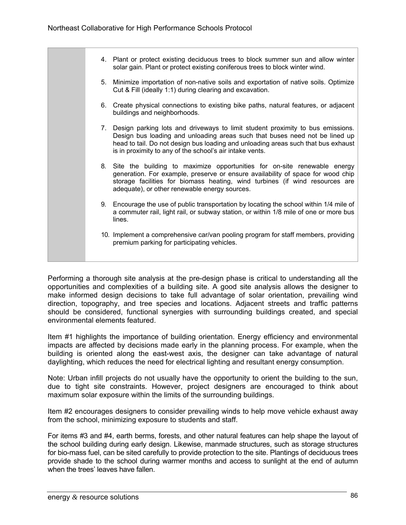| 4. Plant or protect existing deciduous trees to block summer sun and allow winter<br>solar gain. Plant or protect existing coniferous trees to block winter wind.                                                                                                                                                 |  |
|-------------------------------------------------------------------------------------------------------------------------------------------------------------------------------------------------------------------------------------------------------------------------------------------------------------------|--|
| 5. Minimize importation of non-native soils and exportation of native soils. Optimize<br>Cut & Fill (ideally 1:1) during clearing and excavation.                                                                                                                                                                 |  |
| 6. Create physical connections to existing bike paths, natural features, or adjacent<br>buildings and neighborhoods.                                                                                                                                                                                              |  |
| 7. Design parking lots and driveways to limit student proximity to bus emissions.<br>Design bus loading and unloading areas such that buses need not be lined up<br>head to tail. Do not design bus loading and unloading areas such that bus exhaust<br>is in proximity to any of the school's air intake vents. |  |
| 8. Site the building to maximize opportunities for on-site renewable energy<br>generation. For example, preserve or ensure availability of space for wood chip<br>storage facilities for biomass heating, wind turbines (if wind resources are<br>adequate), or other renewable energy sources.                   |  |
| 9. Encourage the use of public transportation by locating the school within 1/4 mile of<br>a commuter rail, light rail, or subway station, or within 1/8 mile of one or more bus<br>lines.                                                                                                                        |  |
| 10. Implement a comprehensive car/van pooling program for staff members, providing<br>premium parking for participating vehicles.                                                                                                                                                                                 |  |
|                                                                                                                                                                                                                                                                                                                   |  |

Performing a thorough site analysis at the pre-design phase is critical to understanding all the opportunities and complexities of a building site. A good site analysis allows the designer to make informed design decisions to take full advantage of solar orientation, prevailing wind direction, topography, and tree species and locations. Adjacent streets and traffic patterns should be considered, functional synergies with surrounding buildings created, and special environmental elements featured.

Item #1 highlights the importance of building orientation. Energy efficiency and environmental impacts are affected by decisions made early in the planning process. For example, when the building is oriented along the east-west axis, the designer can take advantage of natural daylighting, which reduces the need for electrical lighting and resultant energy consumption.

Note: Urban infill projects do not usually have the opportunity to orient the building to the sun, due to tight site constraints. However, project designers are encouraged to think about maximum solar exposure within the limits of the surrounding buildings.

Item #2 encourages designers to consider prevailing winds to help move vehicle exhaust away from the school, minimizing exposure to students and staff.

For items #3 and #4, earth berms, forests, and other natural features can help shape the layout of the school building during early design. Likewise, manmade structures, such as storage structures for bio-mass fuel, can be sited carefully to provide protection to the site. Plantings of deciduous trees provide shade to the school during warmer months and access to sunlight at the end of autumn when the trees' leaves have fallen.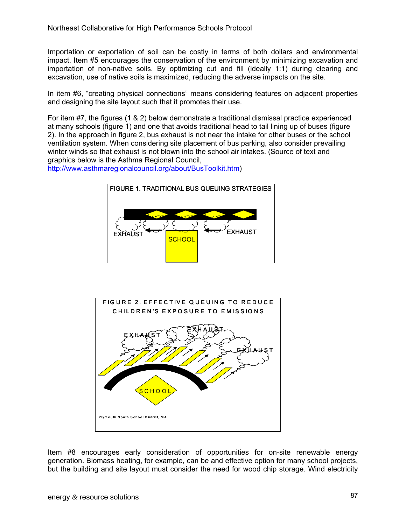Importation or exportation of soil can be costly in terms of both dollars and environmental impact. Item #5 encourages the conservation of the environment by minimizing excavation and importation of non-native soils. By optimizing cut and fill (ideally 1:1) during clearing and excavation, use of native soils is maximized, reducing the adverse impacts on the site.

In item #6, "creating physical connections" means considering features on adjacent properties and designing the site layout such that it promotes their use.

For item #7, the figures (1 & 2) below demonstrate a traditional dismissal practice experienced at many schools (figure 1) and one that avoids traditional head to tail lining up of buses (figure 2). In the approach in figure 2, bus exhaust is not near the intake for other buses or the school ventilation system. When considering site placement of bus parking, also consider prevailing winter winds so that exhaust is not blown into the school air intakes. (Source of text and graphics below is the Asthma Regional Council,

http://www.asthmaregionalcouncil.org/about/BusToolkit.htm)





Item #8 encourages early consideration of opportunities for on-site renewable energy generation. Biomass heating, for example, can be and effective option for many school projects, but the building and site layout must consider the need for wood chip storage. Wind electricity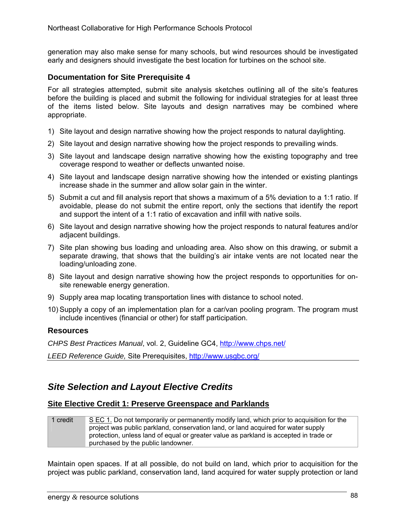generation may also make sense for many schools, but wind resources should be investigated early and designers should investigate the best location for turbines on the school site.

#### **Documentation for Site Prerequisite 4**

For all strategies attempted, submit site analysis sketches outlining all of the site's features before the building is placed and submit the following for individual strategies for at least three of the items listed below. Site layouts and design narratives may be combined where appropriate.

- 1) Site layout and design narrative showing how the project responds to natural daylighting.
- 2) Site layout and design narrative showing how the project responds to prevailing winds.
- 3) Site layout and landscape design narrative showing how the existing topography and tree coverage respond to weather or deflects unwanted noise.
- 4) Site layout and landscape design narrative showing how the intended or existing plantings increase shade in the summer and allow solar gain in the winter.
- 5) Submit a cut and fill analysis report that shows a maximum of a 5% deviation to a 1:1 ratio. If avoidable, please do not submit the entire report, only the sections that identify the report and support the intent of a 1:1 ratio of excavation and infill with native soils.
- 6) Site layout and design narrative showing how the project responds to natural features and/or adjacent buildings.
- 7) Site plan showing bus loading and unloading area. Also show on this drawing, or submit a separate drawing, that shows that the building's air intake vents are not located near the loading/unloading zone.
- 8) Site layout and design narrative showing how the project responds to opportunities for onsite renewable energy generation.
- 9) Supply area map locating transportation lines with distance to school noted.
- 10) Supply a copy of an implementation plan for a car/van pooling program. The program must include incentives (financial or other) for staff participation.

#### **Resources**

*CHPS Best Practices Manual*, vol. 2, Guideline GC4, http://www.chps.net/

*LEED Reference Guide,* Site Prerequisites, http://www.usgbc.org/

## *Site Selection and Layout Elective Credits*

#### **Site Elective Credit 1: Preserve Greenspace and Parklands**

| credit | S EC 1. Do not temporarily or permanently modify land, which prior to acquisition for the |
|--------|-------------------------------------------------------------------------------------------|
|        | project was public parkland, conservation land, or land acquired for water supply         |
|        | protection, unless land of equal or greater value as parkland is accepted in trade or     |
|        | purchased by the public landowner.                                                        |

Maintain open spaces. If at all possible, do not build on land, which prior to acquisition for the project was public parkland, conservation land, land acquired for water supply protection or land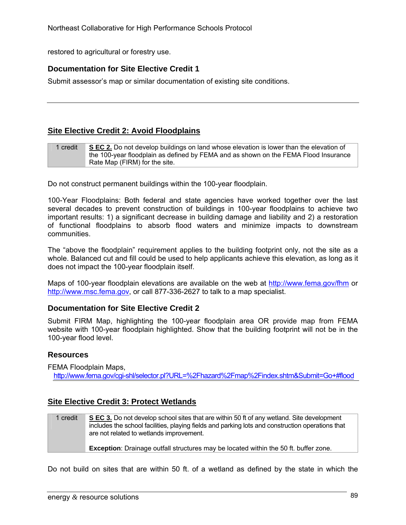restored to agricultural or forestry use.

### **Documentation for Site Elective Credit 1**

Submit assessor's map or similar documentation of existing site conditions.

### **Site Elective Credit 2: Avoid Floodplains**

| 1 credit | S EC 2. Do not develop buildings on land whose elevation is lower than the elevation of |
|----------|-----------------------------------------------------------------------------------------|
|          | the 100-year floodplain as defined by FEMA and as shown on the FEMA Flood Insurance     |
|          | Rate Map (FIRM) for the site.                                                           |

Do not construct permanent buildings within the 100-year floodplain.

100-Year Floodplains: Both federal and state agencies have worked together over the last several decades to prevent construction of buildings in 100-year floodplains to achieve two important results: 1) a significant decrease in building damage and liability and 2) a restoration of functional floodplains to absorb flood waters and minimize impacts to downstream communities.

The "above the floodplain" requirement applies to the building footprint only, not the site as a whole. Balanced cut and fill could be used to help applicants achieve this elevation, as long as it does not impact the 100-year floodplain itself.

Maps of 100-year floodplain elevations are available on the web at http://www.fema.gov/fhm or http://www.msc.fema.gov, or call 877-336-2627 to talk to a map specialist.

#### **Documentation for Site Elective Credit 2**

Submit FIRM Map, highlighting the 100-year floodplain area OR provide map from FEMA website with 100-year floodplain highlighted. Show that the building footprint will not be in the 100-year flood level.

#### **Resources**

FEMA Floodplain Maps,

http://www.fema.gov/cgi-shl/selector.pl?URL=%2Fhazard%2Fmap%2Findex.shtm&Submit=Go+#flood

### **Site Elective Credit 3: Protect Wetlands**

1 credit **S EC 3.** Do not develop school sites that are within 50 ft of any wetland. Site development includes the school facilities, playing fields and parking lots and construction operations that are not related to wetlands improvement. **Exception**: Drainage outfall structures may be located within the 50 ft. buffer zone.

Do not build on sites that are within 50 ft. of a wetland as defined by the state in which the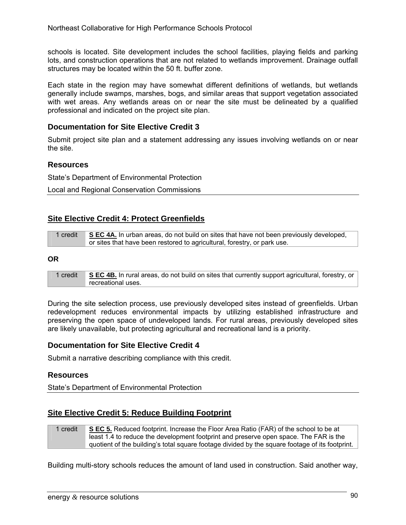schools is located. Site development includes the school facilities, playing fields and parking lots, and construction operations that are not related to wetlands improvement. Drainage outfall structures may be located within the 50 ft. buffer zone.

Each state in the region may have somewhat different definitions of wetlands, but wetlands generally include swamps, marshes, bogs, and similar areas that support vegetation associated with wet areas. Any wetlands areas on or near the site must be delineated by a qualified professional and indicated on the project site plan.

### **Documentation for Site Elective Credit 3**

Submit project site plan and a statement addressing any issues involving wetlands on or near the site.

#### **Resources**

State's Department of Environmental Protection

Local and Regional Conservation Commissions

### **Site Elective Credit 4: Protect Greenfields**

| 1 credit | SEC 4A. In urban areas, do not build on sites that have not been previously developed, |
|----------|----------------------------------------------------------------------------------------|
|          | or sites that have been restored to agricultural, forestry, or park use.               |

#### **OR**

1 credit **S EC 4B.** In rural areas, do not build on sites that currently support agricultural, forestry, or recreational uses.

During the site selection process, use previously developed sites instead of greenfields. Urban redevelopment reduces environmental impacts by utilizing established infrastructure and preserving the open space of undeveloped lands. For rural areas, previously developed sites are likely unavailable, but protecting agricultural and recreational land is a priority.

#### **Documentation for Site Elective Credit 4**

Submit a narrative describing compliance with this credit.

#### **Resources**

State's Department of Environmental Protection

### **Site Elective Credit 5: Reduce Building Footprint**

1 credit **S EC 5.** Reduced footprint. Increase the Floor Area Ratio (FAR) of the school to be at least 1.4 to reduce the development footprint and preserve open space. The FAR is the quotient of the building's total square footage divided by the square footage of its footprint.

Building multi-story schools reduces the amount of land used in construction. Said another way,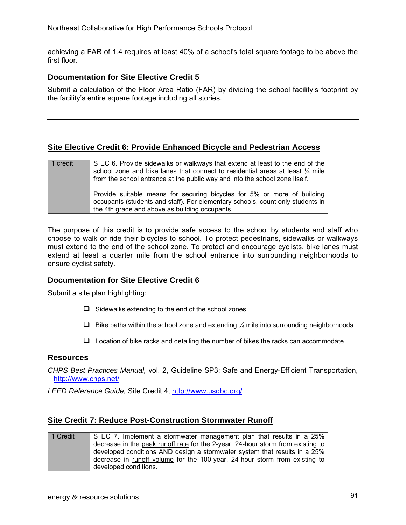achieving a FAR of 1.4 requires at least 40% of a school's total square footage to be above the first floor.

#### **Documentation for Site Elective Credit 5**

Submit a calculation of the Floor Area Ratio (FAR) by dividing the school facility's footprint by the facility's entire square footage including all stories.

#### **Site Elective Credit 6: Provide Enhanced Bicycle and Pedestrian Access**

| 1 credit | S EC 6. Provide sidewalks or walkways that extend at least to the end of the<br>school zone and bike lanes that connect to residential areas at least 1/4 mile<br>from the school entrance at the public way and into the school zone itself. |
|----------|-----------------------------------------------------------------------------------------------------------------------------------------------------------------------------------------------------------------------------------------------|
|          | Provide suitable means for securing bicycles for 5% or more of building<br>occupants (students and staff). For elementary schools, count only students in<br>the 4th grade and above as building occupants.                                   |

The purpose of this credit is to provide safe access to the school by students and staff who choose to walk or ride their bicycles to school. To protect pedestrians, sidewalks or walkways must extend to the end of the school zone. To protect and encourage cyclists, bike lanes must extend at least a quarter mile from the school entrance into surrounding neighborhoods to ensure cyclist safety.

#### **Documentation for Site Elective Credit 6**

Submit a site plan highlighting:

- $\Box$  Sidewalks extending to the end of the school zones
- $\Box$  Bike paths within the school zone and extending  $\frac{1}{4}$  mile into surrounding neighborhoods
- $\Box$  Location of bike racks and detailing the number of bikes the racks can accommodate

#### **Resources**

*CHPS Best Practices Manual,* vol. 2, Guideline SP3: Safe and Energy-Efficient Transportation, http://www.chps.net/

*LEED Reference Guide,* Site Credit 4, http://www.usgbc.org/

#### **Site Credit 7: Reduce Post-Construction Stormwater Runoff**

| 1 Credit | S EC 7. Implement a stormwater management plan that results in a 25%            |
|----------|---------------------------------------------------------------------------------|
|          | decrease in the peak runoff rate for the 2-year, 24-hour storm from existing to |
|          | developed conditions AND design a stormwater system that results in a 25%       |
|          | decrease in runoff volume for the 100-year, 24-hour storm from existing to      |
|          | developed conditions.                                                           |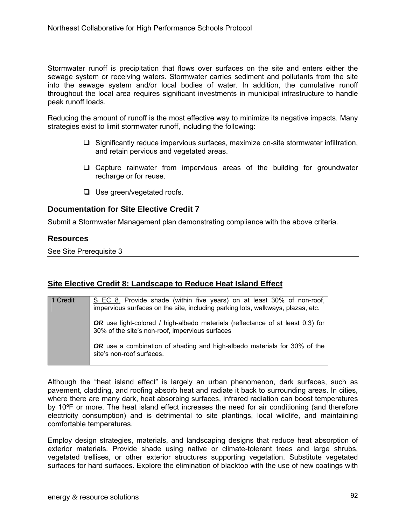Stormwater runoff is precipitation that flows over surfaces on the site and enters either the sewage system or receiving waters. Stormwater carries sediment and pollutants from the site into the sewage system and/or local bodies of water. In addition, the cumulative runoff throughout the local area requires significant investments in municipal infrastructure to handle peak runoff loads.

Reducing the amount of runoff is the most effective way to minimize its negative impacts. Many strategies exist to limit stormwater runoff, including the following:

- $\Box$  Significantly reduce impervious surfaces, maximize on-site stormwater infiltration, and retain pervious and vegetated areas.
- $\Box$  Capture rainwater from impervious areas of the building for groundwater recharge or for reuse.
- $\Box$  Use green/vegetated roofs.

#### **Documentation for Site Elective Credit 7**

Submit a Stormwater Management plan demonstrating compliance with the above criteria.

#### **Resources**

See Site Prerequisite 3

### **Site Elective Credit 8: Landscape to Reduce Heat Island Effect**

| 1 Credit | S EC 8. Provide shade (within five years) on at least 30% of non-roof,<br>impervious surfaces on the site, including parking lots, walkways, plazas, etc. |
|----------|-----------------------------------------------------------------------------------------------------------------------------------------------------------|
|          | <b>OR</b> use light-colored / high-albedo materials (reflectance of at least 0.3) for<br>30% of the site's non-roof, impervious surfaces                  |
|          | <b>OR</b> use a combination of shading and high-albedo materials for 30% of the<br>site's non-roof surfaces.                                              |

Although the "heat island effect" is largely an urban phenomenon, dark surfaces, such as pavement, cladding, and roofing absorb heat and radiate it back to surrounding areas. In cities, where there are many dark, heat absorbing surfaces, infrared radiation can boost temperatures by 10ºF or more. The heat island effect increases the need for air conditioning (and therefore electricity consumption) and is detrimental to site plantings, local wildlife, and maintaining comfortable temperatures.

Employ design strategies, materials, and landscaping designs that reduce heat absorption of exterior materials. Provide shade using native or climate-tolerant trees and large shrubs, vegetated trellises, or other exterior structures supporting vegetation. Substitute vegetated surfaces for hard surfaces. Explore the elimination of blacktop with the use of new coatings with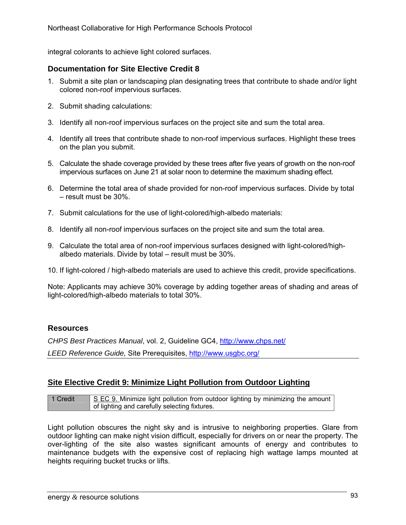integral colorants to achieve light colored surfaces.

### **Documentation for Site Elective Credit 8**

- 1. Submit a site plan or landscaping plan designating trees that contribute to shade and/or light colored non-roof impervious surfaces.
- 2. Submit shading calculations:
- 3. Identify all non-roof impervious surfaces on the project site and sum the total area.
- 4. Identify all trees that contribute shade to non-roof impervious surfaces. Highlight these trees on the plan you submit.
- 5. Calculate the shade coverage provided by these trees after five years of growth on the non-roof impervious surfaces on June 21 at solar noon to determine the maximum shading effect.
- 6. Determine the total area of shade provided for non-roof impervious surfaces. Divide by total – result must be 30%.
- 7. Submit calculations for the use of light-colored/high-albedo materials:
- 8. Identify all non-roof impervious surfaces on the project site and sum the total area.
- 9. Calculate the total area of non-roof impervious surfaces designed with light-colored/highalbedo materials. Divide by total – result must be 30%.

10. If light-colored / high-albedo materials are used to achieve this credit, provide specifications.

Note: Applicants may achieve 30% coverage by adding together areas of shading and areas of light-colored/high-albedo materials to total 30%.

#### **Resources**

*CHPS Best Practices Manual*, vol. 2, Guideline GC4, http://www.chps.net/

*LEED Reference Guide,* Site Prerequisites, http://www.usgbc.org/

### **Site Elective Credit 9: Minimize Light Pollution from Outdoor Lighting**

1 Credit S EC 9. Minimize light pollution from outdoor lighting by minimizing the amount of lighting and carefully selecting fixtures.

Light pollution obscures the night sky and is intrusive to neighboring properties. Glare from outdoor lighting can make night vision difficult, especially for drivers on or near the property. The over-lighting of the site also wastes significant amounts of energy and contributes to maintenance budgets with the expensive cost of replacing high wattage lamps mounted at heights requiring bucket trucks or lifts.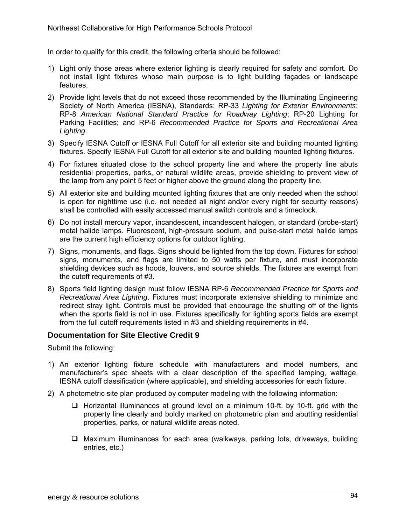In order to qualify for this credit, the following criteria should be followed:

- 1) Light only those areas where exterior lighting is clearly required for safety and comfort. Do not install light fixtures whose main purpose is to light building façades or landscape features.
- 2) Provide light levels that do not exceed those recommended by the Illuminating Engineering Society of North America (IESNA), Standards: RP-33 *Lighting for Exterior Environments*; RP-8 *American National Standard Practice for Roadway Lighting*; RP-20 Lighting for Parking Facilities; and RP-6 *Recommended Practice for Sports and Recreational Area Lighting*.
- 3) Specify IESNA Cutoff or IESNA Full Cutoff for all exterior site and building mounted lighting fixtures. Specify IESNA Full Cutoff for all exterior site and building mounted lighting fixtures.
- 4) For fixtures situated close to the school property line and where the property line abuts residential properties, parks, or natural wildlife areas, provide shielding to prevent view of the lamp from any point 5 feet or higher above the ground along the property line.
- 5) All exterior site and building mounted lighting fixtures that are only needed when the school is open for nighttime use (i.e. not needed all night and/or every night for security reasons) shall be controlled with easily accessed manual switch controls and a timeclock.
- 6) Do not install mercury vapor, incandescent, incandescent halogen, or standard (probe-start) metal halide lamps. Fluorescent, high-pressure sodium, and pulse-start metal halide lamps are the current high efficiency options for outdoor lighting.
- 7) Signs, monuments, and flags. Signs should be lighted from the top down. Fixtures for school signs, monuments, and flags are limited to 50 watts per fixture, and must incorporate shielding devices such as hoods, louvers, and source shields. The fixtures are exempt from the cutoff requirements of #3.
- 8) Sports field lighting design must follow IESNA RP-6 *Recommended Practice for Sports and Recreational Area Lighting*. Fixtures must incorporate extensive shielding to minimize and redirect stray light. Controls must be provided that encourage the shutting off of the lights when the sports field is not in use. Fixtures specifically for lighting sports fields are exempt from the full cutoff requirements listed in #3 and shielding requirements in #4.

### **Documentation for Site Elective Credit 9**

Submit the following:

- 1) An exterior lighting fixture schedule with manufacturers and model numbers, and manufacturer's spec sheets with a clear description of the specified lamping, wattage, IESNA cutoff classification (where applicable), and shielding accessories for each fixture.
- 2) A photometric site plan produced by computer modeling with the following information:
	- $\Box$  Horizontal illuminances at ground level on a minimum 10-ft. by 10-ft. grid with the property line clearly and boldly marked on photometric plan and abutting residential properties, parks, or natural wildlife areas noted.
	- $\Box$  Maximum illuminances for each area (walkways, parking lots, driveways, building entries, etc.)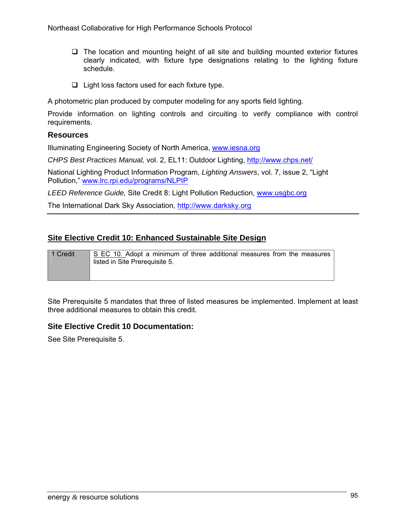- $\Box$  The location and mounting height of all site and building mounted exterior fixtures clearly indicated, with fixture type designations relating to the lighting fixture schedule.
- $\Box$  Light loss factors used for each fixture type.

A photometric plan produced by computer modeling for any sports field lighting.

Provide information on lighting controls and circuiting to verify compliance with control requirements.

#### **Resources**

Illuminating Engineering Society of North America, www.iesna.org

*CHPS Best Practices Manual,* vol. 2, EL11: Outdoor Lighting, http://www.chps.net/

National Lighting Product Information Program, *Lighting Answers*, vol. 7, issue 2, "Light Pollution," www.lrc.rpi.edu/programs/NLPIP

*LEED Reference Guide,* Site Credit 8: Light Pollution Reduction, www.usgbc.org

The International Dark Sky Association, http://www.darksky.org

### **Site Elective Credit 10: Enhanced Sustainable Site Design**

| 1 Credit | S EC 10. Adopt a minimum of three additional measures from the measures<br>listed in Site Prerequisite 5. |
|----------|-----------------------------------------------------------------------------------------------------------|
|          |                                                                                                           |

Site Prerequisite 5 mandates that three of listed measures be implemented. Implement at least three additional measures to obtain this credit.

### **Site Elective Credit 10 Documentation:**

See Site Prerequisite 5.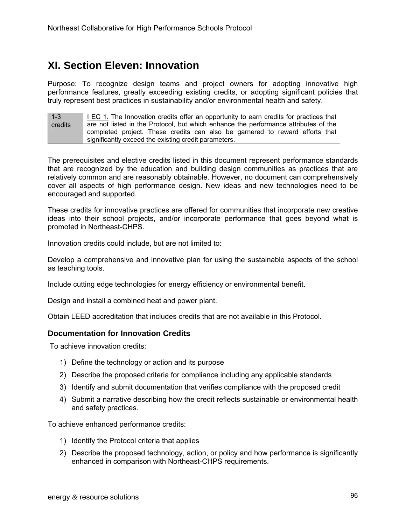# **XI. Section Eleven: Innovation**

Purpose: To recognize design teams and project owners for adopting innovative high performance features, greatly exceeding existing credits, or adopting significant policies that truly represent best practices in sustainability and/or environmental health and safety.

 $1 - 3$ credits I EC 1. The Innovation credits offer an opportunity to earn credits for practices that are not listed in the Protocol, but which enhance the performance attributes of the completed project. These credits can also be garnered to reward efforts that significantly exceed the existing credit parameters.

The prerequisites and elective credits listed in this document represent performance standards that are recognized by the education and building design communities as practices that are relatively common and are reasonably obtainable. However, no document can comprehensively cover all aspects of high performance design. New ideas and new technologies need to be encouraged and supported.

These credits for innovative practices are offered for communities that incorporate new creative ideas into their school projects, and/or incorporate performance that goes beyond what is promoted in Northeast-CHPS.

Innovation credits could include, but are not limited to:

Develop a comprehensive and innovative plan for using the sustainable aspects of the school as teaching tools.

Include cutting edge technologies for energy efficiency or environmental benefit.

Design and install a combined heat and power plant.

Obtain LEED accreditation that includes credits that are not available in this Protocol.

#### **Documentation for Innovation Credits**

To achieve innovation credits:

- 1) Define the technology or action and its purpose
- 2) Describe the proposed criteria for compliance including any applicable standards
- 3) Identify and submit documentation that verifies compliance with the proposed credit
- 4) Submit a narrative describing how the credit reflects sustainable or environmental health and safety practices.

To achieve enhanced performance credits:

- 1) Identify the Protocol criteria that applies
- 2) Describe the proposed technology, action, or policy and how performance is significantly enhanced in comparison with Northeast-CHPS requirements.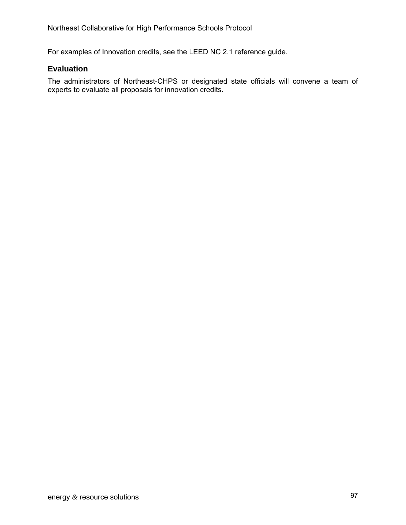For examples of Innovation credits, see the LEED NC 2.1 reference guide.

### **Evaluation**

The administrators of Northeast-CHPS or designated state officials will convene a team of experts to evaluate all proposals for innovation credits.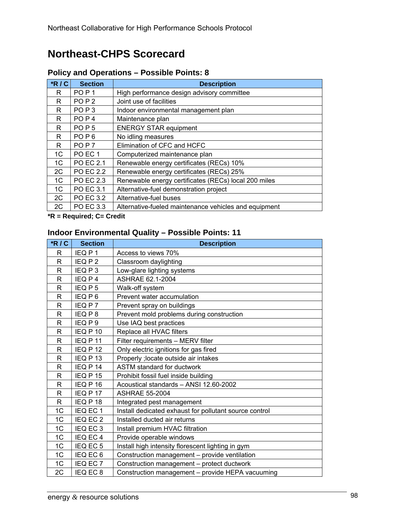# **Northeast-CHPS Scorecard**

| $*R/C$         | <b>Section</b>               | <b>Description</b>                                    |
|----------------|------------------------------|-------------------------------------------------------|
| R              | PO <sub>P</sub> 1            | High performance design advisory committee            |
| R              | POP <sub>2</sub>             | Joint use of facilities                               |
| R              | PO <sub>P</sub> 3            | Indoor environmental management plan                  |
| R              | PO <sub>P</sub> <sub>4</sub> | Maintenance plan                                      |
| R              | POP <sub>5</sub>             | <b>ENERGY STAR equipment</b>                          |
| R              | PO <sub>P6</sub>             | No idling measures                                    |
| R              | PO <sub>P</sub> 7            | Elimination of CFC and HCFC                           |
| 1 <sup>C</sup> | PO EC 1                      | Computerized maintenance plan                         |
| 1C             | <b>PO EC 2.1</b>             | Renewable energy certificates (RECs) 10%              |
| 2C             | <b>PO EC 2.2</b>             | Renewable energy certificates (RECs) 25%              |
| 1C             | <b>PO EC 2.3</b>             | Renewable energy certificates (RECs) local 200 miles  |
| 1 <sup>C</sup> | <b>PO EC 3.1</b>             | Alternative-fuel demonstration project                |
| 2C             | PO EC 3.2                    | Alternative-fuel buses                                |
| 2C             | PO EC 3.3                    | Alternative-fueled maintenance vehicles and equipment |

## **Policy and Operations – Possible Points: 8**

**\*R = Required; C= Credit** 

### **Indoor Environmental Quality – Possible Points: 11**

| $*R/C$       | <b>Section</b>    | <b>Description</b>                                     |
|--------------|-------------------|--------------------------------------------------------|
| R            | IEQ P1            | Access to views 70%                                    |
| R            | IEQ P 2           | Classroom daylighting                                  |
| R            | IEQ P3            | Low-glare lighting systems                             |
| R            | IEQ P4            | ASHRAE 62.1-2004                                       |
| $\mathsf{R}$ | IEQP <sub>5</sub> | Walk-off system                                        |
| R            | IEQ P6            | Prevent water accumulation                             |
| R            | IEQ P 7           | Prevent spray on buildings                             |
| $\mathsf{R}$ | IEQ P8            | Prevent mold problems during construction              |
| $\mathsf{R}$ | IEQ P 9           | Use IAQ best practices                                 |
| R            | IEQ P 10          | Replace all HVAC filters                               |
| $\mathsf{R}$ | IEQ P 11          | Filter requirements - MERV filter                      |
| $\mathsf{R}$ | IEQ P 12          | Only electric ignitions for gas fired                  |
| R            | IEQ P 13          | Properly ; locate outside air intakes                  |
| R            | IEQ P 14          | ASTM standard for ductwork                             |
| R            | IEQ P 15          | Prohibit fossil fuel inside building                   |
| R            | IEQ P 16          | Acoustical standards - ANSI 12.60-2002                 |
| R            | IEQ P 17          | <b>ASHRAE 55-2004</b>                                  |
| R            | IEQ P 18          | Integrated pest management                             |
| 1C           | IEQ EC 1          | Install dedicated exhaust for pollutant source control |
| 1C           | IEQ EC 2          | Installed ducted air returns                           |
| 1C           | IEQ EC 3          | Install premium HVAC filtration                        |
| 1C           | IEQ EC4           | Provide operable windows                               |
| 1C           | IEQ EC 5          | Install high intensity florescent lighting in gym      |
| 1C           | IEQ EC 6          | Construction management - provide ventilation          |
| 1C           | IEQ EC 7          | Construction management - protect ductwork             |
| 2C           | IEQ EC 8          | Construction management - provide HEPA vacuuming       |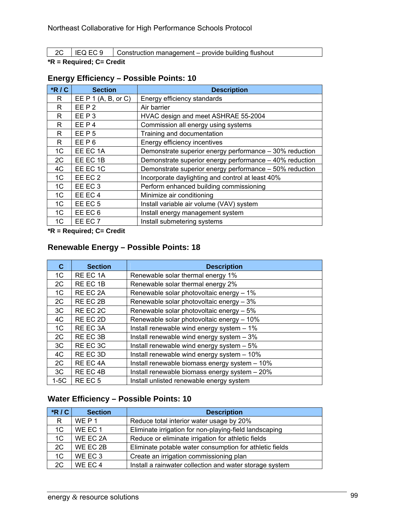2C | IEQ EC 9 | Construction management – provide building flushout

#### **\*R = Required; C= Credit**

| $*R/C$         | <b>Section</b>        | <b>Description</b>                                      |
|----------------|-----------------------|---------------------------------------------------------|
| R              | EE $P$ 1 (A, B, or C) | Energy efficiency standards                             |
| R              | EEP <sub>2</sub>      | Air barrier                                             |
| R              | EEP3                  | HVAC design and meet ASHRAE 55-2004                     |
| R              | EEP4                  | Commission all energy using systems                     |
| R              | EEP <sub>5</sub>      | Training and documentation                              |
| R.             | EEP6                  | Energy efficiency incentives                            |
| 1C             | EE EC 1A              | Demonstrate superior energy performance - 30% reduction |
| 2C             | EE EC 1B              | Demonstrate superior energy performance - 40% reduction |
| 4C             | EE EC 1C              | Demonstrate superior energy performance - 50% reduction |
| 1C             | EE EC 2               | Incorporate daylighting and control at least 40%        |
| 1 <sup>C</sup> | EE EC <sub>3</sub>    | Perform enhanced building commissioning                 |
| 1 <sup>C</sup> | EE EC4                | Minimize air conditioning                               |
| 1 <sup>C</sup> | EE EC <sub>5</sub>    | Install variable air volume (VAV) system                |
| 1 <sup>C</sup> | EE EC 6               | Install energy management system                        |
| 1 <sup>C</sup> | EE EC 7               | Install submetering systems                             |

### **Energy Efficiency – Possible Points: 10**

**\*R = Required; C= Credit** 

### **Renewable Energy – Possible Points: 18**

| C.             | <b>Section</b>     | <b>Description</b>                            |
|----------------|--------------------|-----------------------------------------------|
| 1C             | RE EC 1A           | Renewable solar thermal energy 1%             |
| 2C             | RE EC 1B           | Renewable solar thermal energy 2%             |
| 1C             | RE EC 2A           | Renewable solar photovoltaic energy - 1%      |
| 2C             | RE EC 2B           | Renewable solar photovoltaic energy - 3%      |
| 3C             | RE EC 2C           | Renewable solar photovoltaic energy - 5%      |
| 4C             | RE EC 2D           | Renewable solar photovoltaic energy - 10%     |
| 1 <sup>C</sup> | RE EC 3A           | Install renewable wind energy system - 1%     |
| 2C             | RE EC 3B           | Install renewable wind energy system - 3%     |
| 3C             | RE EC 3C           | Install renewable wind energy system - 5%     |
| 4C             | RE EC 3D           | Install renewable wind energy system - 10%    |
| 2C             | RE EC 4A           | Install renewable biomass energy system - 10% |
| 3C             | RE EC 4B           | Install renewable biomass energy system - 20% |
| $1-5C$         | RE EC <sub>5</sub> | Install unlisted renewable energy system      |

## **Water Efficiency – Possible Points: 10**

| $*$ R/C | <b>Section</b> | <b>Description</b>                                      |
|---------|----------------|---------------------------------------------------------|
| R.      | WE P 1         | Reduce total interior water usage by 20%                |
| 1C      | WE EC 1        | Eliminate irrigation for non-playing-field landscaping  |
| 1C      | WE EC 2A       | Reduce or eliminate irrigation for athletic fields      |
| 2C      | WE EC 2B       | Eliminate potable water consumption for athletic fields |
| 1C      | WE EC 3        | Create an irrigation commissioning plan                 |
| 2C      | WE EC4         | Install a rainwater collection and water storage system |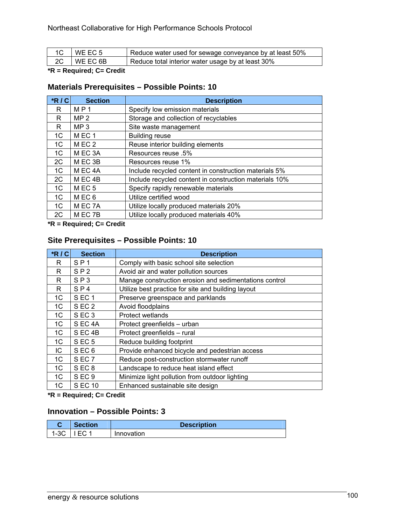| $\overline{1}$ $\overline{1}$ $\overline{1}$ $\overline{1}$ $\overline{1}$ $\overline{1}$ $\overline{1}$ $\overline{1}$ $\overline{1}$ $\overline{1}$ $\overline{1}$ $\overline{1}$ $\overline{1}$ $\overline{1}$ $\overline{1}$ $\overline{1}$ $\overline{1}$ $\overline{1}$ $\overline{1}$ $\overline{1}$ $\overline{1}$ $\overline{1}$ $\overline{1}$ $\overline{1}$ $\overline{$ | I WE EC 5  | Reduce water used for sewage conveyance by at least 50% |
|--------------------------------------------------------------------------------------------------------------------------------------------------------------------------------------------------------------------------------------------------------------------------------------------------------------------------------------------------------------------------------------|------------|---------------------------------------------------------|
| 2C                                                                                                                                                                                                                                                                                                                                                                                   | I WE EC 6B | Reduce total interior water usage by at least 30%       |

### **\*R = Required; C= Credit**

### **Materials Prerequisites – Possible Points: 10**

| $*R/C$         | <b>Section</b>     | <b>Description</b>                                     |
|----------------|--------------------|--------------------------------------------------------|
| R              | MP 1               | Specify low emission materials                         |
| R              | MP <sub>2</sub>    | Storage and collection of recyclables                  |
| R              | MP <sub>3</sub>    | Site waste management                                  |
| 1C             | MEC <sub>1</sub>   | <b>Building reuse</b>                                  |
| 1 <sup>C</sup> | MEC <sub>2</sub>   | Reuse interior building elements                       |
| 1 <sup>C</sup> | M EC 3A            | Resources reuse .5%                                    |
| 2C             | M EC 3B            | Resources reuse 1%                                     |
| 1C             | M EC 4A            | Include recycled content in construction materials 5%  |
| 2C             | MEC <sub>4B</sub>  | Include recycled content in construction materials 10% |
| 1 <sup>C</sup> | MEC <sub>5</sub>   | Specify rapidly renewable materials                    |
| 1C             | MEC <sub>6</sub>   | Utilize certified wood                                 |
| 1C             | MEC <sub>7</sub> A | Utilize locally produced materials 20%                 |
| 2C             | M EC 7B            | Utilize locally produced materials 40%                 |

**\*R = Required; C= Credit** 

### **Site Prerequisites – Possible Points: 10**

| $*$ R/C        | <b>Section</b>    | <b>Description</b>                                     |
|----------------|-------------------|--------------------------------------------------------|
| R              | $S$ P 1           | Comply with basic school site selection                |
| R              | SP <sub>2</sub>   | Avoid air and water pollution sources                  |
| R              | SP3               | Manage construction erosion and sedimentations control |
| R              | SP <sub>4</sub>   | Utilize best practice for site and building layout     |
| 1 <sup>C</sup> | SEC <sub>1</sub>  | Preserve greenspace and parklands                      |
| 1C             | SEC <sub>2</sub>  | Avoid floodplains                                      |
| 1C             | SEC <sub>3</sub>  | Protect wetlands                                       |
| 1C             | SEC <sub>4A</sub> | Protect greenfields - urban                            |
| 1 <sup>C</sup> | SEC <sub>4B</sub> | Protect greenfields - rural                            |
| 1 <sup>C</sup> | SEC <sub>5</sub>  | Reduce building footprint                              |
| IC.            | SEC <sub>6</sub>  | Provide enhanced bicycle and pedestrian access         |
| 1C             | SEC <sub>7</sub>  | Reduce post-construction stormwater runoff             |
| 1C             | SEC <sub>8</sub>  | Landscape to reduce heat island effect                 |
| 1C             | SEC <sub>9</sub>  | Minimize light pollution from outdoor lighting         |
| 1 <sup>C</sup> | <b>SEC 10</b>     | Enhanced sustainable site design                       |

**\*R = Required; C= Credit** 

## **Innovation – Possible Points: 3**

| <b>Section</b> | <b>Description</b> |
|----------------|--------------------|
| $1-3C$   IEC 1 | Innovation         |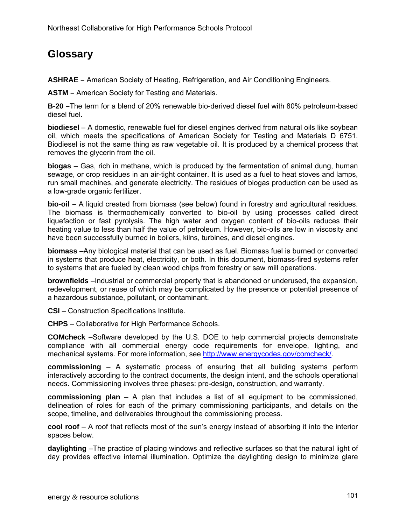# **Glossary**

**ASHRAE –** American Society of Heating, Refrigeration, and Air Conditioning Engineers.

**ASTM –** American Society for Testing and Materials.

**B-20 –**The term for a blend of 20% renewable bio-derived diesel fuel with 80% petroleum-based diesel fuel.

**biodiesel** – A domestic, renewable fuel for diesel engines derived from natural oils like soybean oil, which meets the specifications of American Society for Testing and Materials D 6751. Biodiesel is not the same thing as raw vegetable oil. It is produced by a chemical process that removes the glycerin from the oil.

**biogas** – Gas, rich in methane, which is produced by the fermentation of animal dung, human sewage, or crop residues in an air-tight container. It is used as a fuel to heat stoves and lamps, run small machines, and generate electricity. The residues of biogas production can be used as a low-grade organic fertilizer.

**bio-oil –** A liquid created from biomass (see below) found in forestry and agricultural residues. The biomass is thermochemically converted to bio-oil by using processes called direct liquefaction or fast pyrolysis. The high water and oxygen content of bio-oils reduces their heating value to less than half the value of petroleum. However, bio-oils are low in viscosity and have been successfully burned in boilers, kilns, turbines, and diesel engines.

**biomass** –Any biological material that can be used as fuel. Biomass fuel is burned or converted in systems that produce heat, electricity, or both. In this document, biomass-fired systems refer to systems that are fueled by clean wood chips from forestry or saw mill operations.

**brownfields** –Industrial or commercial property that is abandoned or underused, the expansion, redevelopment, or reuse of which may be complicated by the presence or potential presence of a hazardous substance, pollutant, or contaminant.

**CSI** – Construction Specifications Institute.

**CHPS** – Collaborative for High Performance Schools.

**COMcheck** –Software developed by the U.S. DOE to help commercial projects demonstrate compliance with all commercial energy code requirements for envelope, lighting, and mechanical systems. For more information, see http://www.energycodes.gov/comcheck/.

**commissioning** – A systematic process of ensuring that all building systems perform interactively according to the contract documents, the design intent, and the schools operational needs. Commissioning involves three phases: pre-design, construction, and warranty.

**commissioning plan** – A plan that includes a list of all equipment to be commissioned, delineation of roles for each of the primary commissioning participants, and details on the scope, timeline, and deliverables throughout the commissioning process.

**cool roof** – A roof that reflects most of the sun's energy instead of absorbing it into the interior spaces below.

**daylighting** –The practice of placing windows and reflective surfaces so that the natural light of day provides effective internal illumination. Optimize the daylighting design to minimize glare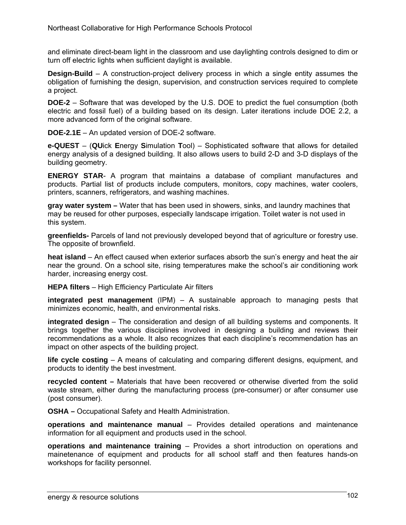and eliminate direct-beam light in the classroom and use daylighting controls designed to dim or turn off electric lights when sufficient daylight is available.

**Design-Build** – A construction-project delivery process in which a single entity assumes the obligation of furnishing the design, supervision, and construction services required to complete a project.

**DOE-2** – Software that was developed by the U.S. DOE to predict the fuel consumption (both electric and fossil fuel) of a building based on its design. Later iterations include DOE 2.2, a more advanced form of the original software.

**DOE-2.1E** – An updated version of DOE-2 software.

**e-QUEST** – (**QU**ick **E**nergy **S**imulation **T**ool) – Sophisticated software that allows for detailed energy analysis of a designed building. It also allows users to build 2-D and 3-D displays of the building geometry.

**ENERGY STAR**- A program that maintains a database of compliant manufactures and products. Partial list of products include computers, monitors, copy machines, water coolers, printers, scanners, refrigerators, and washing machines.

**gray water system –** Water that has been used in showers, sinks, and laundry machines that may be reused for other purposes, especially landscape irrigation. Toilet water is not used in this system.

**greenfields-** Parcels of land not previously developed beyond that of agriculture or forestry use. The opposite of brownfield.

**heat island** – An effect caused when exterior surfaces absorb the sun's energy and heat the air near the ground. On a school site, rising temperatures make the school's air conditioning work harder, increasing energy cost.

**HEPA filters** – High Efficiency Particulate Air filters

**integrated pest management** (IPM) – A sustainable approach to managing pests that minimizes economic, health, and environmental risks.

**integrated design** – The consideration and design of all building systems and components. It brings together the various disciplines involved in designing a building and reviews their recommendations as a whole. It also recognizes that each discipline's recommendation has an impact on other aspects of the building project.

**life cycle costing** – A means of calculating and comparing different designs, equipment, and products to identity the best investment.

**recycled content –** Materials that have been recovered or otherwise diverted from the solid waste stream, either during the manufacturing process (pre-consumer) or after consumer use (post consumer).

**OSHA –** Occupational Safety and Health Administration.

**operations and maintenance manual** – Provides detailed operations and maintenance information for all equipment and products used in the school.

**operations and maintenance training** – Provides a short introduction on operations and mainetenance of equipment and products for all school staff and then features hands-on workshops for facility personnel.